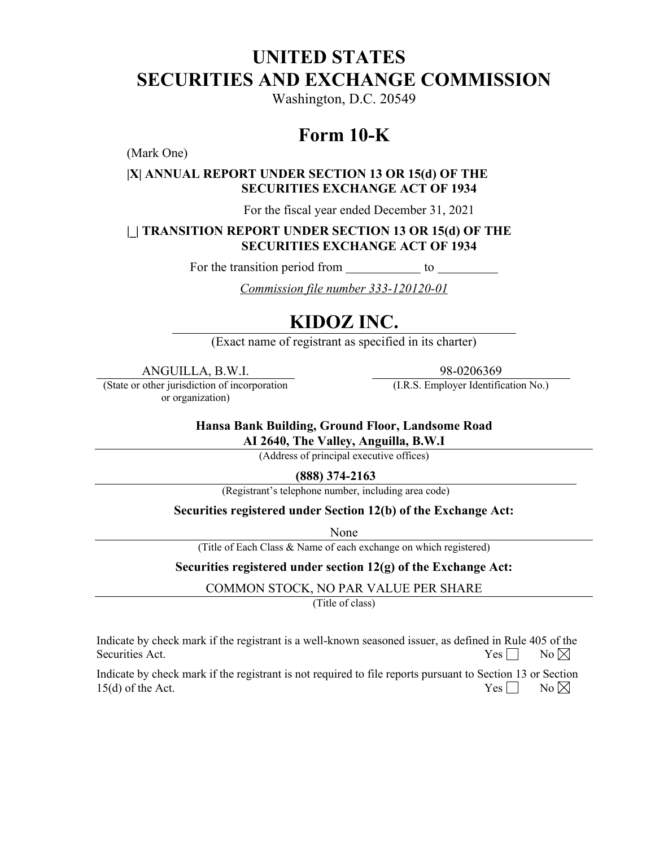# **UNITED STATES SECURITIES AND EXCHANGE COMMISSION**

Washington, D.C. 20549

# **Form 10-K**

(Mark One)

# **|X| ANNUAL REPORT UNDER SECTION 13 OR 15(d) OF THE SECURITIES EXCHANGE ACT OF 1934**

For the fiscal year ended December 31, 2021

# **|\_| TRANSITION REPORT UNDER SECTION 13 OR 15(d) OF THE SECURITIES EXCHANGE ACT OF 1934**

For the transition period from to

*Commission file number 333-120120-01* 

# **KIDOZ INC.**

(Exact name of registrant as specified in its charter)

ANGUILLA, B.W.I. 98-0206369

(State or other jurisdiction of incorporation or organization)

(I.R.S. Employer Identification No.)

**Hansa Bank Building, Ground Floor, Landsome Road**

**AI 2640, The Valley, Anguilla, B.W.I**

(Address of principal executive offices)

**(888) 374-2163** 

(Registrant's telephone number, including area code)

# **Securities registered under Section 12(b) of the Exchange Act:**

None

(Title of Each Class & Name of each exchange on which registered)

# **Securities registered under section 12(g) of the Exchange Act:**

COMMON STOCK, NO PAR VALUE PER SHARE

(Title of class)

Indicate by check mark if the registrant is a well-known seasoned issuer, as defined in Rule 405 of the Securities Act.  $\Box$  No  $\boxtimes$ 

Indicate by check mark if the registrant is not required to file reports pursuant to Section 13 or Section 15(d) of the Act.  $\qquad \qquad \text{No } \boxtimes$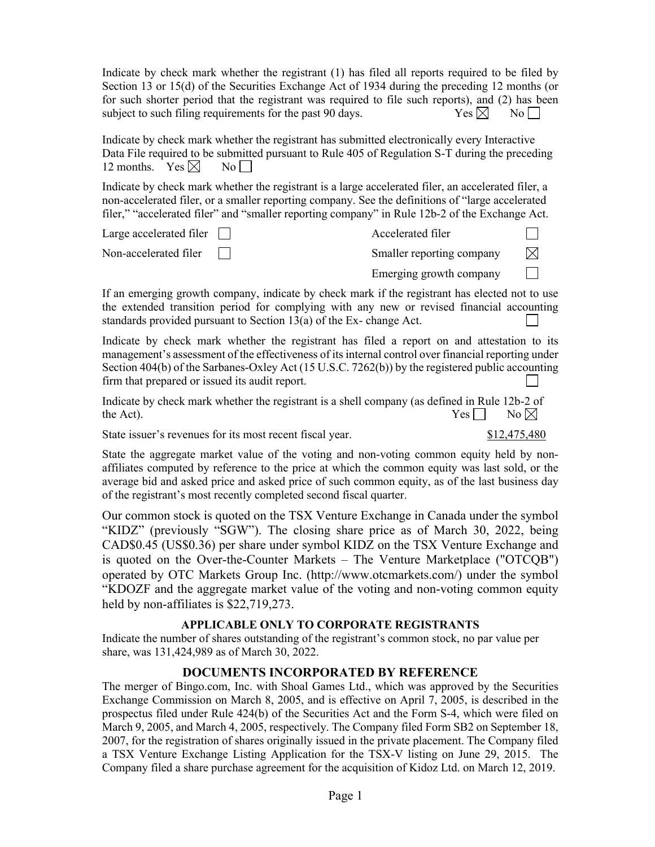Indicate by check mark whether the registrant (1) has filed all reports required to be filed by Section 13 or 15(d) of the Securities Exchange Act of 1934 during the preceding 12 months (or for such shorter period that the registrant was required to file such reports), and (2) has been subject to such filing requirements for the past 90 days.  $\begin{array}{c} \text{Yes} \times \text{No} \end{array}$ 

Indicate by check mark whether the registrant has submitted electronically every Interactive Data File required to be submitted pursuant to Rule 405 of Regulation S-T during the preceding 12 months. Yes  $\boxtimes$  No | |

Indicate by check mark whether the registrant is a large accelerated filer, an accelerated filer, a non-accelerated filer, or a smaller reporting company. See the definitions of "large accelerated filer," "accelerated filer" and "smaller reporting company" in Rule 12b-2 of the Exchange Act.

| Large accelerated filer $\Box$ | Accelerated filer         |           |
|--------------------------------|---------------------------|-----------|
| Non-accelerated filer          | Smaller reporting company | $\bowtie$ |
|                                | Emerging growth company   |           |

If an emerging growth company, indicate by check mark if the registrant has elected not to use the extended transition period for complying with any new or revised financial accounting standards provided pursuant to Section 13(a) of the Ex- change Act.

Indicate by check mark whether the registrant has filed a report on and attestation to its management's assessment of the effectiveness of its internal control over financial reporting under Section 404(b) of the Sarbanes-Oxley Act (15 U.S.C. 7262(b)) by the registered public accounting firm that prepared or issued its audit report.

Indicate by check mark whether the registrant is a shell company (as defined in Rule 12b-2 of the Act).  $Yes \tN$ 

State issuer's revenues for its most recent fiscal year. \$12,475,480

State the aggregate market value of the voting and non-voting common equity held by nonaffiliates computed by reference to the price at which the common equity was last sold, or the average bid and asked price and asked price of such common equity, as of the last business day of the registrant's most recently completed second fiscal quarter.

Our common stock is quoted on the TSX Venture Exchange in Canada under the symbol "KIDZ" (previously "SGW"). The closing share price as of March 30, 2022, being CAD\$0.45 (US\$0.36) per share under symbol KIDZ on the TSX Venture Exchange and is quoted on the Over-the-Counter Markets – The Venture Marketplace ("OTCQB") operated by OTC Markets Group Inc. (http://www.otcmarkets.com/) under the symbol "KDOZF and the aggregate market value of the voting and non-voting common equity held by non-affiliates is \$22,719,273.

# **APPLICABLE ONLY TO CORPORATE REGISTRANTS**

Indicate the number of shares outstanding of the registrant's common stock, no par value per share, was 131,424,989 as of March 30, 2022.

# **DOCUMENTS INCORPORATED BY REFERENCE**

The merger of Bingo.com, Inc. with Shoal Games Ltd., which was approved by the Securities Exchange Commission on March 8, 2005, and is effective on April 7, 2005, is described in the prospectus filed under Rule 424(b) of the Securities Act and the Form S-4, which were filed on March 9, 2005, and March 4, 2005, respectively. The Company filed Form SB2 on September 18, 2007, for the registration of shares originally issued in the private placement. The Company filed a TSX Venture Exchange Listing Application for the TSX-V listing on June 29, 2015. The Company filed a share purchase agreement for the acquisition of Kidoz Ltd. on March 12, 2019.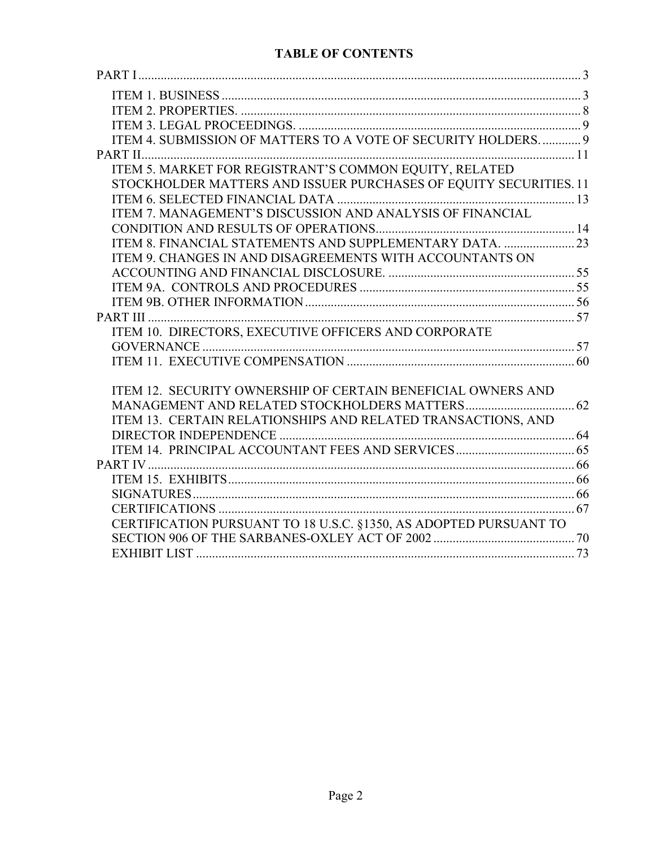# **TABLE OF CONTENTS**

| ITEM 4. SUBMISSION OF MATTERS TO A VOTE OF SECURITY HOLDERS 9     |  |
|-------------------------------------------------------------------|--|
|                                                                   |  |
| ITEM 5. MARKET FOR REGISTRANT'S COMMON EQUITY, RELATED            |  |
| STOCKHOLDER MATTERS AND ISSUER PURCHASES OF EQUITY SECURITIES. 11 |  |
|                                                                   |  |
| ITEM 7. MANAGEMENT'S DISCUSSION AND ANALYSIS OF FINANCIAL         |  |
|                                                                   |  |
|                                                                   |  |
| ITEM 9. CHANGES IN AND DISAGREEMENTS WITH ACCOUNTANTS ON          |  |
|                                                                   |  |
|                                                                   |  |
|                                                                   |  |
|                                                                   |  |
| ITEM 10. DIRECTORS, EXECUTIVE OFFICERS AND CORPORATE              |  |
|                                                                   |  |
|                                                                   |  |
|                                                                   |  |
| ITEM 12. SECURITY OWNERSHIP OF CERTAIN BENEFICIAL OWNERS AND      |  |
|                                                                   |  |
| ITEM 13. CERTAIN RELATIONSHIPS AND RELATED TRANSACTIONS, AND      |  |
|                                                                   |  |
|                                                                   |  |
|                                                                   |  |
|                                                                   |  |
|                                                                   |  |
| CERTIFICATION PURSUANT TO 18 U.S.C. §1350, AS ADOPTED PURSUANT TO |  |
|                                                                   |  |
|                                                                   |  |
|                                                                   |  |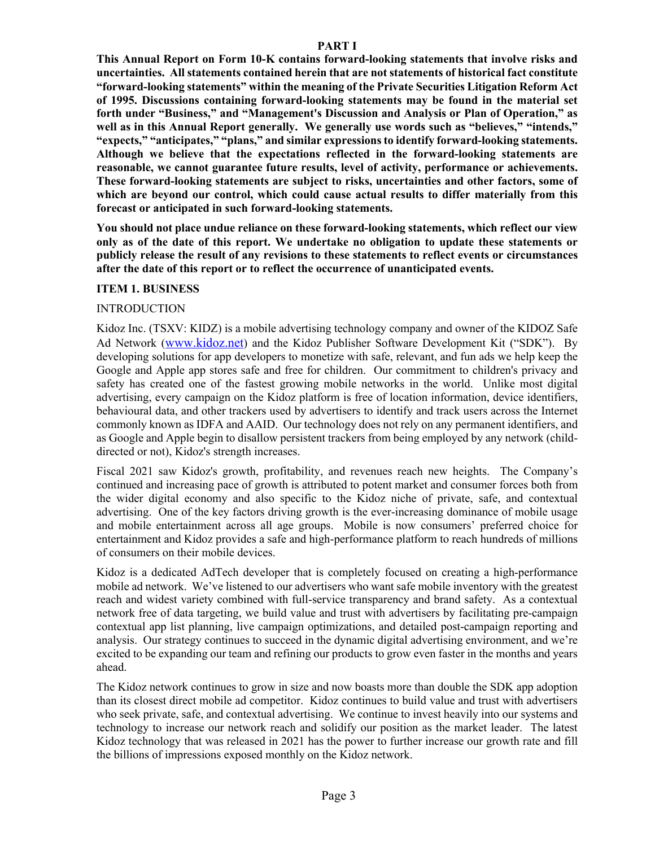#### **PART I**

**This Annual Report on Form 10-K contains forward-looking statements that involve risks and uncertainties. All statements contained herein that are not statements of historical fact constitute "forward-looking statements" within the meaning of the Private Securities Litigation Reform Act of 1995. Discussions containing forward-looking statements may be found in the material set forth under "Business," and "Management's Discussion and Analysis or Plan of Operation," as well as in this Annual Report generally. We generally use words such as "believes," "intends," "expects," "anticipates," "plans," and similar expressions to identify forward-looking statements. Although we believe that the expectations reflected in the forward-looking statements are reasonable, we cannot guarantee future results, level of activity, performance or achievements. These forward-looking statements are subject to risks, uncertainties and other factors, some of which are beyond our control, which could cause actual results to differ materially from this forecast or anticipated in such forward-looking statements.** 

**You should not place undue reliance on these forward-looking statements, which reflect our view only as of the date of this report. We undertake no obligation to update these statements or publicly release the result of any revisions to these statements to reflect events or circumstances after the date of this report or to reflect the occurrence of unanticipated events.**

#### **ITEM 1. BUSINESS**

#### INTRODUCTION

Kidoz Inc. (TSXV: KIDZ) is a mobile advertising technology company and owner of the KIDOZ Safe Ad Network (www.kidoz.net) and the Kidoz Publisher Software Development Kit ("SDK"). By developing solutions for app developers to monetize with safe, relevant, and fun ads we help keep the Google and Apple app stores safe and free for children. Our commitment to children's privacy and safety has created one of the fastest growing mobile networks in the world. Unlike most digital advertising, every campaign on the Kidoz platform is free of location information, device identifiers, behavioural data, and other trackers used by advertisers to identify and track users across the Internet commonly known as IDFA and AAID. Our technology does not rely on any permanent identifiers, and as Google and Apple begin to disallow persistent trackers from being employed by any network (childdirected or not), Kidoz's strength increases.

Fiscal 2021 saw Kidoz's growth, profitability, and revenues reach new heights. The Company's continued and increasing pace of growth is attributed to potent market and consumer forces both from the wider digital economy and also specific to the Kidoz niche of private, safe, and contextual advertising. One of the key factors driving growth is the ever-increasing dominance of mobile usage and mobile entertainment across all age groups. Mobile is now consumers' preferred choice for entertainment and Kidoz provides a safe and high-performance platform to reach hundreds of millions of consumers on their mobile devices.

Kidoz is a dedicated AdTech developer that is completely focused on creating a high-performance mobile ad network. We've listened to our advertisers who want safe mobile inventory with the greatest reach and widest variety combined with full-service transparency and brand safety. As a contextual network free of data targeting, we build value and trust with advertisers by facilitating pre-campaign contextual app list planning, live campaign optimizations, and detailed post-campaign reporting and analysis. Our strategy continues to succeed in the dynamic digital advertising environment, and we're excited to be expanding our team and refining our products to grow even faster in the months and years ahead.

The Kidoz network continues to grow in size and now boasts more than double the SDK app adoption than its closest direct mobile ad competitor. Kidoz continues to build value and trust with advertisers who seek private, safe, and contextual advertising. We continue to invest heavily into our systems and technology to increase our network reach and solidify our position as the market leader. The latest Kidoz technology that was released in 2021 has the power to further increase our growth rate and fill the billions of impressions exposed monthly on the Kidoz network.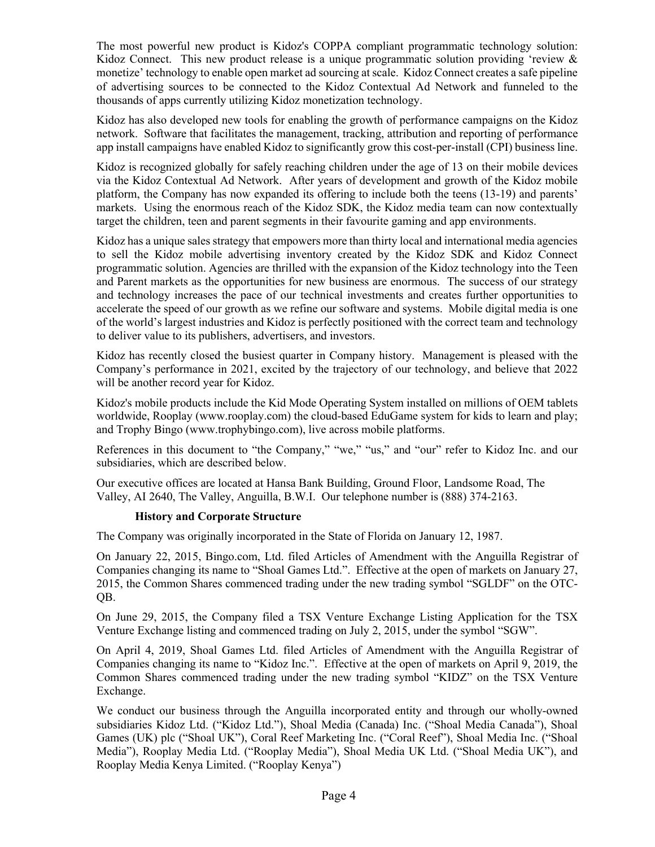The most powerful new product is Kidoz's COPPA compliant programmatic technology solution: Kidoz Connect. This new product release is a unique programmatic solution providing 'review & monetize' technology to enable open market ad sourcing at scale. Kidoz Connect creates a safe pipeline of advertising sources to be connected to the Kidoz Contextual Ad Network and funneled to the thousands of apps currently utilizing Kidoz monetization technology.

Kidoz has also developed new tools for enabling the growth of performance campaigns on the Kidoz network. Software that facilitates the management, tracking, attribution and reporting of performance app install campaigns have enabled Kidoz to significantly grow this cost-per-install (CPI) business line.

Kidoz is recognized globally for safely reaching children under the age of 13 on their mobile devices via the Kidoz Contextual Ad Network. After years of development and growth of the Kidoz mobile platform, the Company has now expanded its offering to include both the teens (13-19) and parents' markets. Using the enormous reach of the Kidoz SDK, the Kidoz media team can now contextually target the children, teen and parent segments in their favourite gaming and app environments.

Kidoz has a unique sales strategy that empowers more than thirty local and international media agencies to sell the Kidoz mobile advertising inventory created by the Kidoz SDK and Kidoz Connect programmatic solution. Agencies are thrilled with the expansion of the Kidoz technology into the Teen and Parent markets as the opportunities for new business are enormous. The success of our strategy and technology increases the pace of our technical investments and creates further opportunities to accelerate the speed of our growth as we refine our software and systems. Mobile digital media is one of the world's largest industries and Kidoz is perfectly positioned with the correct team and technology to deliver value to its publishers, advertisers, and investors.

Kidoz has recently closed the busiest quarter in Company history. Management is pleased with the Company's performance in 2021, excited by the trajectory of our technology, and believe that 2022 will be another record year for Kidoz.

Kidoz's mobile products include the Kid Mode Operating System installed on millions of OEM tablets worldwide, Rooplay (www.rooplay.com) the cloud-based EduGame system for kids to learn and play; and Trophy Bingo (www.trophybingo.com), live across mobile platforms.

References in this document to "the Company," "we," "us," and "our" refer to Kidoz Inc. and our subsidiaries, which are described below.

Our executive offices are located at Hansa Bank Building, Ground Floor, Landsome Road, The Valley, AI 2640, The Valley, Anguilla, B.W.I. Our telephone number is (888) 374-2163.

#### **History and Corporate Structure**

The Company was originally incorporated in the State of Florida on January 12, 1987.

On January 22, 2015, Bingo.com, Ltd. filed Articles of Amendment with the Anguilla Registrar of Companies changing its name to "Shoal Games Ltd.". Effective at the open of markets on January 27, 2015, the Common Shares commenced trading under the new trading symbol "SGLDF" on the OTC-QB.

On June 29, 2015, the Company filed a TSX Venture Exchange Listing Application for the TSX Venture Exchange listing and commenced trading on July 2, 2015, under the symbol "SGW".

On April 4, 2019, Shoal Games Ltd. filed Articles of Amendment with the Anguilla Registrar of Companies changing its name to "Kidoz Inc.". Effective at the open of markets on April 9, 2019, the Common Shares commenced trading under the new trading symbol "KIDZ" on the TSX Venture Exchange.

We conduct our business through the Anguilla incorporated entity and through our wholly-owned subsidiaries Kidoz Ltd. ("Kidoz Ltd."), Shoal Media (Canada) Inc. ("Shoal Media Canada"), Shoal Games (UK) plc ("Shoal UK"), Coral Reef Marketing Inc. ("Coral Reef"), Shoal Media Inc. ("Shoal Media"), Rooplay Media Ltd. ("Rooplay Media"), Shoal Media UK Ltd. ("Shoal Media UK"), and Rooplay Media Kenya Limited. ("Rooplay Kenya")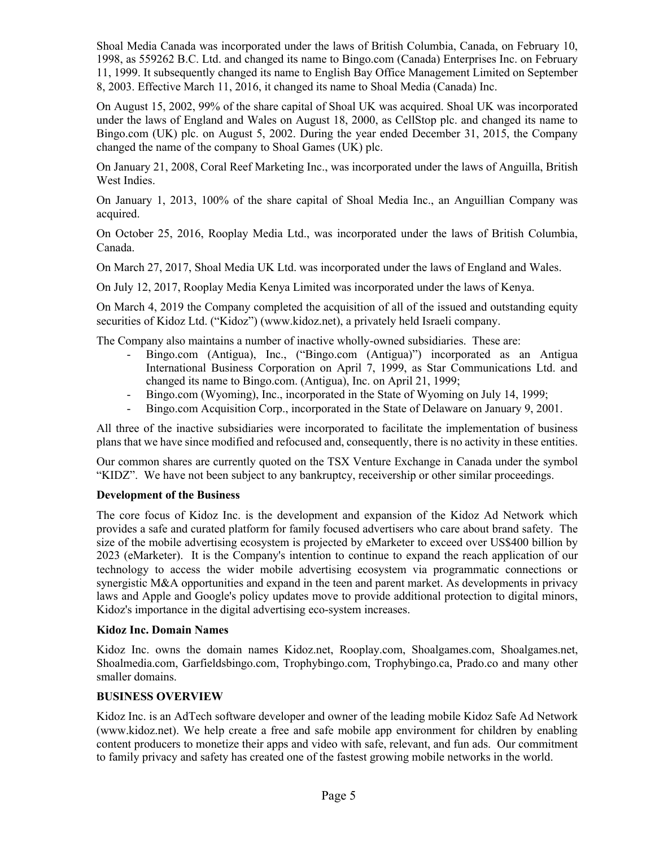Shoal Media Canada was incorporated under the laws of British Columbia, Canada, on February 10, 1998, as 559262 B.C. Ltd. and changed its name to Bingo.com (Canada) Enterprises Inc. on February 11, 1999. It subsequently changed its name to English Bay Office Management Limited on September 8, 2003. Effective March 11, 2016, it changed its name to Shoal Media (Canada) Inc.

On August 15, 2002, 99% of the share capital of Shoal UK was acquired. Shoal UK was incorporated under the laws of England and Wales on August 18, 2000, as CellStop plc. and changed its name to Bingo.com (UK) plc. on August 5, 2002. During the year ended December 31, 2015, the Company changed the name of the company to Shoal Games (UK) plc.

On January 21, 2008, Coral Reef Marketing Inc., was incorporated under the laws of Anguilla, British West Indies.

On January 1, 2013, 100% of the share capital of Shoal Media Inc., an Anguillian Company was acquired.

On October 25, 2016, Rooplay Media Ltd., was incorporated under the laws of British Columbia, Canada.

On March 27, 2017, Shoal Media UK Ltd. was incorporated under the laws of England and Wales.

On July 12, 2017, Rooplay Media Kenya Limited was incorporated under the laws of Kenya.

On March 4, 2019 the Company completed the acquisition of all of the issued and outstanding equity securities of Kidoz Ltd. ("Kidoz") (www.kidoz.net), a privately held Israeli company.

The Company also maintains a number of inactive wholly-owned subsidiaries. These are:

- Bingo.com (Antigua), Inc., ("Bingo.com (Antigua)") incorporated as an Antigua International Business Corporation on April 7, 1999, as Star Communications Ltd. and changed its name to Bingo.com. (Antigua), Inc. on April 21, 1999;
- Bingo.com (Wyoming), Inc., incorporated in the State of Wyoming on July 14, 1999;
- Bingo.com Acquisition Corp., incorporated in the State of Delaware on January 9, 2001.

All three of the inactive subsidiaries were incorporated to facilitate the implementation of business plans that we have since modified and refocused and, consequently, there is no activity in these entities.

Our common shares are currently quoted on the TSX Venture Exchange in Canada under the symbol "KIDZ". We have not been subject to any bankruptcy, receivership or other similar proceedings.

#### **Development of the Business**

The core focus of Kidoz Inc. is the development and expansion of the Kidoz Ad Network which provides a safe and curated platform for family focused advertisers who care about brand safety. The size of the mobile advertising ecosystem is projected by eMarketer to exceed over US\$400 billion by 2023 (eMarketer). It is the Company's intention to continue to expand the reach application of our technology to access the wider mobile advertising ecosystem via programmatic connections or synergistic M&A opportunities and expand in the teen and parent market. As developments in privacy laws and Apple and Google's policy updates move to provide additional protection to digital minors, Kidoz's importance in the digital advertising eco-system increases.

#### **Kidoz Inc. Domain Names**

Kidoz Inc. owns the domain names Kidoz.net, Rooplay.com, Shoalgames.com, Shoalgames.net, Shoalmedia.com, Garfieldsbingo.com, Trophybingo.com, Trophybingo.ca, Prado.co and many other smaller domains.

#### **BUSINESS OVERVIEW**

Kidoz Inc. is an AdTech software developer and owner of the leading mobile Kidoz Safe Ad Network (www.kidoz.net). We help create a free and safe mobile app environment for children by enabling content producers to monetize their apps and video with safe, relevant, and fun ads. Our commitment to family privacy and safety has created one of the fastest growing mobile networks in the world.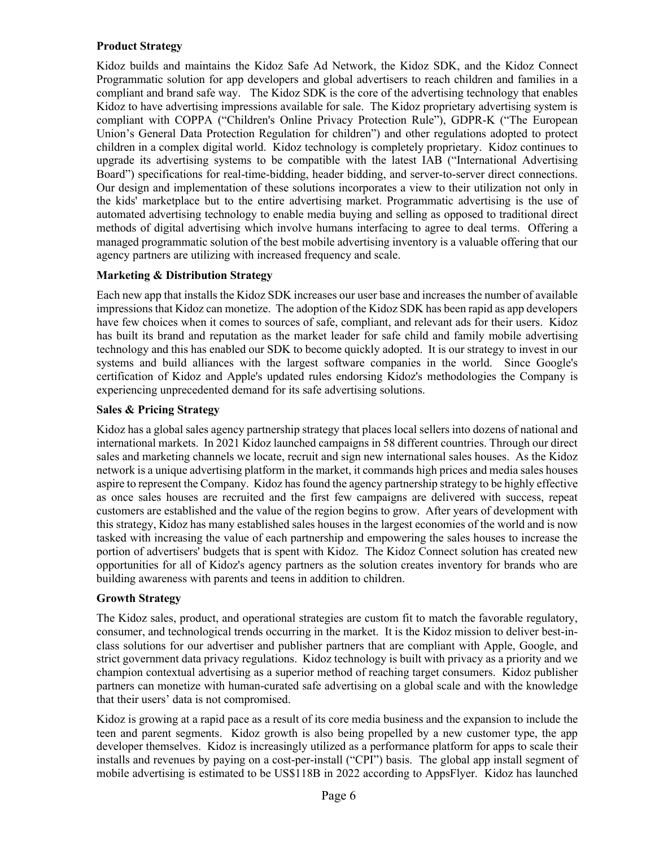# **Product Strategy**

Kidoz builds and maintains the Kidoz Safe Ad Network, the Kidoz SDK, and the Kidoz Connect Programmatic solution for app developers and global advertisers to reach children and families in a compliant and brand safe way. The Kidoz SDK is the core of the advertising technology that enables Kidoz to have advertising impressions available for sale. The Kidoz proprietary advertising system is compliant with COPPA ("Children's Online Privacy Protection Rule"), GDPR-K ("The European Union's General Data Protection Regulation for children") and other regulations adopted to protect children in a complex digital world. Kidoz technology is completely proprietary. Kidoz continues to upgrade its advertising systems to be compatible with the latest IAB ("International Advertising Board") specifications for real-time-bidding, header bidding, and server-to-server direct connections. Our design and implementation of these solutions incorporates a view to their utilization not only in the kids' marketplace but to the entire advertising market. Programmatic advertising is the use of automated advertising technology to enable media buying and selling as opposed to traditional direct methods of digital advertising which involve humans interfacing to agree to deal terms. Offering a managed programmatic solution of the best mobile advertising inventory is a valuable offering that our agency partners are utilizing with increased frequency and scale.

# **Marketing & Distribution Strategy**

Each new app that installs the Kidoz SDK increases our user base and increases the number of available impressions that Kidoz can monetize. The adoption of the Kidoz SDK has been rapid as app developers have few choices when it comes to sources of safe, compliant, and relevant ads for their users. Kidoz has built its brand and reputation as the market leader for safe child and family mobile advertising technology and this has enabled our SDK to become quickly adopted. It is our strategy to invest in our systems and build alliances with the largest software companies in the world. Since Google's certification of Kidoz and Apple's updated rules endorsing Kidoz's methodologies the Company is experiencing unprecedented demand for its safe advertising solutions.

# **Sales & Pricing Strategy**

Kidoz has a global sales agency partnership strategy that places local sellers into dozens of national and international markets. In 2021 Kidoz launched campaigns in 58 different countries. Through our direct sales and marketing channels we locate, recruit and sign new international sales houses. As the Kidoz network is a unique advertising platform in the market, it commands high prices and media sales houses aspire to represent the Company. Kidoz has found the agency partnership strategy to be highly effective as once sales houses are recruited and the first few campaigns are delivered with success, repeat customers are established and the value of the region begins to grow. After years of development with this strategy, Kidoz has many established sales houses in the largest economies of the world and is now tasked with increasing the value of each partnership and empowering the sales houses to increase the portion of advertisers' budgets that is spent with Kidoz. The Kidoz Connect solution has created new opportunities for all of Kidoz's agency partners as the solution creates inventory for brands who are building awareness with parents and teens in addition to children.

# **Growth Strategy**

The Kidoz sales, product, and operational strategies are custom fit to match the favorable regulatory, consumer, and technological trends occurring in the market. It is the Kidoz mission to deliver best-inclass solutions for our advertiser and publisher partners that are compliant with Apple, Google, and strict government data privacy regulations. Kidoz technology is built with privacy as a priority and we champion contextual advertising as a superior method of reaching target consumers. Kidoz publisher partners can monetize with human-curated safe advertising on a global scale and with the knowledge that their users' data is not compromised.

Kidoz is growing at a rapid pace as a result of its core media business and the expansion to include the teen and parent segments. Kidoz growth is also being propelled by a new customer type, the app developer themselves. Kidoz is increasingly utilized as a performance platform for apps to scale their installs and revenues by paying on a cost-per-install ("CPI") basis. The global app install segment of mobile advertising is estimated to be US\$118B in 2022 according to AppsFlyer. Kidoz has launched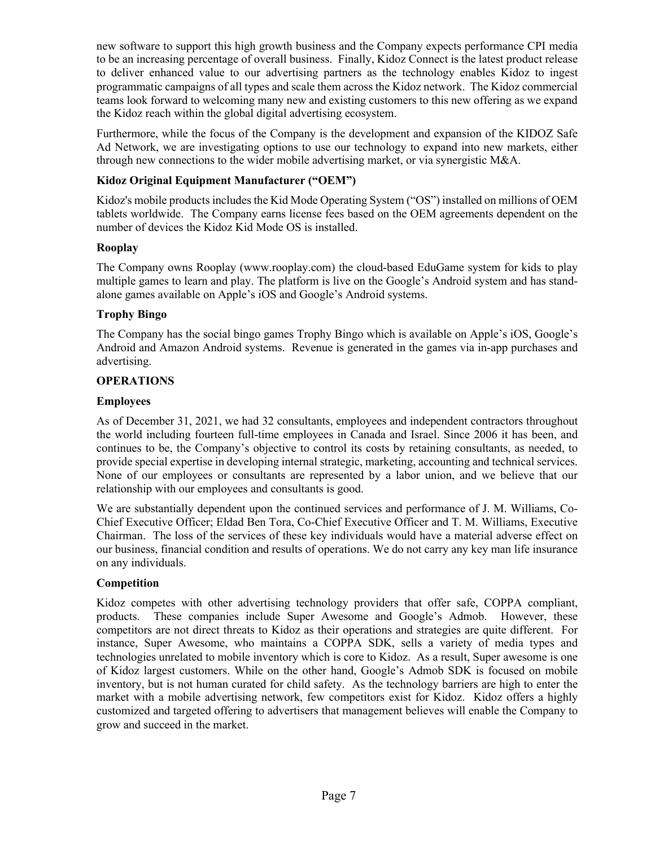new software to support this high growth business and the Company expects performance CPI media to be an increasing percentage of overall business. Finally, Kidoz Connect is the latest product release to deliver enhanced value to our advertising partners as the technology enables Kidoz to ingest programmatic campaigns of all types and scale them across the Kidoz network. The Kidoz commercial teams look forward to welcoming many new and existing customers to this new offering as we expand the Kidoz reach within the global digital advertising ecosystem.

Furthermore, while the focus of the Company is the development and expansion of the KIDOZ Safe Ad Network, we are investigating options to use our technology to expand into new markets, either through new connections to the wider mobile advertising market, or via synergistic M&A.

# **Kidoz Original Equipment Manufacturer ("OEM")**

Kidoz's mobile products includes the Kid Mode Operating System ("OS") installed on millions of OEM tablets worldwide. The Company earns license fees based on the OEM agreements dependent on the number of devices the Kidoz Kid Mode OS is installed.

# **Rooplay**

The Company owns Rooplay (www.rooplay.com) the cloud-based EduGame system for kids to play multiple games to learn and play. The platform is live on the Google's Android system and has standalone games available on Apple's iOS and Google's Android systems.

# **Trophy Bingo**

The Company has the social bingo games Trophy Bingo which is available on Apple's iOS, Google's Android and Amazon Android systems. Revenue is generated in the games via in-app purchases and advertising.

# **OPERATIONS**

# **Employees**

As of December 31, 2021, we had 32 consultants, employees and independent contractors throughout the world including fourteen full-time employees in Canada and Israel. Since 2006 it has been, and continues to be, the Company's objective to control its costs by retaining consultants, as needed, to provide special expertise in developing internal strategic, marketing, accounting and technical services. None of our employees or consultants are represented by a labor union, and we believe that our relationship with our employees and consultants is good.

We are substantially dependent upon the continued services and performance of J. M. Williams, Co-Chief Executive Officer; Eldad Ben Tora, Co-Chief Executive Officer and T. M. Williams, Executive Chairman. The loss of the services of these key individuals would have a material adverse effect on our business, financial condition and results of operations. We do not carry any key man life insurance on any individuals.

# **Competition**

Kidoz competes with other advertising technology providers that offer safe, COPPA compliant, products. These companies include Super Awesome and Google's Admob. However, these competitors are not direct threats to Kidoz as their operations and strategies are quite different. For instance, Super Awesome, who maintains a COPPA SDK, sells a variety of media types and technologies unrelated to mobile inventory which is core to Kidoz. As a result, Super awesome is one of Kidoz largest customers. While on the other hand, Google's Admob SDK is focused on mobile inventory, but is not human curated for child safety. As the technology barriers are high to enter the market with a mobile advertising network, few competitors exist for Kidoz. Kidoz offers a highly customized and targeted offering to advertisers that management believes will enable the Company to grow and succeed in the market.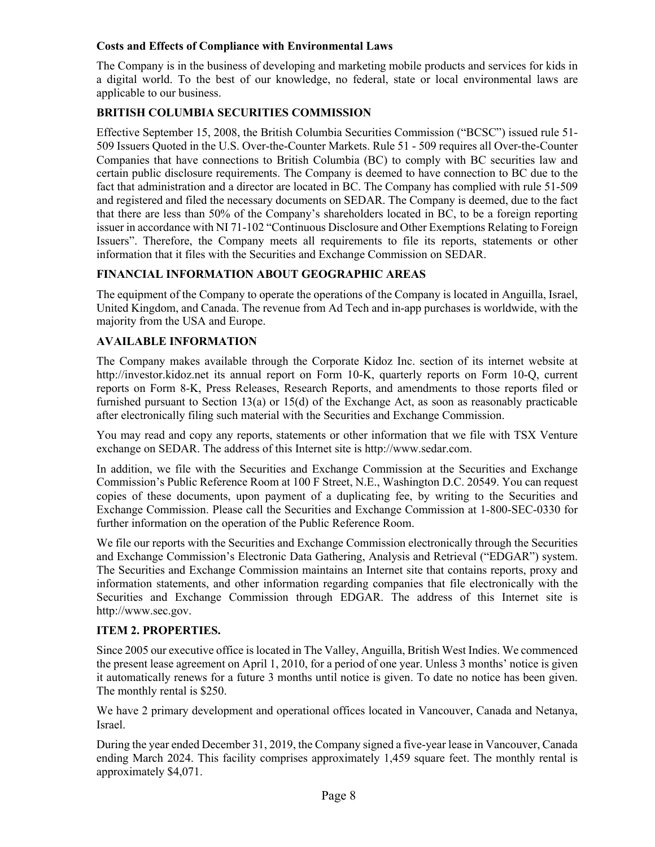#### **Costs and Effects of Compliance with Environmental Laws**

The Company is in the business of developing and marketing mobile products and services for kids in a digital world. To the best of our knowledge, no federal, state or local environmental laws are applicable to our business.

### **BRITISH COLUMBIA SECURITIES COMMISSION**

Effective September 15, 2008, the British Columbia Securities Commission ("BCSC") issued rule 51- 509 Issuers Quoted in the U.S. Over-the-Counter Markets. Rule 51 - 509 requires all Over-the-Counter Companies that have connections to British Columbia (BC) to comply with BC securities law and certain public disclosure requirements. The Company is deemed to have connection to BC due to the fact that administration and a director are located in BC. The Company has complied with rule 51-509 and registered and filed the necessary documents on SEDAR. The Company is deemed, due to the fact that there are less than 50% of the Company's shareholders located in BC, to be a foreign reporting issuer in accordance with NI 71-102 "Continuous Disclosure and Other Exemptions Relating to Foreign Issuers". Therefore, the Company meets all requirements to file its reports, statements or other information that it files with the Securities and Exchange Commission on SEDAR.

# **FINANCIAL INFORMATION ABOUT GEOGRAPHIC AREAS**

The equipment of the Company to operate the operations of the Company is located in Anguilla, Israel, United Kingdom, and Canada. The revenue from Ad Tech and in-app purchases is worldwide, with the majority from the USA and Europe.

#### **AVAILABLE INFORMATION**

The Company makes available through the Corporate Kidoz Inc. section of its internet website at http://investor.kidoz.net its annual report on Form 10-K, quarterly reports on Form 10-Q, current reports on Form 8-K, Press Releases, Research Reports, and amendments to those reports filed or furnished pursuant to Section 13(a) or 15(d) of the Exchange Act, as soon as reasonably practicable after electronically filing such material with the Securities and Exchange Commission.

You may read and copy any reports, statements or other information that we file with TSX Venture exchange on SEDAR. The address of this Internet site is http://www.sedar.com.

In addition, we file with the Securities and Exchange Commission at the Securities and Exchange Commission's Public Reference Room at 100 F Street, N.E., Washington D.C. 20549. You can request copies of these documents, upon payment of a duplicating fee, by writing to the Securities and Exchange Commission. Please call the Securities and Exchange Commission at 1-800-SEC-0330 for further information on the operation of the Public Reference Room.

We file our reports with the Securities and Exchange Commission electronically through the Securities and Exchange Commission's Electronic Data Gathering, Analysis and Retrieval ("EDGAR") system. The Securities and Exchange Commission maintains an Internet site that contains reports, proxy and information statements, and other information regarding companies that file electronically with the Securities and Exchange Commission through EDGAR. The address of this Internet site is http://www.sec.gov.

#### **ITEM 2. PROPERTIES.**

Since 2005 our executive office is located in The Valley, Anguilla, British West Indies. We commenced the present lease agreement on April 1, 2010, for a period of one year. Unless 3 months' notice is given it automatically renews for a future 3 months until notice is given. To date no notice has been given. The monthly rental is \$250.

We have 2 primary development and operational offices located in Vancouver, Canada and Netanya, Israel.

During the year ended December 31, 2019, the Company signed a five-year lease in Vancouver, Canada ending March 2024. This facility comprises approximately 1,459 square feet. The monthly rental is approximately \$4,071.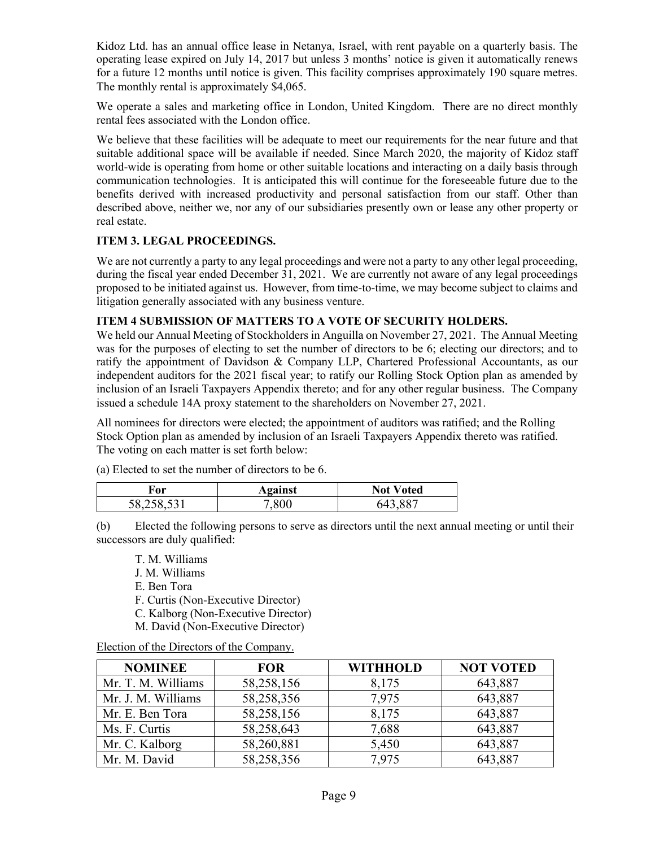Kidoz Ltd. has an annual office lease in Netanya, Israel, with rent payable on a quarterly basis. The operating lease expired on July 14, 2017 but unless 3 months' notice is given it automatically renews for a future 12 months until notice is given. This facility comprises approximately 190 square metres. The monthly rental is approximately \$4,065.

We operate a sales and marketing office in London, United Kingdom. There are no direct monthly rental fees associated with the London office.

We believe that these facilities will be adequate to meet our requirements for the near future and that suitable additional space will be available if needed. Since March 2020, the majority of Kidoz staff world-wide is operating from home or other suitable locations and interacting on a daily basis through communication technologies. It is anticipated this will continue for the foreseeable future due to the benefits derived with increased productivity and personal satisfaction from our staff. Other than described above, neither we, nor any of our subsidiaries presently own or lease any other property or real estate.

# **ITEM 3. LEGAL PROCEEDINGS.**

We are not currently a party to any legal proceedings and were not a party to any other legal proceeding, during the fiscal year ended December 31, 2021. We are currently not aware of any legal proceedings proposed to be initiated against us. However, from time-to-time, we may become subject to claims and litigation generally associated with any business venture.

#### **ITEM 4 SUBMISSION OF MATTERS TO A VOTE OF SECURITY HOLDERS.**

We held our Annual Meeting of Stockholders in Anguilla on November 27, 2021. The Annual Meeting was for the purposes of electing to set the number of directors to be 6; electing our directors; and to ratify the appointment of Davidson & Company LLP, Chartered Professional Accountants, as our independent auditors for the 2021 fiscal year; to ratify our Rolling Stock Option plan as amended by inclusion of an Israeli Taxpayers Appendix thereto; and for any other regular business. The Company issued a schedule 14A proxy statement to the shareholders on November 27, 2021.

All nominees for directors were elected; the appointment of auditors was ratified; and the Rolling Stock Option plan as amended by inclusion of an Israeli Taxpayers Appendix thereto was ratified. The voting on each matter is set forth below:

| гor        | Against  | <b>Not Voted</b> |
|------------|----------|------------------|
| 58,258,531 | ${.}800$ | 007<br>ግ4        |

(a) Elected to set the number of directors to be 6.

(b) Elected the following persons to serve as directors until the next annual meeting or until their successors are duly qualified:

- T. M. Williams
- J. M. Williams
- E. Ben Tora
- F. Curtis (Non-Executive Director)
- C. Kalborg (Non-Executive Director)
- M. David (Non-Executive Director)

Election of the Directors of the Company.

| <b>NOMINEE</b>     | <b>FOR</b> | <b>WITHHOLD</b> | <b>NOT VOTED</b> |
|--------------------|------------|-----------------|------------------|
| Mr. T. M. Williams | 58,258,156 | 8,175           | 643,887          |
| Mr. J. M. Williams | 58,258,356 | 7,975           | 643,887          |
| Mr. E. Ben Tora    | 58,258,156 | 8,175           | 643,887          |
| Ms. F. Curtis      | 58,258,643 | 7,688           | 643,887          |
| Mr. C. Kalborg     | 58,260,881 | 5,450           | 643,887          |
| Mr. M. David       | 58,258,356 | 7,975           | 643,887          |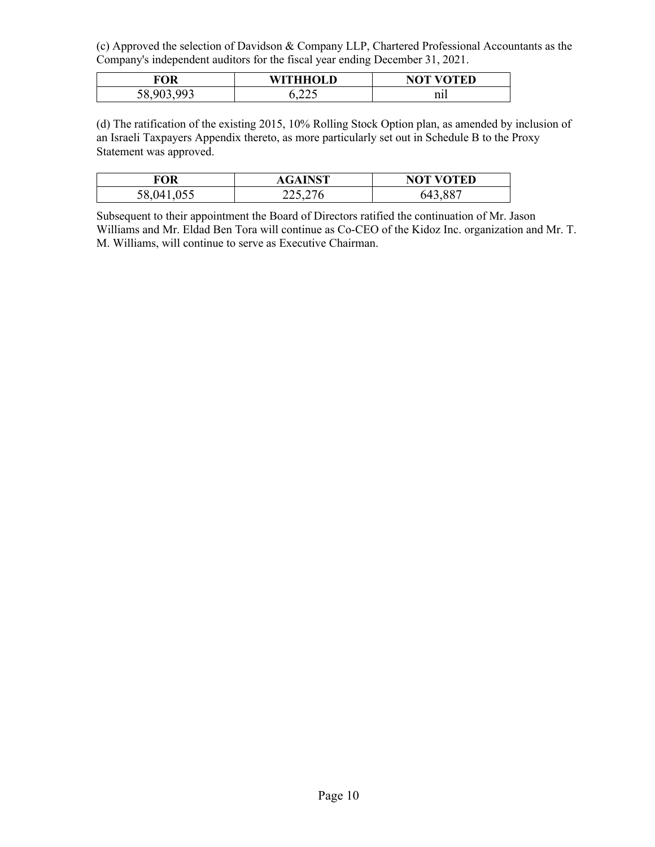(c) Approved the selection of Davidson & Company LLP, Chartered Professional Accountants as the Company's independent auditors for the fiscal year ending December 31, 2021.

| <b>FOR</b>                  | <b>WITHHOLD</b> | <b>NOT VOTED</b> |
|-----------------------------|-----------------|------------------|
| ഹാ<br>$-58.90^\circ$<br>JU, | ت ہے ہے ہ       | nıl              |

(d) The ratification of the existing 2015, 10% Rolling Stock Option plan, as amended by inclusion of an Israeli Taxpayers Appendix thereto, as more particularly set out in Schedule B to the Proxy Statement was approved.

| FOR   | $\cdot$ INST<br>AGAIN | <b>NOT VOTED</b>    |
|-------|-----------------------|---------------------|
| 58,04 | 223,276               | $\sqrt{887}$<br>64? |

Subsequent to their appointment the Board of Directors ratified the continuation of Mr. Jason Williams and Mr. Eldad Ben Tora will continue as Co-CEO of the Kidoz Inc. organization and Mr. T. M. Williams, will continue to serve as Executive Chairman.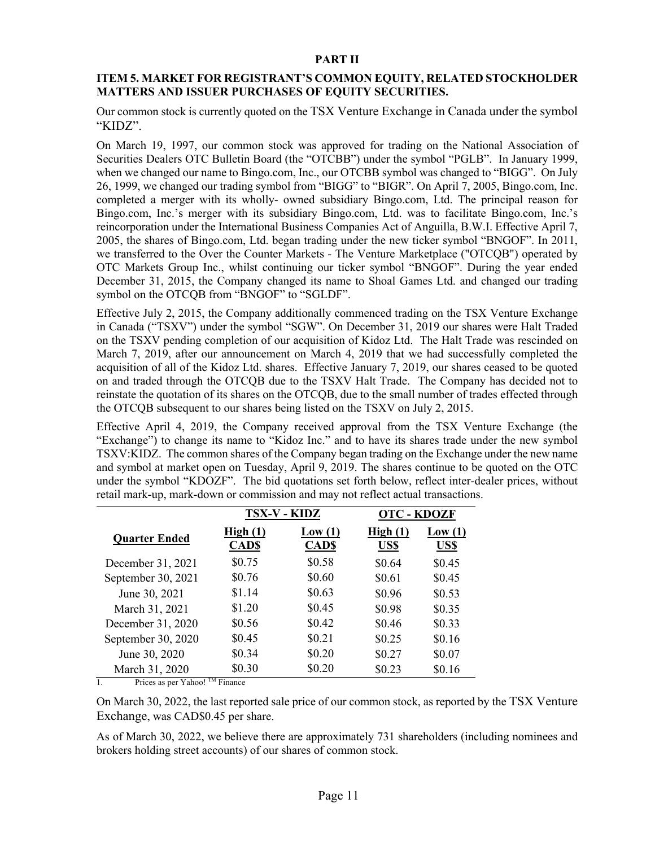#### **PART II**

#### **ITEM 5. MARKET FOR REGISTRANT'S COMMON EQUITY, RELATED STOCKHOLDER MATTERS AND ISSUER PURCHASES OF EQUITY SECURITIES.**

Our common stock is currently quoted on the TSX Venture Exchange in Canada under the symbol "KIDZ".

On March 19, 1997, our common stock was approved for trading on the National Association of Securities Dealers OTC Bulletin Board (the "OTCBB") under the symbol "PGLB". In January 1999, when we changed our name to Bingo.com, Inc., our OTCBB symbol was changed to "BIGG". On July 26, 1999, we changed our trading symbol from "BIGG" to "BIGR". On April 7, 2005, Bingo.com, Inc. completed a merger with its wholly- owned subsidiary Bingo.com, Ltd. The principal reason for Bingo.com, Inc.'s merger with its subsidiary Bingo.com, Ltd. was to facilitate Bingo.com, Inc.'s reincorporation under the International Business Companies Act of Anguilla, B.W.I. Effective April 7, 2005, the shares of Bingo.com, Ltd. began trading under the new ticker symbol "BNGOF". In 2011, we transferred to the Over the Counter Markets - The Venture Marketplace ("OTCQB") operated by OTC Markets Group Inc., whilst continuing our ticker symbol "BNGOF". During the year ended December 31, 2015, the Company changed its name to Shoal Games Ltd. and changed our trading symbol on the OTCQB from "BNGOF" to "SGLDF".

Effective July 2, 2015, the Company additionally commenced trading on the TSX Venture Exchange in Canada ("TSXV") under the symbol "SGW". On December 31, 2019 our shares were Halt Traded on the TSXV pending completion of our acquisition of Kidoz Ltd. The Halt Trade was rescinded on March 7, 2019, after our announcement on March 4, 2019 that we had successfully completed the acquisition of all of the Kidoz Ltd. shares. Effective January 7, 2019, our shares ceased to be quoted on and traded through the OTCQB due to the TSXV Halt Trade. The Company has decided not to reinstate the quotation of its shares on the OTCQB, due to the small number of trades effected through the OTCQB subsequent to our shares being listed on the TSXV on July 2, 2015.

Effective April 4, 2019, the Company received approval from the TSX Venture Exchange (the "Exchange") to change its name to "Kidoz Inc." and to have its shares trade under the new symbol TSXV:KIDZ. The common shares of the Company began trading on the Exchange under the new name and symbol at market open on Tuesday, April 9, 2019. The shares continue to be quoted on the OTC under the symbol "KDOZF". The bid quotations set forth below, reflect inter-dealer prices, without retail mark-up, mark-down or commission and may not reflect actual transactions.

|                      |                        | TSX-V - KIDZ          | <b>OTC - KDOZF</b> |                |
|----------------------|------------------------|-----------------------|--------------------|----------------|
| <b>Quarter Ended</b> | High(1)<br><b>CADS</b> | Low(1)<br><b>CADS</b> | High(1)<br>US\$    | Low(1)<br>US\$ |
| December 31, 2021    | \$0.75                 | \$0.58                | \$0.64             | \$0.45         |
| September 30, 2021   | \$0.76                 | \$0.60                | \$0.61             | \$0.45         |
| June 30, 2021        | \$1.14                 | \$0.63                | \$0.96             | \$0.53         |
| March 31, 2021       | \$1.20                 | \$0.45                | \$0.98             | \$0.35         |
| December 31, 2020    | \$0.56                 | \$0.42                | \$0.46             | \$0.33         |
| September 30, 2020   | \$0.45                 | \$0.21                | \$0.25             | \$0.16         |
| June 30, 2020        | \$0.34                 | \$0.20                | \$0.27             | \$0.07         |
| March 31, 2020       | \$0.30<br>$T^*M$       | \$0.20                | \$0.23             | \$0.16         |

1. Prices as per Yahoo!  $^{TM}$  Finance

On March 30, 2022, the last reported sale price of our common stock, as reported by the TSX Venture Exchange, was CAD\$0.45 per share.

As of March 30, 2022, we believe there are approximately 731 shareholders (including nominees and brokers holding street accounts) of our shares of common stock.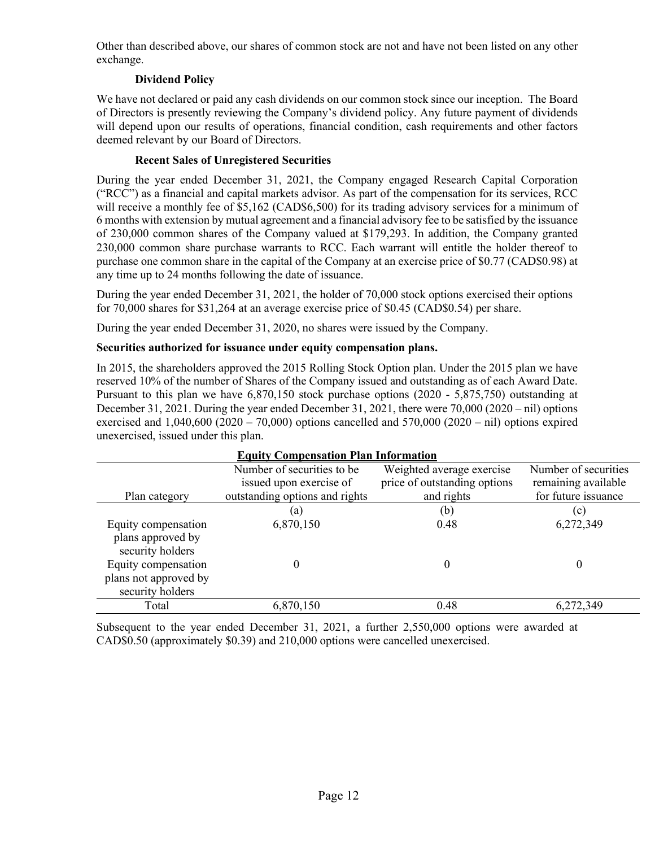Other than described above, our shares of common stock are not and have not been listed on any other exchange.

# **Dividend Policy**

We have not declared or paid any cash dividends on our common stock since our inception. The Board of Directors is presently reviewing the Company's dividend policy. Any future payment of dividends will depend upon our results of operations, financial condition, cash requirements and other factors deemed relevant by our Board of Directors.

# **Recent Sales of Unregistered Securities**

During the year ended December 31, 2021, the Company engaged Research Capital Corporation ("RCC") as a financial and capital markets advisor. As part of the compensation for its services, RCC will receive a monthly fee of \$5,162 (CAD\$6,500) for its trading advisory services for a minimum of 6 months with extension by mutual agreement and a financial advisory fee to be satisfied by the issuance of 230,000 common shares of the Company valued at \$179,293. In addition, the Company granted 230,000 common share purchase warrants to RCC. Each warrant will entitle the holder thereof to purchase one common share in the capital of the Company at an exercise price of \$0.77 (CAD\$0.98) at any time up to 24 months following the date of issuance.

During the year ended December 31, 2021, the holder of 70,000 stock options exercised their options for 70,000 shares for \$31,264 at an average exercise price of \$0.45 (CAD\$0.54) per share.

During the year ended December 31, 2020, no shares were issued by the Company.

# **Securities authorized for issuance under equity compensation plans.**

In 2015, the shareholders approved the 2015 Rolling Stock Option plan. Under the 2015 plan we have reserved 10% of the number of Shares of the Company issued and outstanding as of each Award Date. Pursuant to this plan we have 6,870,150 stock purchase options (2020 - 5,875,750) outstanding at December 31, 2021. During the year ended December 31, 2021, there were  $70,000$  (2020 – nil) options exercised and  $1,040,600$  (2020 – 70,000) options cancelled and  $570,000$  (2020 – nil) options expired unexercised, issued under this plan.

| <b>Equity Compensation Plan Information</b> |                                |                              |                      |  |  |  |  |
|---------------------------------------------|--------------------------------|------------------------------|----------------------|--|--|--|--|
|                                             | Number of securities to be     | Weighted average exercise    | Number of securities |  |  |  |  |
|                                             | issued upon exercise of        | price of outstanding options | remaining available  |  |  |  |  |
| Plan category                               | outstanding options and rights | and rights                   | for future issuance  |  |  |  |  |
|                                             | (a)                            | (b)                          | (c)                  |  |  |  |  |
| Equity compensation                         | 6,870,150                      | 0.48                         | 6,272,349            |  |  |  |  |
| plans approved by                           |                                |                              |                      |  |  |  |  |
| security holders                            |                                |                              |                      |  |  |  |  |
| Equity compensation                         |                                | 0                            | 0                    |  |  |  |  |
| plans not approved by                       |                                |                              |                      |  |  |  |  |
| security holders                            |                                |                              |                      |  |  |  |  |
| Total                                       | 6,870,150                      | 0.48                         | 6,272,349            |  |  |  |  |

Subsequent to the year ended December 31, 2021, a further 2,550,000 options were awarded at CAD\$0.50 (approximately \$0.39) and 210,000 options were cancelled unexercised.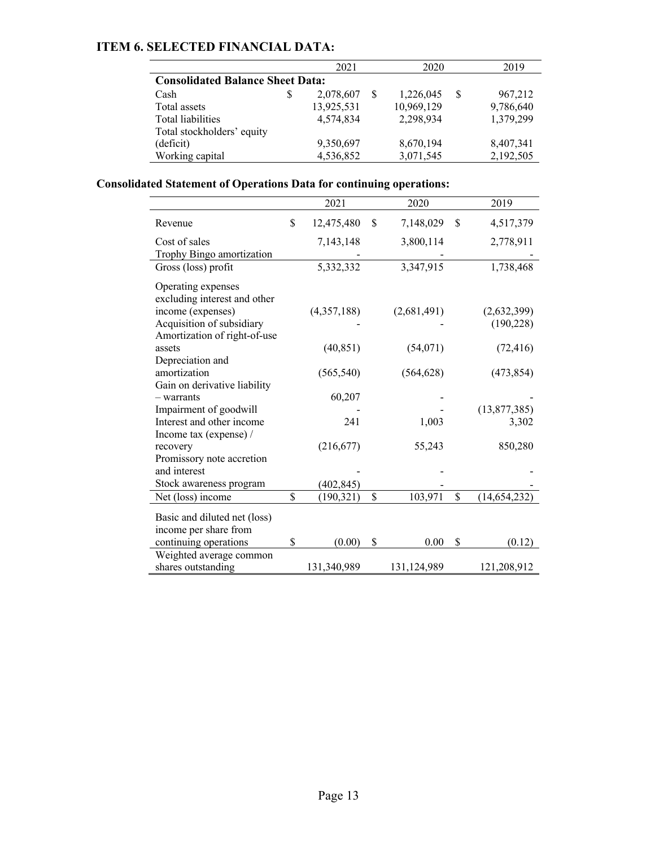# **ITEM 6. SELECTED FINANCIAL DATA:**

|                                         |   | 2021       | 2020 | 2019       |   |           |
|-----------------------------------------|---|------------|------|------------|---|-----------|
| <b>Consolidated Balance Sheet Data:</b> |   |            |      |            |   |           |
| Cash                                    | S | 2,078,607  |      | 1,226,045  | S | 967,212   |
| Total assets                            |   | 13,925,531 |      | 10,969,129 |   | 9,786,640 |
| Total liabilities                       |   | 4.574.834  |      | 2,298,934  |   | 1,379,299 |
| Total stockholders' equity              |   |            |      |            |   |           |
| (deficit)                               |   | 9,350,697  |      | 8,670,194  |   | 8,407,341 |
| Working capital                         |   | 4,536,852  |      | 3,071,545  |   | 2,192,505 |

# **Consolidated Statement of Operations Data for continuing operations:**

|                              |             | 2021        | 2020            | 2019                 |
|------------------------------|-------------|-------------|-----------------|----------------------|
| Revenue                      | \$          | 12,475,480  | \$<br>7,148,029 | \$<br>4,517,379      |
| Cost of sales                |             | 7,143,148   | 3,800,114       | 2,778,911            |
| Trophy Bingo amortization    |             |             |                 |                      |
| Gross (loss) profit          |             | 5,332,332   | 3,347,915       | 1,738,468            |
| Operating expenses           |             |             |                 |                      |
| excluding interest and other |             |             |                 |                      |
| income (expenses)            |             | (4,357,188) | (2,681,491)     | (2,632,399)          |
| Acquisition of subsidiary    |             |             |                 | (190, 228)           |
| Amortization of right-of-use |             |             |                 |                      |
| assets                       |             | (40, 851)   | (54,071)        | (72, 416)            |
| Depreciation and             |             |             |                 |                      |
| amortization                 |             | (565, 540)  | (564, 628)      | (473, 854)           |
| Gain on derivative liability |             |             |                 |                      |
| - warrants                   |             | 60,207      |                 |                      |
| Impairment of goodwill       |             |             |                 | (13,877,385)         |
| Interest and other income    |             | 241         | 1,003           | 3,302                |
| Income tax (expense) /       |             |             |                 |                      |
| recovery                     |             | (216, 677)  | 55,243          | 850,280              |
| Promissory note accretion    |             |             |                 |                      |
| and interest                 |             |             |                 |                      |
| Stock awareness program      |             | (402, 845)  |                 |                      |
| Net (loss) income            | $\mathbf S$ | (190, 321)  | \$<br>103,971   | \$<br>(14, 654, 232) |
|                              |             |             |                 |                      |
| Basic and diluted net (loss) |             |             |                 |                      |
| income per share from        |             |             |                 |                      |
| continuing operations        | \$          | (0.00)      | \$<br>0.00      | \$<br>(0.12)         |
| Weighted average common      |             |             |                 |                      |
| shares outstanding           |             | 131,340,989 | 131,124,989     | 121,208,912          |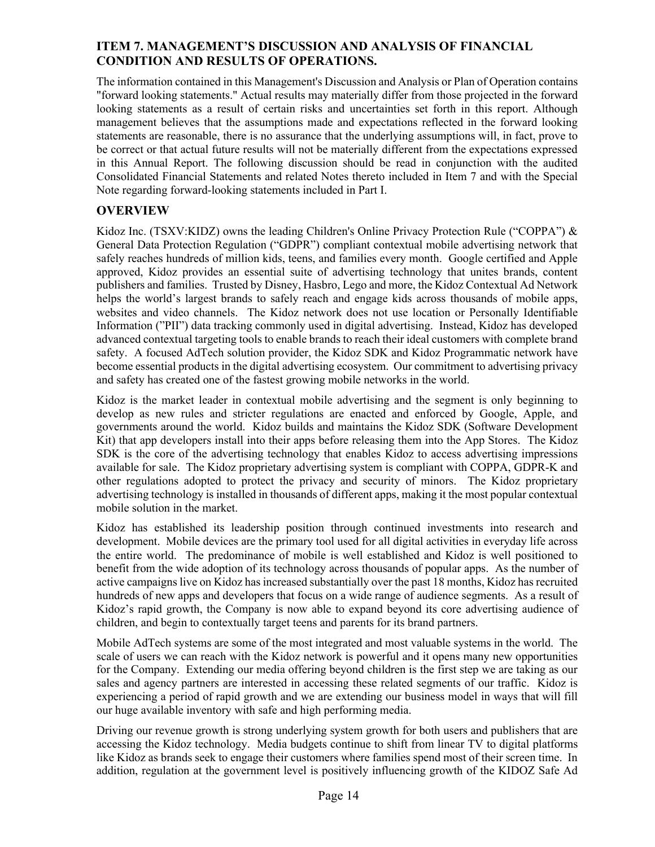# **ITEM 7. MANAGEMENT'S DISCUSSION AND ANALYSIS OF FINANCIAL CONDITION AND RESULTS OF OPERATIONS.**

The information contained in this Management's Discussion and Analysis or Plan of Operation contains "forward looking statements." Actual results may materially differ from those projected in the forward looking statements as a result of certain risks and uncertainties set forth in this report. Although management believes that the assumptions made and expectations reflected in the forward looking statements are reasonable, there is no assurance that the underlying assumptions will, in fact, prove to be correct or that actual future results will not be materially different from the expectations expressed in this Annual Report. The following discussion should be read in conjunction with the audited Consolidated Financial Statements and related Notes thereto included in Item 7 and with the Special Note regarding forward-looking statements included in Part I.

# **OVERVIEW**

Kidoz Inc. (TSXV:KIDZ) owns the leading Children's Online Privacy Protection Rule ("COPPA") & General Data Protection Regulation ("GDPR") compliant contextual mobile advertising network that safely reaches hundreds of million kids, teens, and families every month. Google certified and Apple approved, Kidoz provides an essential suite of advertising technology that unites brands, content publishers and families. Trusted by Disney, Hasbro, Lego and more, the Kidoz Contextual Ad Network helps the world's largest brands to safely reach and engage kids across thousands of mobile apps, websites and video channels. The Kidoz network does not use location or Personally Identifiable Information ("PII") data tracking commonly used in digital advertising. Instead, Kidoz has developed advanced contextual targeting tools to enable brands to reach their ideal customers with complete brand safety. A focused AdTech solution provider, the Kidoz SDK and Kidoz Programmatic network have become essential products in the digital advertising ecosystem. Our commitment to advertising privacy and safety has created one of the fastest growing mobile networks in the world.

Kidoz is the market leader in contextual mobile advertising and the segment is only beginning to develop as new rules and stricter regulations are enacted and enforced by Google, Apple, and governments around the world. Kidoz builds and maintains the Kidoz SDK (Software Development Kit) that app developers install into their apps before releasing them into the App Stores. The Kidoz SDK is the core of the advertising technology that enables Kidoz to access advertising impressions available for sale. The Kidoz proprietary advertising system is compliant with COPPA, GDPR-K and other regulations adopted to protect the privacy and security of minors. The Kidoz proprietary advertising technology is installed in thousands of different apps, making it the most popular contextual mobile solution in the market.

Kidoz has established its leadership position through continued investments into research and development. Mobile devices are the primary tool used for all digital activities in everyday life across the entire world. The predominance of mobile is well established and Kidoz is well positioned to benefit from the wide adoption of its technology across thousands of popular apps. As the number of active campaigns live on Kidoz has increased substantially over the past 18 months, Kidoz has recruited hundreds of new apps and developers that focus on a wide range of audience segments. As a result of Kidoz's rapid growth, the Company is now able to expand beyond its core advertising audience of children, and begin to contextually target teens and parents for its brand partners.

Mobile AdTech systems are some of the most integrated and most valuable systems in the world. The scale of users we can reach with the Kidoz network is powerful and it opens many new opportunities for the Company. Extending our media offering beyond children is the first step we are taking as our sales and agency partners are interested in accessing these related segments of our traffic. Kidoz is experiencing a period of rapid growth and we are extending our business model in ways that will fill our huge available inventory with safe and high performing media.

Driving our revenue growth is strong underlying system growth for both users and publishers that are accessing the Kidoz technology. Media budgets continue to shift from linear TV to digital platforms like Kidoz as brands seek to engage their customers where families spend most of their screen time. In addition, regulation at the government level is positively influencing growth of the KIDOZ Safe Ad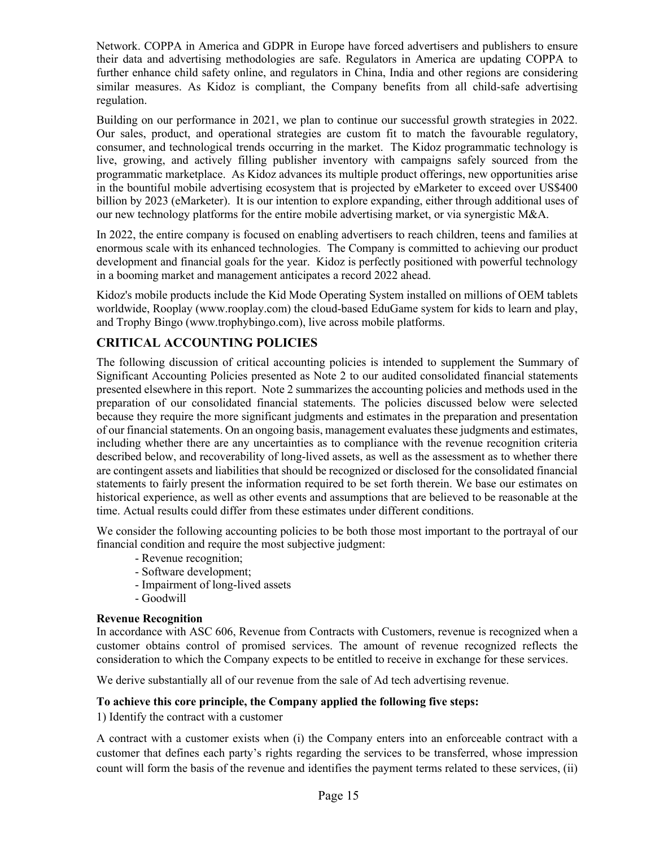Network. COPPA in America and GDPR in Europe have forced advertisers and publishers to ensure their data and advertising methodologies are safe. Regulators in America are updating COPPA to further enhance child safety online, and regulators in China, India and other regions are considering similar measures. As Kidoz is compliant, the Company benefits from all child-safe advertising regulation.

Building on our performance in 2021, we plan to continue our successful growth strategies in 2022. Our sales, product, and operational strategies are custom fit to match the favourable regulatory, consumer, and technological trends occurring in the market. The Kidoz programmatic technology is live, growing, and actively filling publisher inventory with campaigns safely sourced from the programmatic marketplace. As Kidoz advances its multiple product offerings, new opportunities arise in the bountiful mobile advertising ecosystem that is projected by eMarketer to exceed over US\$400 billion by 2023 (eMarketer). It is our intention to explore expanding, either through additional uses of our new technology platforms for the entire mobile advertising market, or via synergistic M&A.

In 2022, the entire company is focused on enabling advertisers to reach children, teens and families at enormous scale with its enhanced technologies. The Company is committed to achieving our product development and financial goals for the year. Kidoz is perfectly positioned with powerful technology in a booming market and management anticipates a record 2022 ahead.

Kidoz's mobile products include the Kid Mode Operating System installed on millions of OEM tablets worldwide, Rooplay (www.rooplay.com) the cloud-based EduGame system for kids to learn and play, and Trophy Bingo (www.trophybingo.com), live across mobile platforms.

# **CRITICAL ACCOUNTING POLICIES**

The following discussion of critical accounting policies is intended to supplement the Summary of Significant Accounting Policies presented as Note 2 to our audited consolidated financial statements presented elsewhere in this report. Note 2 summarizes the accounting policies and methods used in the preparation of our consolidated financial statements. The policies discussed below were selected because they require the more significant judgments and estimates in the preparation and presentation of our financial statements. On an ongoing basis, management evaluates these judgments and estimates, including whether there are any uncertainties as to compliance with the revenue recognition criteria described below, and recoverability of long-lived assets, as well as the assessment as to whether there are contingent assets and liabilities that should be recognized or disclosed for the consolidated financial statements to fairly present the information required to be set forth therein. We base our estimates on historical experience, as well as other events and assumptions that are believed to be reasonable at the time. Actual results could differ from these estimates under different conditions.

We consider the following accounting policies to be both those most important to the portrayal of our financial condition and require the most subjective judgment:

- Revenue recognition;
- Software development;
- Impairment of long-lived assets
- Goodwill

# **Revenue Recognition**

In accordance with ASC 606, Revenue from Contracts with Customers, revenue is recognized when a customer obtains control of promised services. The amount of revenue recognized reflects the consideration to which the Company expects to be entitled to receive in exchange for these services.

We derive substantially all of our revenue from the sale of Ad tech advertising revenue.

#### **To achieve this core principle, the Company applied the following five steps:**

1) Identify the contract with a customer

A contract with a customer exists when (i) the Company enters into an enforceable contract with a customer that defines each party's rights regarding the services to be transferred, whose impression count will form the basis of the revenue and identifies the payment terms related to these services, (ii)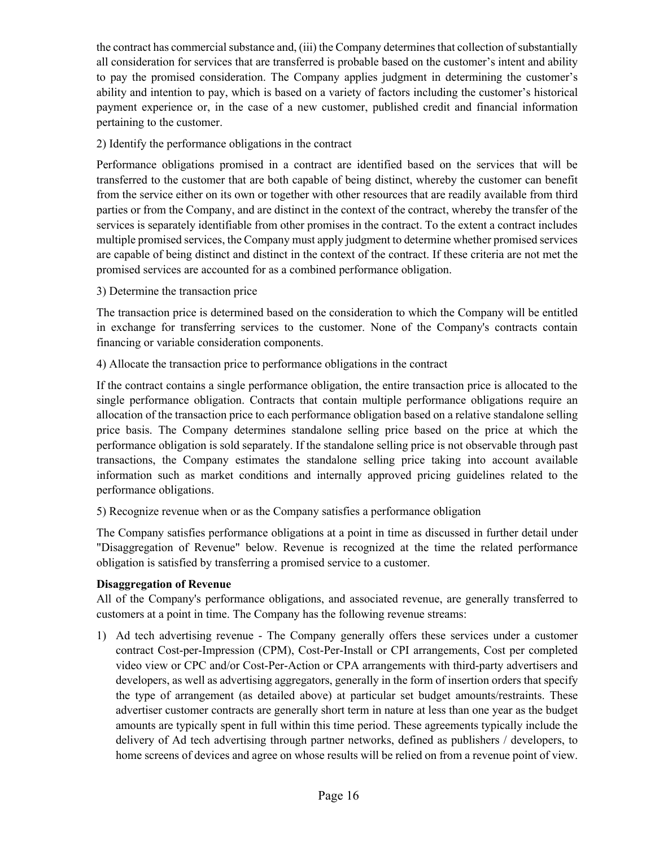the contract has commercial substance and, (iii) the Company determines that collection of substantially all consideration for services that are transferred is probable based on the customer's intent and ability to pay the promised consideration. The Company applies judgment in determining the customer's ability and intention to pay, which is based on a variety of factors including the customer's historical payment experience or, in the case of a new customer, published credit and financial information pertaining to the customer.

# 2) Identify the performance obligations in the contract

Performance obligations promised in a contract are identified based on the services that will be transferred to the customer that are both capable of being distinct, whereby the customer can benefit from the service either on its own or together with other resources that are readily available from third parties or from the Company, and are distinct in the context of the contract, whereby the transfer of the services is separately identifiable from other promises in the contract. To the extent a contract includes multiple promised services, the Company must apply judgment to determine whether promised services are capable of being distinct and distinct in the context of the contract. If these criteria are not met the promised services are accounted for as a combined performance obligation.

3) Determine the transaction price

The transaction price is determined based on the consideration to which the Company will be entitled in exchange for transferring services to the customer. None of the Company's contracts contain financing or variable consideration components.

4) Allocate the transaction price to performance obligations in the contract

If the contract contains a single performance obligation, the entire transaction price is allocated to the single performance obligation. Contracts that contain multiple performance obligations require an allocation of the transaction price to each performance obligation based on a relative standalone selling price basis. The Company determines standalone selling price based on the price at which the performance obligation is sold separately. If the standalone selling price is not observable through past transactions, the Company estimates the standalone selling price taking into account available information such as market conditions and internally approved pricing guidelines related to the performance obligations.

5) Recognize revenue when or as the Company satisfies a performance obligation

The Company satisfies performance obligations at a point in time as discussed in further detail under "Disaggregation of Revenue" below. Revenue is recognized at the time the related performance obligation is satisfied by transferring a promised service to a customer.

# **Disaggregation of Revenue**

All of the Company's performance obligations, and associated revenue, are generally transferred to customers at a point in time. The Company has the following revenue streams:

1) Ad tech advertising revenue - The Company generally offers these services under a customer contract Cost-per-Impression (CPM), Cost-Per-Install or CPI arrangements, Cost per completed video view or CPC and/or Cost-Per-Action or CPA arrangements with third-party advertisers and developers, as well as advertising aggregators, generally in the form of insertion orders that specify the type of arrangement (as detailed above) at particular set budget amounts/restraints. These advertiser customer contracts are generally short term in nature at less than one year as the budget amounts are typically spent in full within this time period. These agreements typically include the delivery of Ad tech advertising through partner networks, defined as publishers / developers, to home screens of devices and agree on whose results will be relied on from a revenue point of view.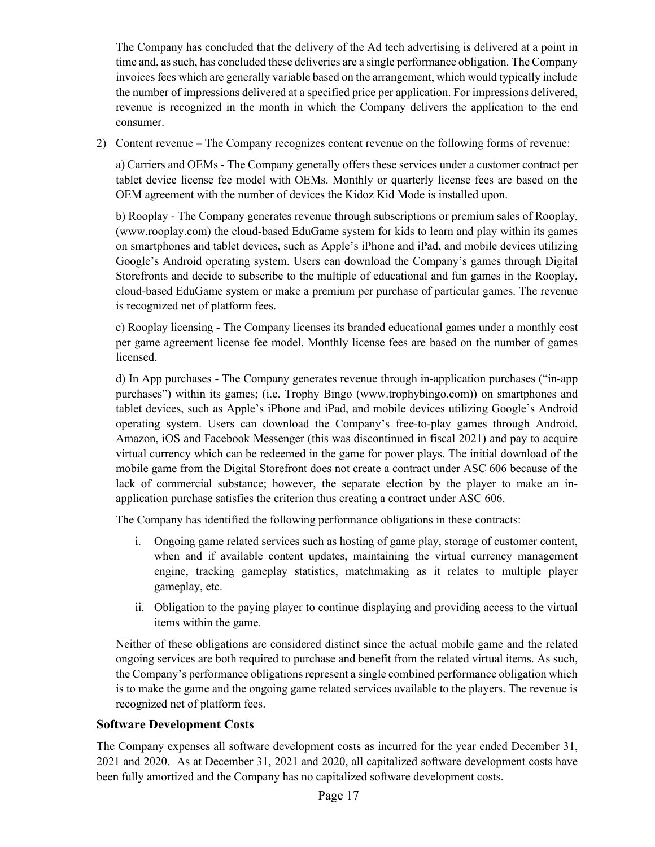The Company has concluded that the delivery of the Ad tech advertising is delivered at a point in time and, as such, has concluded these deliveries are a single performance obligation. The Company invoices fees which are generally variable based on the arrangement, which would typically include the number of impressions delivered at a specified price per application. For impressions delivered, revenue is recognized in the month in which the Company delivers the application to the end consumer.

2) Content revenue – The Company recognizes content revenue on the following forms of revenue:

a) Carriers and OEMs - The Company generally offers these services under a customer contract per tablet device license fee model with OEMs. Monthly or quarterly license fees are based on the OEM agreement with the number of devices the Kidoz Kid Mode is installed upon.

b) Rooplay - The Company generates revenue through subscriptions or premium sales of Rooplay, (www.rooplay.com) the cloud-based EduGame system for kids to learn and play within its games on smartphones and tablet devices, such as Apple's iPhone and iPad, and mobile devices utilizing Google's Android operating system. Users can download the Company's games through Digital Storefronts and decide to subscribe to the multiple of educational and fun games in the Rooplay, cloud-based EduGame system or make a premium per purchase of particular games. The revenue is recognized net of platform fees.

c) Rooplay licensing - The Company licenses its branded educational games under a monthly cost per game agreement license fee model. Monthly license fees are based on the number of games licensed.

d) In App purchases - The Company generates revenue through in-application purchases ("in-app purchases") within its games; (i.e. Trophy Bingo (www.trophybingo.com)) on smartphones and tablet devices, such as Apple's iPhone and iPad, and mobile devices utilizing Google's Android operating system. Users can download the Company's free-to-play games through Android, Amazon, iOS and Facebook Messenger (this was discontinued in fiscal 2021) and pay to acquire virtual currency which can be redeemed in the game for power plays. The initial download of the mobile game from the Digital Storefront does not create a contract under ASC 606 because of the lack of commercial substance; however, the separate election by the player to make an inapplication purchase satisfies the criterion thus creating a contract under ASC 606.

The Company has identified the following performance obligations in these contracts:

- i. Ongoing game related services such as hosting of game play, storage of customer content, when and if available content updates, maintaining the virtual currency management engine, tracking gameplay statistics, matchmaking as it relates to multiple player gameplay, etc.
- ii. Obligation to the paying player to continue displaying and providing access to the virtual items within the game.

Neither of these obligations are considered distinct since the actual mobile game and the related ongoing services are both required to purchase and benefit from the related virtual items. As such, the Company's performance obligations represent a single combined performance obligation which is to make the game and the ongoing game related services available to the players. The revenue is recognized net of platform fees.

# **Software Development Costs**

The Company expenses all software development costs as incurred for the year ended December 31, 2021 and 2020. As at December 31, 2021 and 2020, all capitalized software development costs have been fully amortized and the Company has no capitalized software development costs.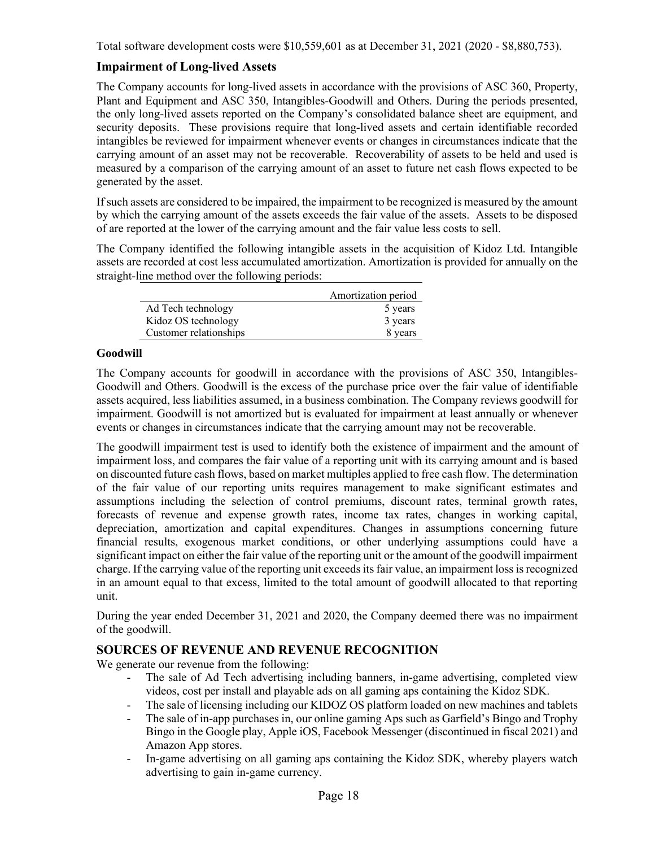Total software development costs were \$10,559,601 as at December 31, 2021 (2020 - \$8,880,753).

# **Impairment of Long-lived Assets**

The Company accounts for long-lived assets in accordance with the provisions of ASC 360, Property, Plant and Equipment and ASC 350, Intangibles-Goodwill and Others. During the periods presented, the only long-lived assets reported on the Company's consolidated balance sheet are equipment, and security deposits. These provisions require that long-lived assets and certain identifiable recorded intangibles be reviewed for impairment whenever events or changes in circumstances indicate that the carrying amount of an asset may not be recoverable. Recoverability of assets to be held and used is measured by a comparison of the carrying amount of an asset to future net cash flows expected to be generated by the asset.

If such assets are considered to be impaired, the impairment to be recognized is measured by the amount by which the carrying amount of the assets exceeds the fair value of the assets. Assets to be disposed of are reported at the lower of the carrying amount and the fair value less costs to sell.

The Company identified the following intangible assets in the acquisition of Kidoz Ltd. Intangible assets are recorded at cost less accumulated amortization. Amortization is provided for annually on the straight-line method over the following periods:

|                        | Amortization period |
|------------------------|---------------------|
| Ad Tech technology     | 5 years             |
| Kidoz OS technology    | 3 years             |
| Customer relationships | 8 years             |

#### **Goodwill**

The Company accounts for goodwill in accordance with the provisions of ASC 350, Intangibles-Goodwill and Others. Goodwill is the excess of the purchase price over the fair value of identifiable assets acquired, less liabilities assumed, in a business combination. The Company reviews goodwill for impairment. Goodwill is not amortized but is evaluated for impairment at least annually or whenever events or changes in circumstances indicate that the carrying amount may not be recoverable.

The goodwill impairment test is used to identify both the existence of impairment and the amount of impairment loss, and compares the fair value of a reporting unit with its carrying amount and is based on discounted future cash flows, based on market multiples applied to free cash flow. The determination of the fair value of our reporting units requires management to make significant estimates and assumptions including the selection of control premiums, discount rates, terminal growth rates, forecasts of revenue and expense growth rates, income tax rates, changes in working capital, depreciation, amortization and capital expenditures. Changes in assumptions concerning future financial results, exogenous market conditions, or other underlying assumptions could have a significant impact on either the fair value of the reporting unit or the amount of the goodwill impairment charge. If the carrying value of the reporting unit exceeds its fair value, an impairment loss is recognized in an amount equal to that excess, limited to the total amount of goodwill allocated to that reporting unit.

During the year ended December 31, 2021 and 2020, the Company deemed there was no impairment of the goodwill.

# **SOURCES OF REVENUE AND REVENUE RECOGNITION**

We generate our revenue from the following:

- The sale of Ad Tech advertising including banners, in-game advertising, completed view videos, cost per install and playable ads on all gaming aps containing the Kidoz SDK.
- The sale of licensing including our KIDOZ OS platform loaded on new machines and tablets
- The sale of in-app purchases in, our online gaming Aps such as Garfield's Bingo and Trophy Bingo in the Google play, Apple iOS, Facebook Messenger (discontinued in fiscal 2021) and Amazon App stores.
- In-game advertising on all gaming aps containing the Kidoz SDK, whereby players watch advertising to gain in-game currency.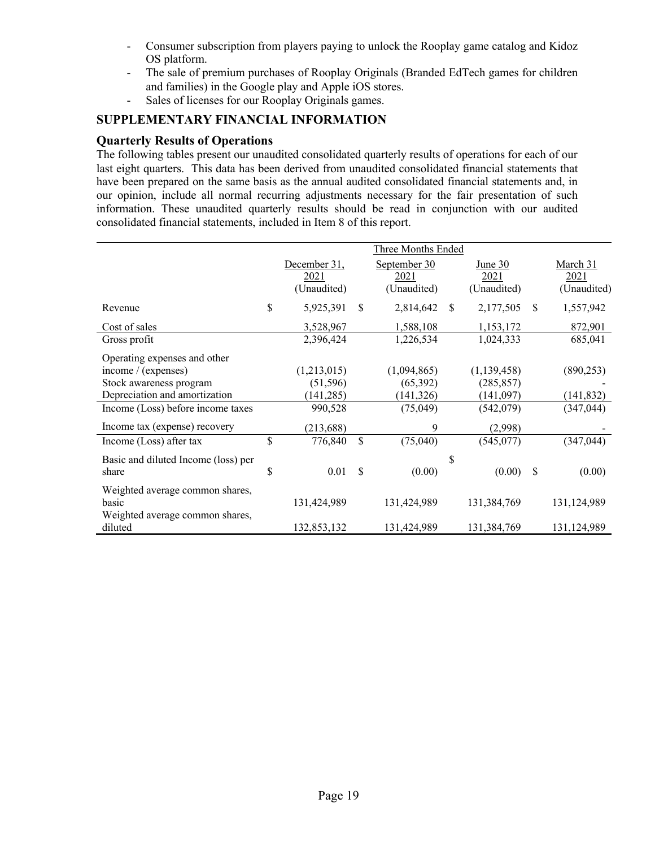- Consumer subscription from players paying to unlock the Rooplay game catalog and Kidoz OS platform.
- The sale of premium purchases of Rooplay Originals (Branded EdTech games for children and families) in the Google play and Apple iOS stores.
- Sales of licenses for our Rooplay Originals games.

# **SUPPLEMENTARY FINANCIAL INFORMATION**

# **Quarterly Results of Operations**

The following tables present our unaudited consolidated quarterly results of operations for each of our last eight quarters. This data has been derived from unaudited consolidated financial statements that have been prepared on the same basis as the annual audited consolidated financial statements and, in our opinion, include all normal recurring adjustments necessary for the fair presentation of such information. These unaudited quarterly results should be read in conjunction with our audited consolidated financial statements, included in Item 8 of this report.

|                                                                             |                                |               | Three Months Ended       |               |                          |               |                          |
|-----------------------------------------------------------------------------|--------------------------------|---------------|--------------------------|---------------|--------------------------|---------------|--------------------------|
|                                                                             | December 31,<br>2021           |               | September 30<br>2021     |               | <u>June 30</u><br>2021   |               | March 31<br>2021         |
| Revenue                                                                     | \$<br>(Unaudited)<br>5,925,391 | -S            | (Unaudited)<br>2,814,642 | <sup>\$</sup> | (Unaudited)<br>2,177,505 | <sup>\$</sup> | (Unaudited)<br>1,557,942 |
| Cost of sales                                                               | 3,528,967                      |               | 1,588,108                |               | 1,153,172                |               | 872,901                  |
| Gross profit                                                                | 2,396,424                      |               | 1,226,534                |               | 1,024,333                |               | 685,041                  |
| Operating expenses and other<br>income / (expenses)                         | (1,213,015)                    |               | (1,094,865)              |               | (1, 139, 458)            |               | (890, 253)               |
| Stock awareness program                                                     | (51, 596)                      |               | (65, 392)                |               | (285, 857)               |               |                          |
| Depreciation and amortization                                               | (141, 285)                     |               | (141, 326)               |               | (141,097)                |               | (141, 832)               |
| Income (Loss) before income taxes                                           | 990,528                        |               | (75, 049)                |               | (542,079)                |               | (347, 044)               |
| Income tax (expense) recovery                                               | (213, 688)                     |               | 9                        |               | (2,998)                  |               |                          |
| Income (Loss) after tax                                                     | \$<br>776,840                  | <sup>\$</sup> | (75,040)                 |               | (545,077)                |               | (347, 044)               |
| Basic and diluted Income (loss) per<br>share                                | \$<br>0.01                     | \$.           | (0.00)                   | \$            | (0.00)                   | \$            | (0.00)                   |
| Weighted average common shares,<br>basic<br>Weighted average common shares, | 131,424,989                    |               | 131,424,989              |               | 131,384,769              |               | 131,124,989              |
| diluted                                                                     | 132,853,132                    |               | 131,424,989              |               | 131,384,769              |               | 131,124,989              |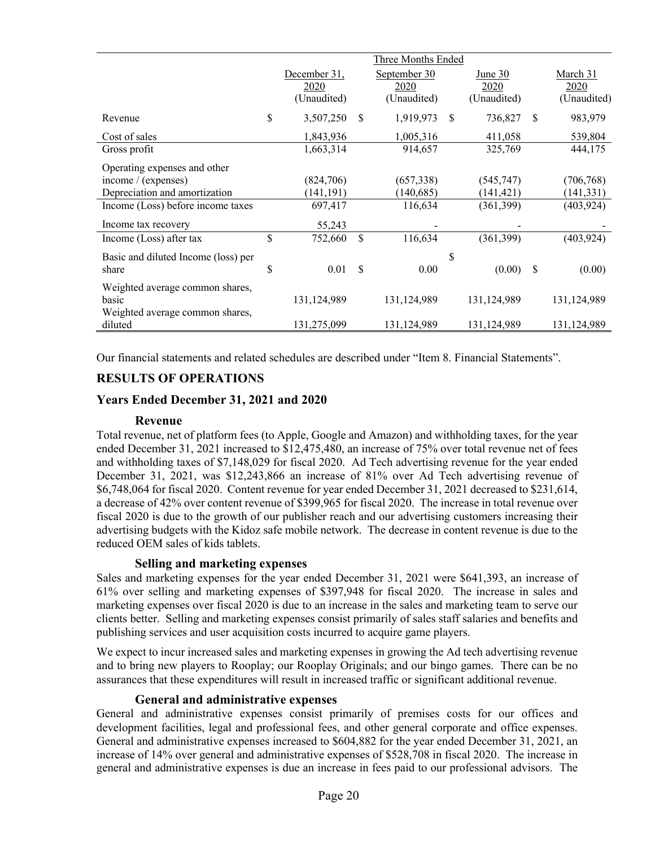|                                     | Three Months Ended |              |               |              |               |             |               |             |
|-------------------------------------|--------------------|--------------|---------------|--------------|---------------|-------------|---------------|-------------|
|                                     |                    | December 31, |               | September 30 |               | June 30     |               | March 31    |
|                                     |                    | 2020         |               | 2020         |               | 2020        |               | 2020        |
|                                     |                    | (Unaudited)  |               | (Unaudited)  |               | (Unaudited) |               | (Unaudited) |
| Revenue                             | \$                 | 3,507,250    | <sup>\$</sup> | 1,919,973    | <sup>\$</sup> | 736,827     | <sup>\$</sup> | 983,979     |
| Cost of sales                       |                    | 1,843,936    |               | 1,005,316    |               | 411,058     |               | 539,804     |
| Gross profit                        |                    | 1,663,314    |               | 914,657      |               | 325,769     |               | 444,175     |
| Operating expenses and other        |                    |              |               |              |               |             |               |             |
| income / (expenses)                 |                    | (824,706)    |               | (657, 338)   |               | (545, 747)  |               | (706, 768)  |
| Depreciation and amortization       |                    | (141, 191)   |               | (140, 685)   |               | (141, 421)  |               | (141, 331)  |
| Income (Loss) before income taxes   |                    | 697,417      |               | 116,634      |               | (361,399)   |               | (403, 924)  |
| Income tax recovery                 |                    | 55,243       |               |              |               |             |               |             |
| Income (Loss) after tax             | \$                 | 752,660      | \$            | 116,634      |               | (361, 399)  |               | (403, 924)  |
| Basic and diluted Income (loss) per |                    |              |               |              | \$            |             |               |             |
| share                               | \$                 | 0.01         | \$            | 0.00         |               | (0.00)      | -S            | (0.00)      |
|                                     |                    |              |               |              |               |             |               |             |
| Weighted average common shares,     |                    |              |               |              |               |             |               |             |
| basic                               |                    | 131,124,989  |               | 131,124,989  |               | 131,124,989 |               | 131,124,989 |
| Weighted average common shares,     |                    |              |               |              |               |             |               |             |
| diluted                             |                    | 131,275,099  |               | 131,124,989  |               | 131,124,989 |               | 131,124,989 |

Our financial statements and related schedules are described under "Item 8. Financial Statements".

# **RESULTS OF OPERATIONS**

# **Years Ended December 31, 2021 and 2020**

#### **Revenue**

Total revenue, net of platform fees (to Apple, Google and Amazon) and withholding taxes, for the year ended December 31, 2021 increased to \$12,475,480, an increase of 75% over total revenue net of fees and withholding taxes of \$7,148,029 for fiscal 2020. Ad Tech advertising revenue for the year ended December 31, 2021, was \$12,243,866 an increase of 81% over Ad Tech advertising revenue of \$6,748,064 for fiscal 2020. Content revenue for year ended December 31, 2021 decreased to \$231,614, a decrease of 42% over content revenue of \$399,965 for fiscal 2020. The increase in total revenue over fiscal 2020 is due to the growth of our publisher reach and our advertising customers increasing their advertising budgets with the Kidoz safe mobile network. The decrease in content revenue is due to the reduced OEM sales of kids tablets.

#### **Selling and marketing expenses**

Sales and marketing expenses for the year ended December 31, 2021 were \$641,393, an increase of 61% over selling and marketing expenses of \$397,948 for fiscal 2020. The increase in sales and marketing expenses over fiscal 2020 is due to an increase in the sales and marketing team to serve our clients better. Selling and marketing expenses consist primarily of sales staff salaries and benefits and publishing services and user acquisition costs incurred to acquire game players.

We expect to incur increased sales and marketing expenses in growing the Ad tech advertising revenue and to bring new players to Rooplay; our Rooplay Originals; and our bingo games. There can be no assurances that these expenditures will result in increased traffic or significant additional revenue.

#### **General and administrative expenses**

General and administrative expenses consist primarily of premises costs for our offices and development facilities, legal and professional fees, and other general corporate and office expenses. General and administrative expenses increased to \$604,882 for the year ended December 31, 2021, an increase of 14% over general and administrative expenses of \$528,708 in fiscal 2020. The increase in general and administrative expenses is due an increase in fees paid to our professional advisors. The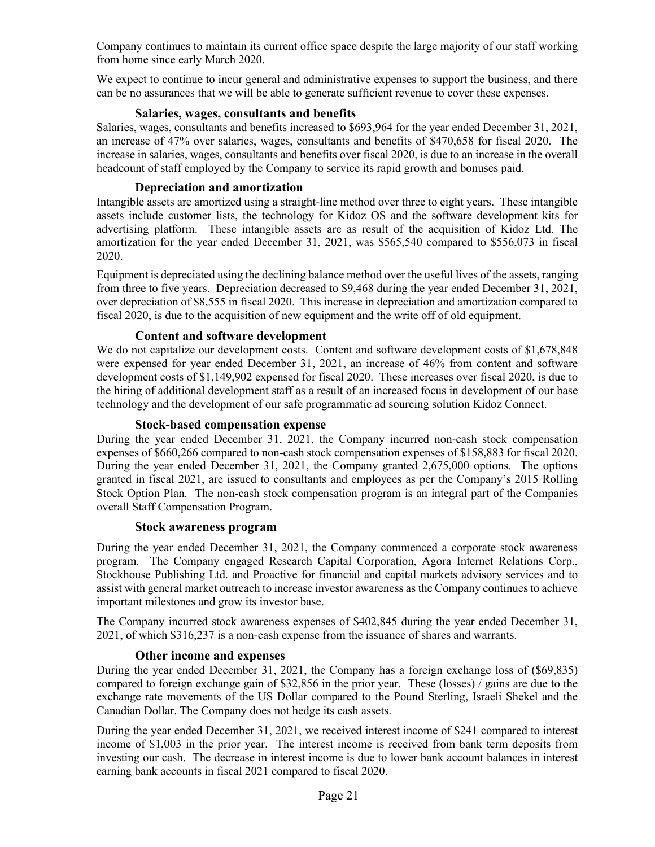Company continues to maintain its current office space despite the large majority of our staff working from home since early March 2020.

We expect to continue to incur general and administrative expenses to support the business, and there can be no assurances that we will be able to generate sufficient revenue to cover these expenses.

#### **Salaries, wages, consultants and benefits**

Salaries, wages, consultants and benefits increased to \$693,964 for the year ended December 31, 2021, an increase of 47% over salaries, wages, consultants and benefits of \$470,658 for fiscal 2020. The increase in salaries, wages, consultants and benefits over fiscal 2020, is due to an increase in the overall headcount of staff employed by the Company to service its rapid growth and bonuses paid.

### **Depreciation and amortization**

Intangible assets are amortized using a straight-line method over three to eight years. These intangible assets include customer lists, the technology for Kidoz OS and the software development kits for advertising platform. These intangible assets are as result of the acquisition of Kidoz Ltd. The amortization for the year ended December 31, 2021, was \$565,540 compared to \$556,073 in fiscal 2020.

Equipment is depreciated using the declining balance method over the useful lives of the assets, ranging from three to five years. Depreciation decreased to \$9,468 during the year ended December 31, 2021, over depreciation of \$8,555 in fiscal 2020. This increase in depreciation and amortization compared to fiscal 2020, is due to the acquisition of new equipment and the write off of old equipment.

#### **Content and software development**

We do not capitalize our development costs. Content and software development costs of \$1,678,848 were expensed for year ended December 31, 2021, an increase of 46% from content and software development costs of \$1,149,902 expensed for fiscal 2020. These increases over fiscal 2020, is due to the hiring of additional development staff as a result of an increased focus in development of our base technology and the development of our safe programmatic ad sourcing solution Kidoz Connect.

#### **Stock-based compensation expense**

During the year ended December 31, 2021, the Company incurred non-cash stock compensation expenses of \$660,266 compared to non-cash stock compensation expenses of \$158,883 for fiscal 2020. During the year ended December 31, 2021, the Company granted 2,675,000 options. The options granted in fiscal 2021, are issued to consultants and employees as per the Company's 2015 Rolling Stock Option Plan. The non-cash stock compensation program is an integral part of the Companies overall Staff Compensation Program.

# **Stock awareness program**

During the year ended December 31, 2021, the Company commenced a corporate stock awareness program. The Company engaged Research Capital Corporation, Agora Internet Relations Corp., Stockhouse Publishing Ltd. and Proactive for financial and capital markets advisory services and to assist with general market outreach to increase investor awareness as the Company continues to achieve important milestones and grow its investor base.

The Company incurred stock awareness expenses of \$402,845 during the year ended December 31, 2021, of which \$316,237 is a non-cash expense from the issuance of shares and warrants.

#### **Other income and expenses**

During the year ended December 31, 2021, the Company has a foreign exchange loss of (\$69,835) compared to foreign exchange gain of \$32,856 in the prior year. These (losses) / gains are due to the exchange rate movements of the US Dollar compared to the Pound Sterling, Israeli Shekel and the Canadian Dollar. The Company does not hedge its cash assets.

During the year ended December 31, 2021, we received interest income of \$241 compared to interest income of \$1,003 in the prior year. The interest income is received from bank term deposits from investing our cash. The decrease in interest income is due to lower bank account balances in interest earning bank accounts in fiscal 2021 compared to fiscal 2020.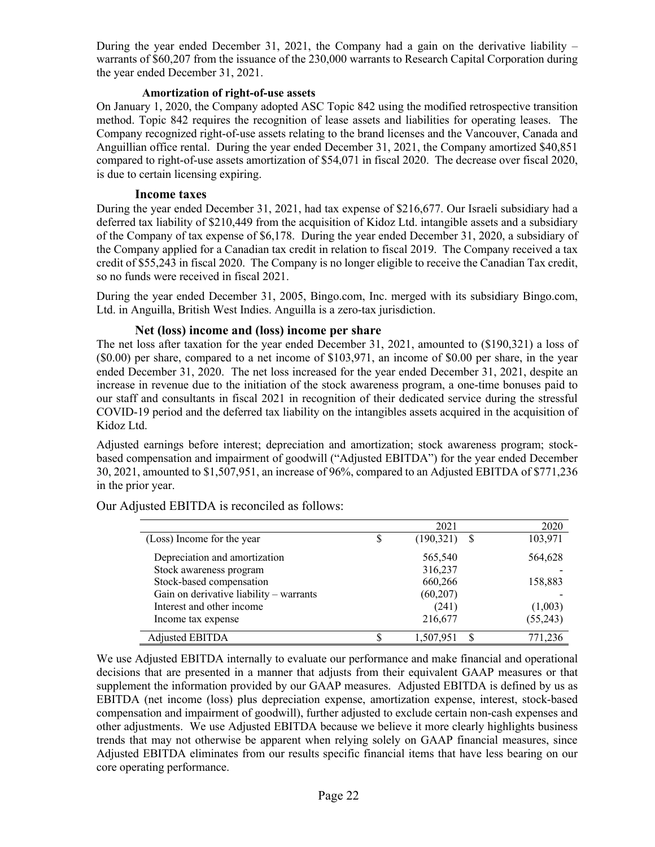During the year ended December 31, 2021, the Company had a gain on the derivative liability  $$ warrants of \$60,207 from the issuance of the 230,000 warrants to Research Capital Corporation during the year ended December 31, 2021.

#### **Amortization of right-of-use assets**

On January 1, 2020, the Company adopted ASC Topic 842 using the modified retrospective transition method. Topic 842 requires the recognition of lease assets and liabilities for operating leases. The Company recognized right-of-use assets relating to the brand licenses and the Vancouver, Canada and Anguillian office rental. During the year ended December 31, 2021, the Company amortized \$40,851 compared to right-of-use assets amortization of \$54,071 in fiscal 2020. The decrease over fiscal 2020, is due to certain licensing expiring.

#### **Income taxes**

During the year ended December 31, 2021, had tax expense of \$216,677. Our Israeli subsidiary had a deferred tax liability of \$210,449 from the acquisition of Kidoz Ltd. intangible assets and a subsidiary of the Company of tax expense of \$6,178. During the year ended December 31, 2020, a subsidiary of the Company applied for a Canadian tax credit in relation to fiscal 2019. The Company received a tax credit of \$55,243 in fiscal 2020. The Company is no longer eligible to receive the Canadian Tax credit, so no funds were received in fiscal 2021.

During the year ended December 31, 2005, Bingo.com, Inc. merged with its subsidiary Bingo.com, Ltd. in Anguilla, British West Indies. Anguilla is a zero-tax jurisdiction.

# **Net (loss) income and (loss) income per share**

The net loss after taxation for the year ended December 31, 2021, amounted to (\$190,321) a loss of (\$0.00) per share, compared to a net income of \$103,971, an income of \$0.00 per share, in the year ended December 31, 2020. The net loss increased for the year ended December 31, 2021, despite an increase in revenue due to the initiation of the stock awareness program, a one-time bonuses paid to our staff and consultants in fiscal 2021 in recognition of their dedicated service during the stressful COVID-19 period and the deferred tax liability on the intangibles assets acquired in the acquisition of Kidoz Ltd.

Adjusted earnings before interest; depreciation and amortization; stock awareness program; stockbased compensation and impairment of goodwill ("Adjusted EBITDA") for the year ended December 30, 2021, amounted to \$1,507,951, an increase of 96%, compared to an Adjusted EBITDA of \$771,236 in the prior year.

|                                         |   | 2021            | 2020     |
|-----------------------------------------|---|-----------------|----------|
| (Loss) Income for the year              | S | (190, 321)<br>S | 103,971  |
| Depreciation and amortization           |   | 565,540         | 564,628  |
| Stock awareness program                 |   | 316,237         |          |
| Stock-based compensation                |   | 660,266         | 158,883  |
| Gain on derivative liability - warrants |   | (60, 207)       |          |
| Interest and other income               |   | (241)           | (1,003)  |
| Income tax expense                      |   | 216,677         | (55,243) |
| Adjusted EBITDA                         |   | 1,507,951       | 771,236  |

Our Adjusted EBITDA is reconciled as follows:

We use Adjusted EBITDA internally to evaluate our performance and make financial and operational decisions that are presented in a manner that adjusts from their equivalent GAAP measures or that supplement the information provided by our GAAP measures. Adjusted EBITDA is defined by us as EBITDA (net income (loss) plus depreciation expense, amortization expense, interest, stock-based compensation and impairment of goodwill), further adjusted to exclude certain non-cash expenses and other adjustments. We use Adjusted EBITDA because we believe it more clearly highlights business trends that may not otherwise be apparent when relying solely on GAAP financial measures, since Adjusted EBITDA eliminates from our results specific financial items that have less bearing on our core operating performance.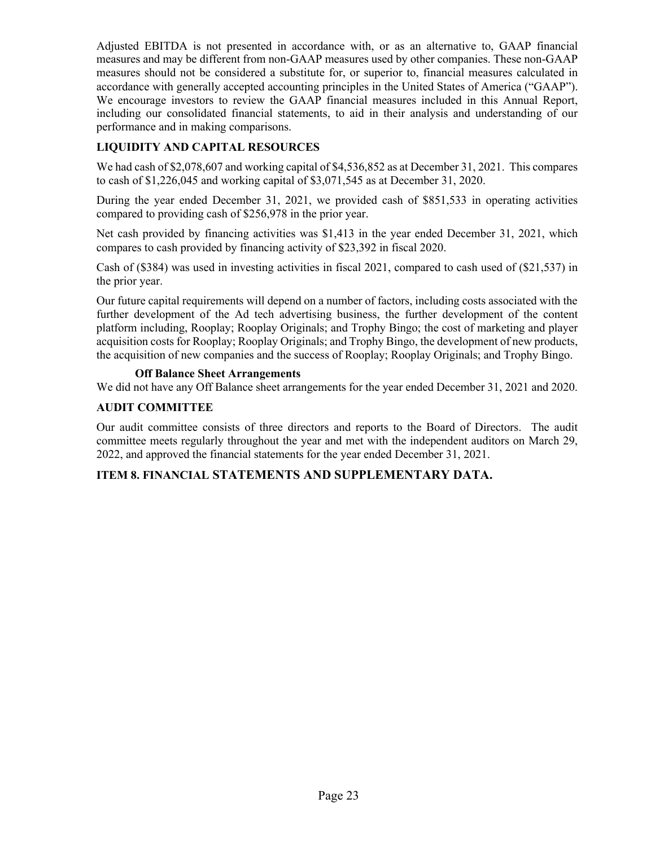Adjusted EBITDA is not presented in accordance with, or as an alternative to, GAAP financial measures and may be different from non-GAAP measures used by other companies. These non-GAAP measures should not be considered a substitute for, or superior to, financial measures calculated in accordance with generally accepted accounting principles in the United States of America ("GAAP"). We encourage investors to review the GAAP financial measures included in this Annual Report, including our consolidated financial statements, to aid in their analysis and understanding of our performance and in making comparisons.

# **LIQUIDITY AND CAPITAL RESOURCES**

We had cash of \$2,078,607 and working capital of \$4,536,852 as at December 31, 2021. This compares to cash of \$1,226,045 and working capital of \$3,071,545 as at December 31, 2020.

During the year ended December 31, 2021, we provided cash of \$851,533 in operating activities compared to providing cash of \$256,978 in the prior year.

Net cash provided by financing activities was \$1,413 in the year ended December 31, 2021, which compares to cash provided by financing activity of \$23,392 in fiscal 2020.

Cash of (\$384) was used in investing activities in fiscal 2021, compared to cash used of (\$21,537) in the prior year.

Our future capital requirements will depend on a number of factors, including costs associated with the further development of the Ad tech advertising business, the further development of the content platform including, Rooplay; Rooplay Originals; and Trophy Bingo; the cost of marketing and player acquisition costs for Rooplay; Rooplay Originals; and Trophy Bingo, the development of new products, the acquisition of new companies and the success of Rooplay; Rooplay Originals; and Trophy Bingo.

# **Off Balance Sheet Arrangements**

We did not have any Off Balance sheet arrangements for the year ended December 31, 2021 and 2020.

# **AUDIT COMMITTEE**

Our audit committee consists of three directors and reports to the Board of Directors. The audit committee meets regularly throughout the year and met with the independent auditors on March 29, 2022, and approved the financial statements for the year ended December 31, 2021.

# **ITEM 8. FINANCIAL STATEMENTS AND SUPPLEMENTARY DATA.**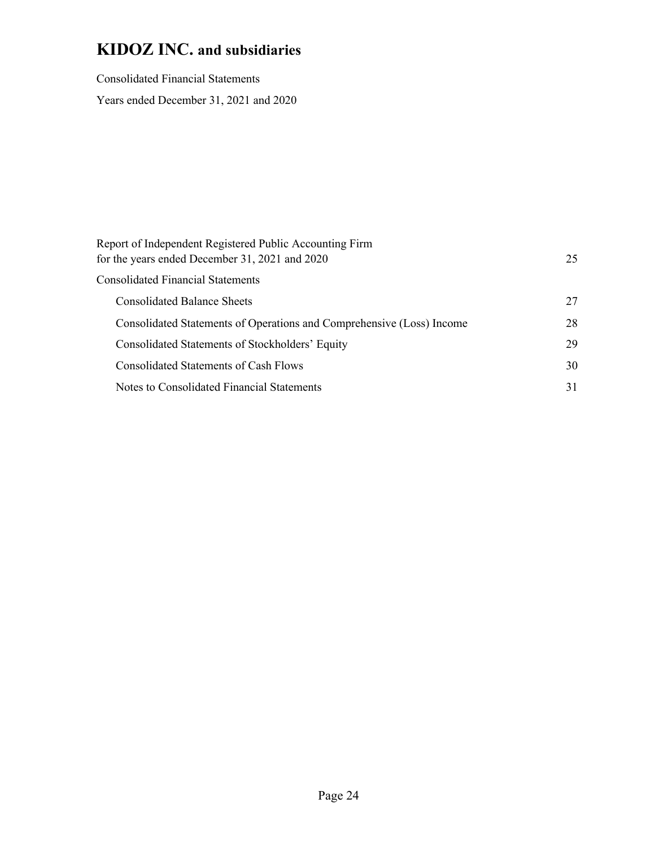Consolidated Financial Statements Years ended December 31, 2021 and 2020

| Report of Independent Registered Public Accounting Firm<br>for the years ended December 31, 2021 and 2020 | 25 |
|-----------------------------------------------------------------------------------------------------------|----|
| <b>Consolidated Financial Statements</b>                                                                  |    |
| <b>Consolidated Balance Sheets</b>                                                                        | 27 |
| Consolidated Statements of Operations and Comprehensive (Loss) Income                                     | 28 |
| Consolidated Statements of Stockholders' Equity                                                           | 29 |
| <b>Consolidated Statements of Cash Flows</b>                                                              | 30 |
| Notes to Consolidated Financial Statements                                                                | 31 |
|                                                                                                           |    |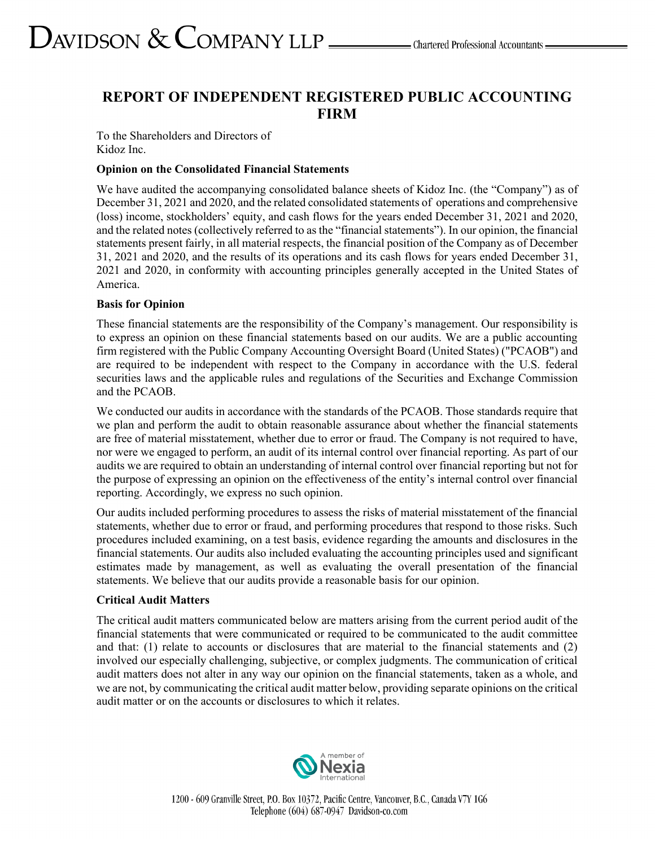# **REPORT OF INDEPENDENT REGISTERED PUBLIC ACCOUNTING FIRM**

To the Shareholders and Directors of Kidoz Inc.

#### **Opinion on the Consolidated Financial Statements**

We have audited the accompanying consolidated balance sheets of Kidoz Inc. (the "Company") as of December 31, 2021 and 2020, and the related consolidated statements of operations and comprehensive (loss) income, stockholders' equity, and cash flows for the years ended December 31, 2021 and 2020, and the related notes (collectively referred to as the "financial statements"). In our opinion, the financial statements present fairly, in all material respects, the financial position of the Company as of December 31, 2021 and 2020, and the results of its operations and its cash flows for years ended December 31, 2021 and 2020, in conformity with accounting principles generally accepted in the United States of America.

#### **Basis for Opinion**

These financial statements are the responsibility of the Company's management. Our responsibility is to express an opinion on these financial statements based on our audits. We are a public accounting firm registered with the Public Company Accounting Oversight Board (United States) ("PCAOB") and are required to be independent with respect to the Company in accordance with the U.S. federal securities laws and the applicable rules and regulations of the Securities and Exchange Commission and the PCAOB.

We conducted our audits in accordance with the standards of the PCAOB. Those standards require that we plan and perform the audit to obtain reasonable assurance about whether the financial statements are free of material misstatement, whether due to error or fraud. The Company is not required to have, nor were we engaged to perform, an audit of its internal control over financial reporting. As part of our audits we are required to obtain an understanding of internal control over financial reporting but not for the purpose of expressing an opinion on the effectiveness of the entity's internal control over financial reporting. Accordingly, we express no such opinion.

Our audits included performing procedures to assess the risks of material misstatement of the financial statements, whether due to error or fraud, and performing procedures that respond to those risks. Such procedures included examining, on a test basis, evidence regarding the amounts and disclosures in the financial statements. Our audits also included evaluating the accounting principles used and significant estimates made by management, as well as evaluating the overall presentation of the financial statements. We believe that our audits provide a reasonable basis for our opinion.

# **Critical Audit Matters**

The critical audit matters communicated below are matters arising from the current period audit of the financial statements that were communicated or required to be communicated to the audit committee and that: (1) relate to accounts or disclosures that are material to the financial statements and (2) involved our especially challenging, subjective, or complex judgments. The communication of critical audit matters does not alter in any way our opinion on the financial statements, taken as a whole, and we are not, by communicating the critical audit matter below, providing separate opinions on the critical audit matter or on the accounts or disclosures to which it relates.

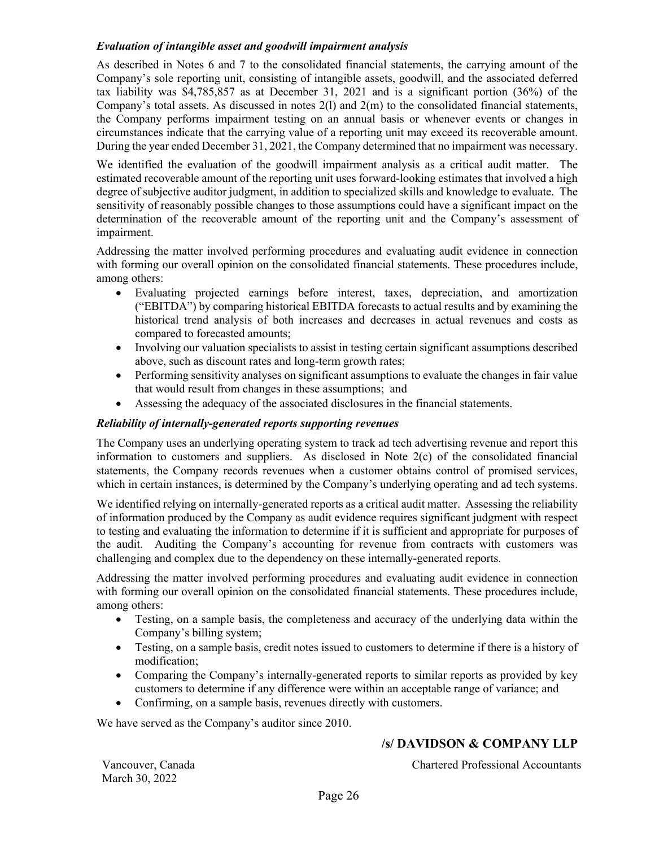### *Evaluation of intangible asset and goodwill impairment analysis*

As described in Notes 6 and 7 to the consolidated financial statements, the carrying amount of the Company's sole reporting unit, consisting of intangible assets, goodwill, and the associated deferred tax liability was \$4,785,857 as at December 31, 2021 and is a significant portion (36%) of the Company's total assets. As discussed in notes 2(l) and 2(m) to the consolidated financial statements, the Company performs impairment testing on an annual basis or whenever events or changes in circumstances indicate that the carrying value of a reporting unit may exceed its recoverable amount. During the year ended December 31, 2021, the Company determined that no impairment was necessary.

We identified the evaluation of the goodwill impairment analysis as a critical audit matter. The estimated recoverable amount of the reporting unit uses forward-looking estimates that involved a high degree of subjective auditor judgment, in addition to specialized skills and knowledge to evaluate. The sensitivity of reasonably possible changes to those assumptions could have a significant impact on the determination of the recoverable amount of the reporting unit and the Company's assessment of impairment.

Addressing the matter involved performing procedures and evaluating audit evidence in connection with forming our overall opinion on the consolidated financial statements. These procedures include, among others:

- Evaluating projected earnings before interest, taxes, depreciation, and amortization ("EBITDA") by comparing historical EBITDA forecasts to actual results and by examining the historical trend analysis of both increases and decreases in actual revenues and costs as compared to forecasted amounts;
- Involving our valuation specialists to assist in testing certain significant assumptions described above, such as discount rates and long-term growth rates;
- Performing sensitivity analyses on significant assumptions to evaluate the changes in fair value that would result from changes in these assumptions; and
- Assessing the adequacy of the associated disclosures in the financial statements.

#### *Reliability of internally-generated reports supporting revenues*

The Company uses an underlying operating system to track ad tech advertising revenue and report this information to customers and suppliers. As disclosed in Note 2(c) of the consolidated financial statements, the Company records revenues when a customer obtains control of promised services, which in certain instances, is determined by the Company's underlying operating and ad tech systems.

We identified relying on internally-generated reports as a critical audit matter. Assessing the reliability of information produced by the Company as audit evidence requires significant judgment with respect to testing and evaluating the information to determine if it is sufficient and appropriate for purposes of the audit. Auditing the Company's accounting for revenue from contracts with customers was challenging and complex due to the dependency on these internally-generated reports.

Addressing the matter involved performing procedures and evaluating audit evidence in connection with forming our overall opinion on the consolidated financial statements. These procedures include, among others:

- Testing, on a sample basis, the completeness and accuracy of the underlying data within the Company's billing system;
- Testing, on a sample basis, credit notes issued to customers to determine if there is a history of modification;
- Comparing the Company's internally-generated reports to similar reports as provided by key customers to determine if any difference were within an acceptable range of variance; and
- Confirming, on a sample basis, revenues directly with customers.

We have served as the Company's auditor since 2010.

# **/s/ DAVIDSON & COMPANY LLP**

March 30, 2022

Vancouver, Canada Chartered Professional Accountants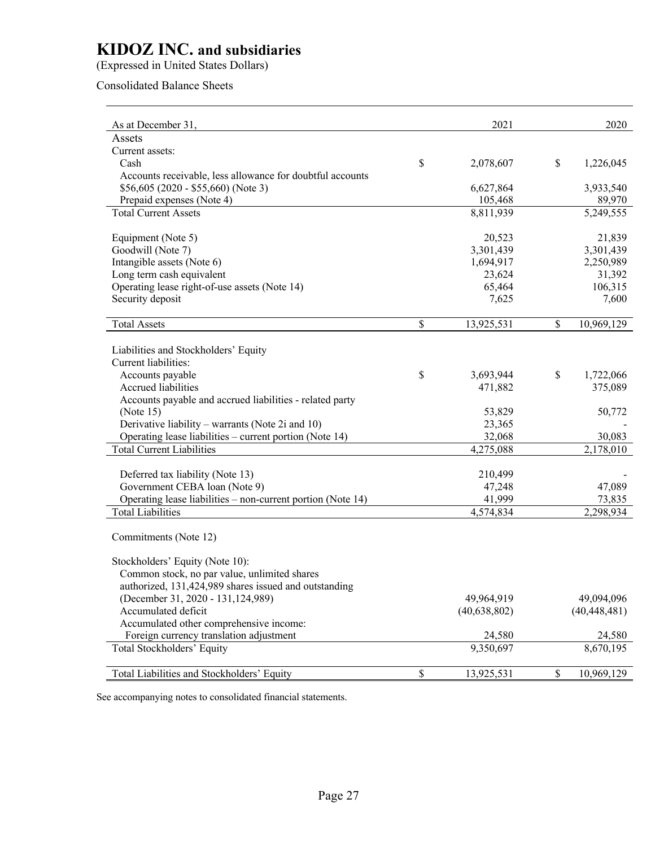(Expressed in United States Dollars)

# Consolidated Balance Sheets

| As at December 31,                                          |                          | 2021           | 2020             |
|-------------------------------------------------------------|--------------------------|----------------|------------------|
| Assets                                                      |                          |                |                  |
| Current assets:                                             |                          |                |                  |
| Cash                                                        | \$                       | 2,078,607      | \$<br>1,226,045  |
| Accounts receivable, less allowance for doubtful accounts   |                          |                |                  |
| $$56,605 (2020 - $55,660)$ (Note 3)                         |                          | 6,627,864      | 3,933,540        |
| Prepaid expenses (Note 4)                                   |                          | 105,468        | 89,970           |
| <b>Total Current Assets</b>                                 |                          | 8,811,939      | 5,249,555        |
|                                                             |                          |                |                  |
| Equipment (Note 5)                                          |                          | 20,523         | 21,839           |
| Goodwill (Note 7)                                           |                          | 3,301,439      | 3,301,439        |
| Intangible assets (Note 6)                                  |                          | 1,694,917      | 2,250,989        |
| Long term cash equivalent                                   |                          | 23,624         | 31,392           |
| Operating lease right-of-use assets (Note 14)               |                          | 65,464         | 106,315          |
| Security deposit                                            |                          | 7,625          | 7,600            |
|                                                             |                          |                |                  |
| <b>Total Assets</b>                                         | \$                       | 13,925,531     | \$<br>10,969,129 |
|                                                             |                          |                |                  |
| Liabilities and Stockholders' Equity                        |                          |                |                  |
| Current liabilities:                                        |                          |                |                  |
| Accounts payable                                            | $\mathbb{S}$             | 3,693,944      | \$<br>1,722,066  |
| Accrued liabilities                                         |                          | 471,882        | 375,089          |
| Accounts payable and accrued liabilities - related party    |                          |                |                  |
| (Note $15$ )                                                |                          | 53,829         | 50,772           |
| Derivative liability – warrants (Note 2i and 10)            |                          | 23,365         |                  |
| Operating lease liabilities – current portion (Note 14)     |                          | 32,068         | 30,083           |
| <b>Total Current Liabilities</b>                            |                          | 4,275,088      | 2,178,010        |
|                                                             |                          |                |                  |
| Deferred tax liability (Note 13)                            |                          | 210,499        |                  |
| Government CEBA loan (Note 9)                               |                          | 47,248         | 47,089           |
| Operating lease liabilities – non-current portion (Note 14) |                          | 41,999         | 73,835           |
| <b>Total Liabilities</b>                                    |                          | 4,574,834      | 2,298,934        |
|                                                             |                          |                |                  |
| Commitments (Note 12)                                       |                          |                |                  |
|                                                             |                          |                |                  |
| Stockholders' Equity (Note 10):                             |                          |                |                  |
| Common stock, no par value, unlimited shares                |                          |                |                  |
| authorized, 131,424,989 shares issued and outstanding       |                          |                |                  |
| (December 31, 2020 - 131, 124, 989)                         |                          | 49,964,919     | 49,094,096       |
| Accumulated deficit                                         |                          | (40, 638, 802) | (40, 448, 481)   |
| Accumulated other comprehensive income:                     |                          |                |                  |
| Foreign currency translation adjustment                     |                          | 24,580         | 24,580           |
| Total Stockholders' Equity                                  |                          | 9,350,697      | 8,670,195        |
| Total Liabilities and Stockholders' Equity                  | $\overline{\mathcal{S}}$ | 13,925,531     | \$<br>10,969,129 |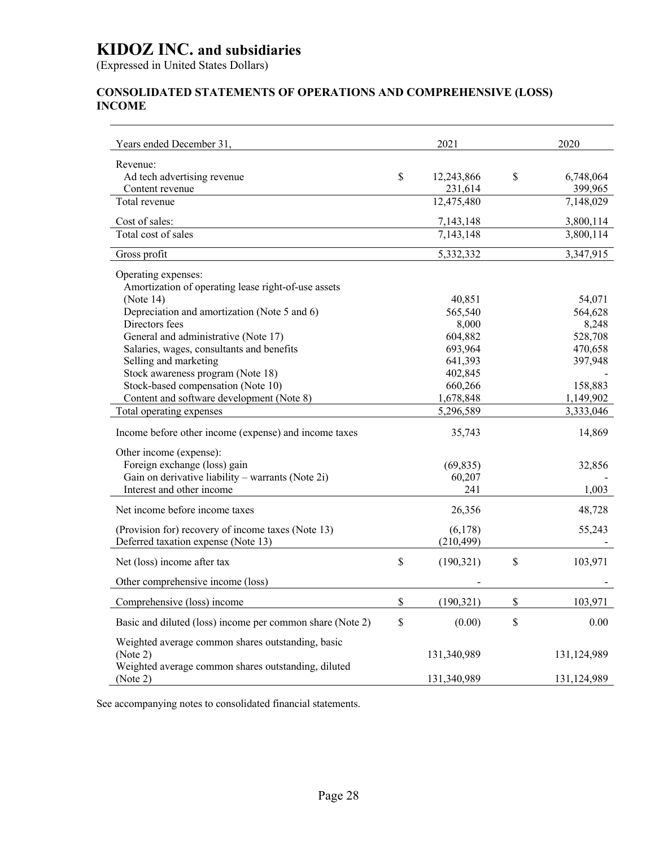(Expressed in United States Dollars)

# **CONSOLIDATED STATEMENTS OF OPERATIONS AND COMPREHENSIVE (LOSS) INCOME**

| Years ended December 31,                                        |              | 2021                  |              | 2020                 |
|-----------------------------------------------------------------|--------------|-----------------------|--------------|----------------------|
| Revenue:                                                        |              |                       |              |                      |
| Ad tech advertising revenue<br>Content revenue                  | \$           | 12,243,866<br>231,614 | \$           | 6,748,064<br>399,965 |
| Total revenue                                                   |              | 12,475,480            |              | 7,148,029            |
| Cost of sales:                                                  |              | 7,143,148             |              | 3,800,114            |
| Total cost of sales                                             |              | 7,143,148             |              | 3,800,114            |
| Gross profit                                                    |              | 5,332,332             |              | 3,347,915            |
| Operating expenses:                                             |              |                       |              |                      |
| Amortization of operating lease right-of-use assets             |              |                       |              |                      |
| (Note $14$ )                                                    |              | 40,851                |              | 54,071               |
| Depreciation and amortization (Note 5 and 6)                    |              | 565,540               |              | 564,628              |
| Directors fees                                                  |              | 8,000                 |              | 8,248                |
| General and administrative (Note 17)                            |              | 604,882               |              | 528,708              |
| Salaries, wages, consultants and benefits                       |              | 693,964               |              | 470,658              |
| Selling and marketing<br>Stock awareness program (Note 18)      |              | 641,393               |              | 397,948              |
| Stock-based compensation (Note 10)                              |              | 402,845<br>660,266    |              | 158,883              |
| Content and software development (Note 8)                       |              | 1,678,848             |              | 1,149,902            |
| Total operating expenses                                        |              | 5,296,589             |              | 3,333,046            |
|                                                                 |              |                       |              |                      |
| Income before other income (expense) and income taxes           |              | 35,743                |              | 14,869               |
| Other income (expense):                                         |              |                       |              |                      |
| Foreign exchange (loss) gain                                    |              | (69, 835)             |              | 32,856               |
| Gain on derivative liability - warrants (Note 2i)               |              | 60,207                |              |                      |
| Interest and other income                                       |              | 241                   |              | 1,003                |
| Net income before income taxes                                  |              | 26,356                |              | 48,728               |
| (Provision for) recovery of income taxes (Note 13)              |              | (6,178)               |              | 55,243               |
| Deferred taxation expense (Note 13)                             |              | (210, 499)            |              |                      |
| Net (loss) income after tax                                     | \$           | (190, 321)            | \$           | 103,971              |
| Other comprehensive income (loss)                               |              |                       |              |                      |
| Comprehensive (loss) income                                     | $\mathbb{S}$ | (190, 321)            | $\mathbb S$  | 103,971              |
| Basic and diluted (loss) income per common share (Note 2)       | \$           | (0.00)                | $\mathbb{S}$ | 0.00                 |
|                                                                 |              |                       |              |                      |
| Weighted average common shares outstanding, basic               |              |                       |              |                      |
| (Note 2)<br>Weighted average common shares outstanding, diluted |              | 131,340,989           |              | 131,124,989          |
| (Note 2)                                                        |              | 131,340,989           |              | 131,124,989          |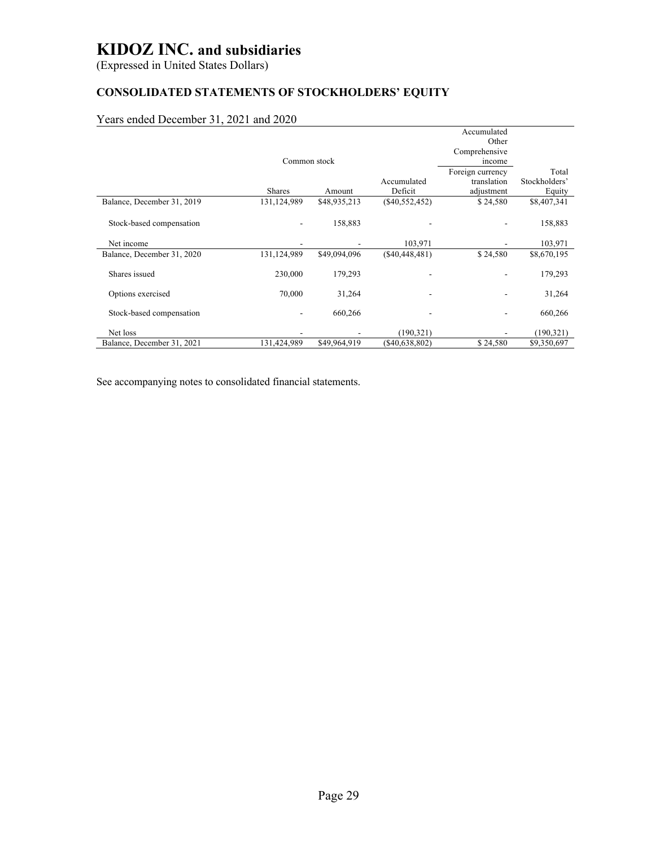(Expressed in United States Dollars)

# **CONSOLIDATED STATEMENTS OF STOCKHOLDERS' EQUITY**

# Years ended December 31, 2021 and 2020

|                            |               |              |                  | Accumulated      |               |
|----------------------------|---------------|--------------|------------------|------------------|---------------|
|                            |               |              |                  | Other            |               |
|                            |               |              |                  | Comprehensive    |               |
|                            | Common stock  |              |                  | income           |               |
|                            |               |              |                  | Foreign currency | Total         |
|                            |               |              | Accumulated      | translation      | Stockholders' |
|                            | <b>Shares</b> | Amount       | Deficit          | adjustment       | Equity        |
| Balance, December 31, 2019 | 131,124,989   | \$48,935,213 | $(\$40,552,452)$ | \$24,580         | \$8,407,341   |
|                            |               |              |                  |                  |               |
| Stock-based compensation   |               | 158,883      |                  |                  | 158,883       |
|                            |               |              |                  |                  |               |
| Net income                 |               |              | 103,971          |                  | 103,971       |
| Balance, December 31, 2020 | 131,124,989   | \$49,094,096 | (S40, 448, 481)  | \$24,580         | \$8,670,195   |
|                            |               |              |                  |                  |               |
| Shares issued              | 230,000       | 179,293      |                  |                  | 179,293       |
|                            |               |              |                  |                  |               |
| Options exercised          | 70,000        | 31,264       |                  |                  | 31,264        |
|                            |               |              |                  |                  |               |
| Stock-based compensation   |               | 660,266      |                  |                  | 660,266       |
|                            |               |              |                  |                  |               |
| Net loss                   |               |              | (190, 321)       |                  | (190, 321)    |
| Balance, December 31, 2021 | 131,424,989   | \$49,964,919 | (\$40,638,802)   | \$24,580         | \$9,350,697   |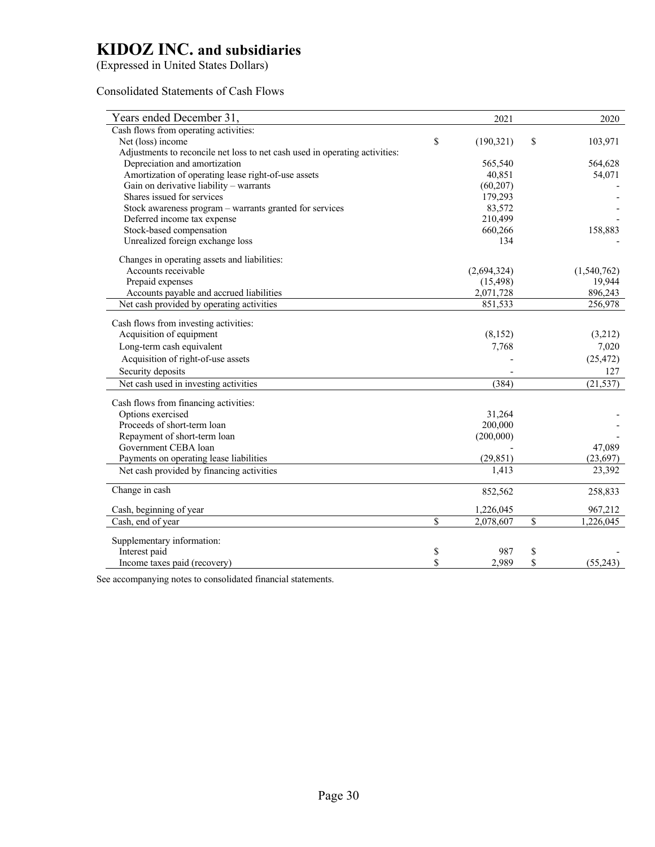(Expressed in United States Dollars)

#### Consolidated Statements of Cash Flows

| Years ended December 31,                                                    | 2021             |             | 2020        |
|-----------------------------------------------------------------------------|------------------|-------------|-------------|
| Cash flows from operating activities:                                       |                  |             |             |
| Net (loss) income                                                           | \$<br>(190, 321) | \$          | 103,971     |
| Adjustments to reconcile net loss to net cash used in operating activities: |                  |             |             |
| Depreciation and amortization                                               | 565,540          |             | 564,628     |
| Amortization of operating lease right-of-use assets                         | 40,851           |             | 54,071      |
| Gain on derivative liability - warrants                                     | (60, 207)        |             |             |
| Shares issued for services                                                  | 179,293          |             |             |
| Stock awareness program - warrants granted for services                     | 83,572           |             |             |
| Deferred income tax expense                                                 | 210,499          |             |             |
| Stock-based compensation                                                    | 660,266          |             | 158,883     |
| Unrealized foreign exchange loss                                            | 134              |             |             |
| Changes in operating assets and liabilities:                                |                  |             |             |
| Accounts receivable                                                         | (2,694,324)      |             | (1,540,762) |
| Prepaid expenses                                                            | (15, 498)        |             | 19,944      |
| Accounts payable and accrued liabilities                                    | 2,071,728        |             | 896,243     |
| Net cash provided by operating activities                                   | 851,533          |             | 256,978     |
| Cash flows from investing activities:                                       |                  |             |             |
| Acquisition of equipment                                                    | (8, 152)         |             | (3,212)     |
| Long-term cash equivalent                                                   | 7,768            |             | 7,020       |
| Acquisition of right-of-use assets                                          |                  |             | (25, 472)   |
| Security deposits                                                           |                  |             | 127         |
| Net cash used in investing activities                                       | (384)            |             | (21, 537)   |
|                                                                             |                  |             |             |
| Cash flows from financing activities:                                       |                  |             |             |
| Options exercised                                                           | 31,264           |             |             |
| Proceeds of short-term loan                                                 | 200,000          |             |             |
| Repayment of short-term loan                                                | (200,000)        |             |             |
| Government CEBA loan                                                        |                  |             | 47,089      |
| Payments on operating lease liabilities                                     | (29, 851)        |             | (23, 697)   |
| Net cash provided by financing activities                                   | 1,413            |             | 23,392      |
| Change in cash                                                              | 852,562          |             | 258,833     |
| Cash, beginning of year                                                     | 1,226,045        |             | 967,212     |
| Cash, end of year                                                           | \$<br>2,078,607  | $\mathbb S$ | 1,226,045   |
| Supplementary information:                                                  |                  |             |             |
| Interest paid                                                               | \$<br>987        | \$          |             |
| Income taxes paid (recovery)                                                | \$<br>2,989      | \$          | (55,243)    |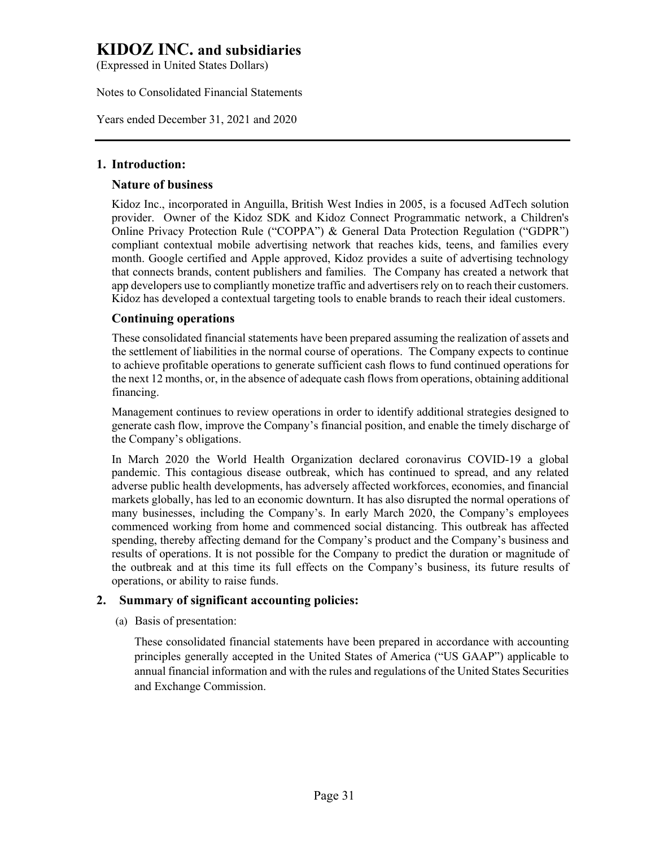(Expressed in United States Dollars)

Notes to Consolidated Financial Statements

Years ended December 31, 2021 and 2020

# **1. Introduction:**

# **Nature of business**

Kidoz Inc., incorporated in Anguilla, British West Indies in 2005, is a focused AdTech solution provider. Owner of the Kidoz SDK and Kidoz Connect Programmatic network, a Children's Online Privacy Protection Rule ("COPPA") & General Data Protection Regulation ("GDPR") compliant contextual mobile advertising network that reaches kids, teens, and families every month. Google certified and Apple approved, Kidoz provides a suite of advertising technology that connects brands, content publishers and families. The Company has created a network that app developers use to compliantly monetize traffic and advertisers rely on to reach their customers. Kidoz has developed a contextual targeting tools to enable brands to reach their ideal customers.

# **Continuing operations**

These consolidated financial statements have been prepared assuming the realization of assets and the settlement of liabilities in the normal course of operations. The Company expects to continue to achieve profitable operations to generate sufficient cash flows to fund continued operations for the next 12 months, or, in the absence of adequate cash flows from operations, obtaining additional financing.

Management continues to review operations in order to identify additional strategies designed to generate cash flow, improve the Company's financial position, and enable the timely discharge of the Company's obligations.

In March 2020 the World Health Organization declared coronavirus COVID-19 a global pandemic. This contagious disease outbreak, which has continued to spread, and any related adverse public health developments, has adversely affected workforces, economies, and financial markets globally, has led to an economic downturn. It has also disrupted the normal operations of many businesses, including the Company's. In early March 2020, the Company's employees commenced working from home and commenced social distancing. This outbreak has affected spending, thereby affecting demand for the Company's product and the Company's business and results of operations. It is not possible for the Company to predict the duration or magnitude of the outbreak and at this time its full effects on the Company's business, its future results of operations, or ability to raise funds.

# **2. Summary of significant accounting policies:**

(a) Basis of presentation:

These consolidated financial statements have been prepared in accordance with accounting principles generally accepted in the United States of America ("US GAAP") applicable to annual financial information and with the rules and regulations of the United States Securities and Exchange Commission.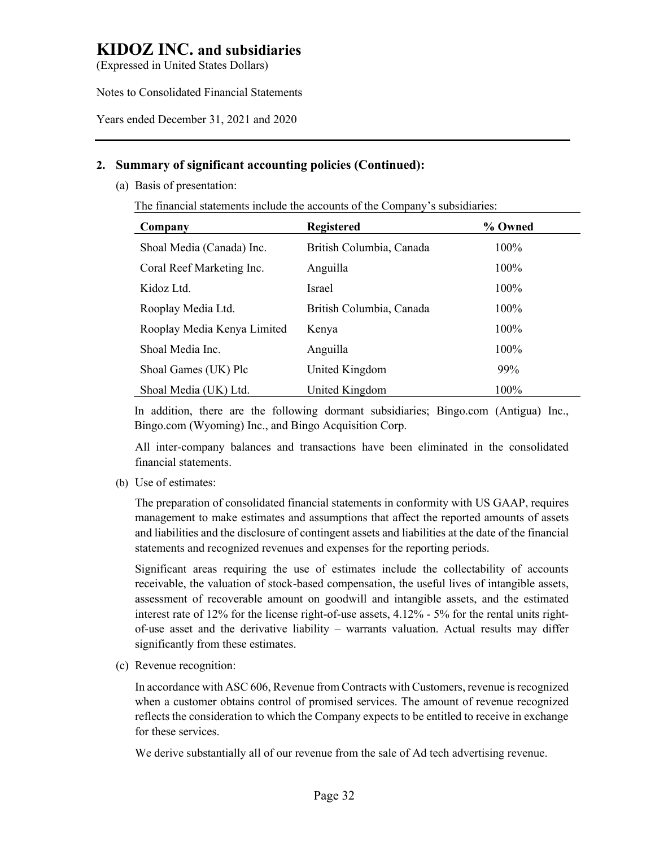(Expressed in United States Dollars)

Notes to Consolidated Financial Statements

Years ended December 31, 2021 and 2020

# **2. Summary of significant accounting policies (Continued):**

(a) Basis of presentation:

The financial statements include the accounts of the Company's subsidiaries:

| Company                     | <b>Registered</b>        | % Owned |
|-----------------------------|--------------------------|---------|
| Shoal Media (Canada) Inc.   | British Columbia, Canada | 100%    |
| Coral Reef Marketing Inc.   | Anguilla                 | 100%    |
| Kidoz Ltd.                  | <b>Israel</b>            | 100%    |
| Rooplay Media Ltd.          | British Columbia, Canada | 100%    |
| Rooplay Media Kenya Limited | Kenya                    | 100%    |
| Shoal Media Inc.            | Anguilla                 | 100%    |
| Shoal Games (UK) Plc        | United Kingdom           | 99%     |
| Shoal Media (UK) Ltd.       | United Kingdom           | 100%    |

In addition, there are the following dormant subsidiaries; Bingo.com (Antigua) Inc., Bingo.com (Wyoming) Inc., and Bingo Acquisition Corp.

All inter-company balances and transactions have been eliminated in the consolidated financial statements.

(b) Use of estimates:

The preparation of consolidated financial statements in conformity with US GAAP, requires management to make estimates and assumptions that affect the reported amounts of assets and liabilities and the disclosure of contingent assets and liabilities at the date of the financial statements and recognized revenues and expenses for the reporting periods.

Significant areas requiring the use of estimates include the collectability of accounts receivable, the valuation of stock-based compensation, the useful lives of intangible assets, assessment of recoverable amount on goodwill and intangible assets, and the estimated interest rate of 12% for the license right-of-use assets, 4.12% - 5% for the rental units rightof-use asset and the derivative liability – warrants valuation. Actual results may differ significantly from these estimates.

(c) Revenue recognition:

In accordance with ASC 606, Revenue from Contracts with Customers, revenue is recognized when a customer obtains control of promised services. The amount of revenue recognized reflects the consideration to which the Company expects to be entitled to receive in exchange for these services.

We derive substantially all of our revenue from the sale of Ad tech advertising revenue.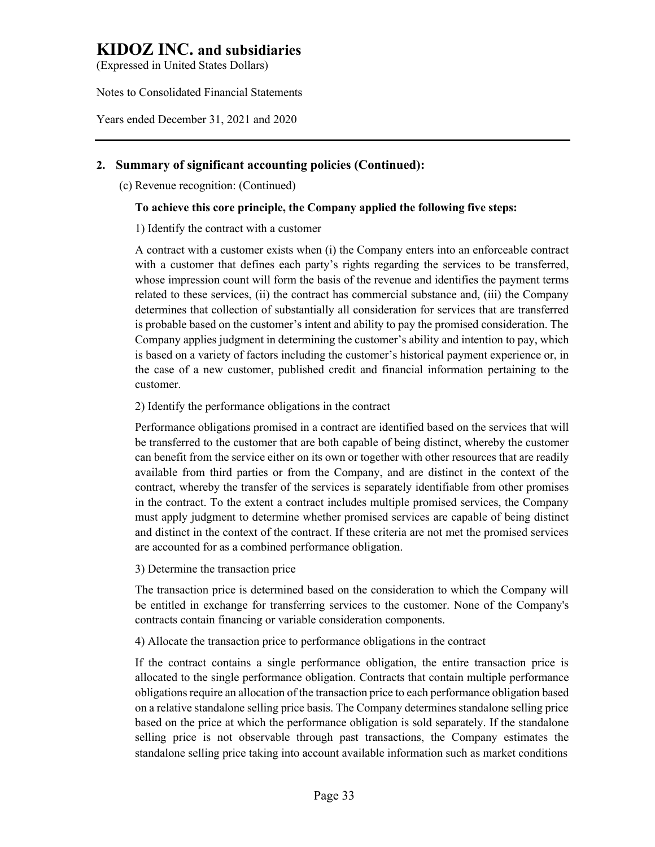(Expressed in United States Dollars)

Notes to Consolidated Financial Statements

Years ended December 31, 2021 and 2020

# **2. Summary of significant accounting policies (Continued):**

(c) Revenue recognition: (Continued)

# **To achieve this core principle, the Company applied the following five steps:**

#### 1) Identify the contract with a customer

A contract with a customer exists when (i) the Company enters into an enforceable contract with a customer that defines each party's rights regarding the services to be transferred, whose impression count will form the basis of the revenue and identifies the payment terms related to these services, (ii) the contract has commercial substance and, (iii) the Company determines that collection of substantially all consideration for services that are transferred is probable based on the customer's intent and ability to pay the promised consideration. The Company applies judgment in determining the customer's ability and intention to pay, which is based on a variety of factors including the customer's historical payment experience or, in the case of a new customer, published credit and financial information pertaining to the customer.

#### 2) Identify the performance obligations in the contract

Performance obligations promised in a contract are identified based on the services that will be transferred to the customer that are both capable of being distinct, whereby the customer can benefit from the service either on its own or together with other resources that are readily available from third parties or from the Company, and are distinct in the context of the contract, whereby the transfer of the services is separately identifiable from other promises in the contract. To the extent a contract includes multiple promised services, the Company must apply judgment to determine whether promised services are capable of being distinct and distinct in the context of the contract. If these criteria are not met the promised services are accounted for as a combined performance obligation.

#### 3) Determine the transaction price

The transaction price is determined based on the consideration to which the Company will be entitled in exchange for transferring services to the customer. None of the Company's contracts contain financing or variable consideration components.

4) Allocate the transaction price to performance obligations in the contract

If the contract contains a single performance obligation, the entire transaction price is allocated to the single performance obligation. Contracts that contain multiple performance obligations require an allocation of the transaction price to each performance obligation based on a relative standalone selling price basis. The Company determines standalone selling price based on the price at which the performance obligation is sold separately. If the standalone selling price is not observable through past transactions, the Company estimates the standalone selling price taking into account available information such as market conditions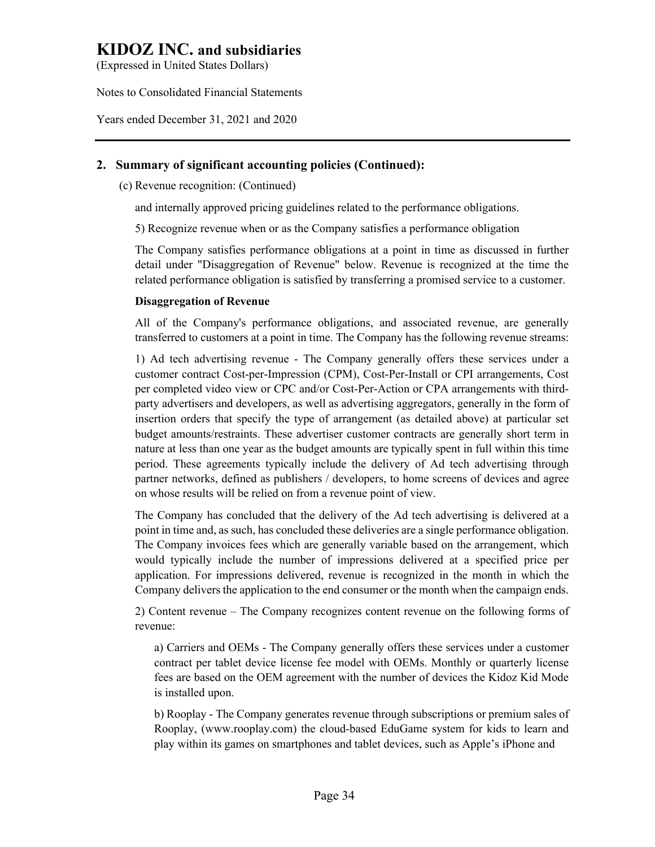(Expressed in United States Dollars)

Notes to Consolidated Financial Statements

Years ended December 31, 2021 and 2020

# **2. Summary of significant accounting policies (Continued):**

(c) Revenue recognition: (Continued)

and internally approved pricing guidelines related to the performance obligations.

5) Recognize revenue when or as the Company satisfies a performance obligation

The Company satisfies performance obligations at a point in time as discussed in further detail under "Disaggregation of Revenue" below. Revenue is recognized at the time the related performance obligation is satisfied by transferring a promised service to a customer.

# **Disaggregation of Revenue**

All of the Company's performance obligations, and associated revenue, are generally transferred to customers at a point in time. The Company has the following revenue streams:

1) Ad tech advertising revenue - The Company generally offers these services under a customer contract Cost-per-Impression (CPM), Cost-Per-Install or CPI arrangements, Cost per completed video view or CPC and/or Cost-Per-Action or CPA arrangements with thirdparty advertisers and developers, as well as advertising aggregators, generally in the form of insertion orders that specify the type of arrangement (as detailed above) at particular set budget amounts/restraints. These advertiser customer contracts are generally short term in nature at less than one year as the budget amounts are typically spent in full within this time period. These agreements typically include the delivery of Ad tech advertising through partner networks, defined as publishers / developers, to home screens of devices and agree on whose results will be relied on from a revenue point of view.

The Company has concluded that the delivery of the Ad tech advertising is delivered at a point in time and, as such, has concluded these deliveries are a single performance obligation. The Company invoices fees which are generally variable based on the arrangement, which would typically include the number of impressions delivered at a specified price per application. For impressions delivered, revenue is recognized in the month in which the Company delivers the application to the end consumer or the month when the campaign ends.

2) Content revenue – The Company recognizes content revenue on the following forms of revenue:

a) Carriers and OEMs - The Company generally offers these services under a customer contract per tablet device license fee model with OEMs. Monthly or quarterly license fees are based on the OEM agreement with the number of devices the Kidoz Kid Mode is installed upon.

b) Rooplay - The Company generates revenue through subscriptions or premium sales of Rooplay, (www.rooplay.com) the cloud-based EduGame system for kids to learn and play within its games on smartphones and tablet devices, such as Apple's iPhone and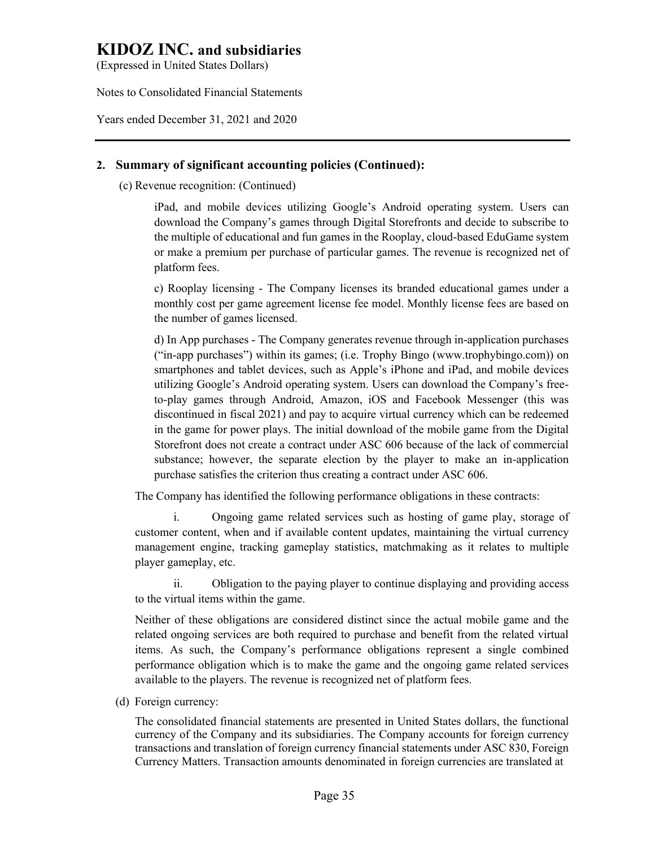(Expressed in United States Dollars)

Notes to Consolidated Financial Statements

Years ended December 31, 2021 and 2020

# **2. Summary of significant accounting policies (Continued):**

(c) Revenue recognition: (Continued)

iPad, and mobile devices utilizing Google's Android operating system. Users can download the Company's games through Digital Storefronts and decide to subscribe to the multiple of educational and fun games in the Rooplay, cloud-based EduGame system or make a premium per purchase of particular games. The revenue is recognized net of platform fees.

c) Rooplay licensing - The Company licenses its branded educational games under a monthly cost per game agreement license fee model. Monthly license fees are based on the number of games licensed.

d) In App purchases - The Company generates revenue through in-application purchases ("in-app purchases") within its games; (i.e. Trophy Bingo (www.trophybingo.com)) on smartphones and tablet devices, such as Apple's iPhone and iPad, and mobile devices utilizing Google's Android operating system. Users can download the Company's freeto-play games through Android, Amazon, iOS and Facebook Messenger (this was discontinued in fiscal 2021) and pay to acquire virtual currency which can be redeemed in the game for power plays. The initial download of the mobile game from the Digital Storefront does not create a contract under ASC 606 because of the lack of commercial substance; however, the separate election by the player to make an in-application purchase satisfies the criterion thus creating a contract under ASC 606.

The Company has identified the following performance obligations in these contracts:

i. Ongoing game related services such as hosting of game play, storage of customer content, when and if available content updates, maintaining the virtual currency management engine, tracking gameplay statistics, matchmaking as it relates to multiple player gameplay, etc.

ii. Obligation to the paying player to continue displaying and providing access to the virtual items within the game.

Neither of these obligations are considered distinct since the actual mobile game and the related ongoing services are both required to purchase and benefit from the related virtual items. As such, the Company's performance obligations represent a single combined performance obligation which is to make the game and the ongoing game related services available to the players. The revenue is recognized net of platform fees.

(d) Foreign currency:

The consolidated financial statements are presented in United States dollars, the functional currency of the Company and its subsidiaries. The Company accounts for foreign currency transactions and translation of foreign currency financial statements under ASC 830, Foreign Currency Matters. Transaction amounts denominated in foreign currencies are translated at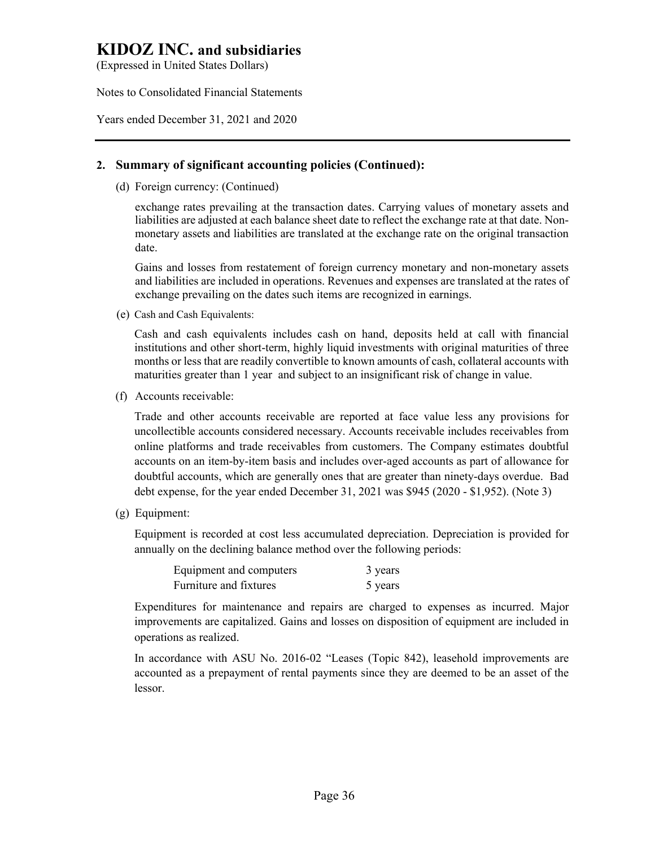(Expressed in United States Dollars)

Notes to Consolidated Financial Statements

Years ended December 31, 2021 and 2020

## **2. Summary of significant accounting policies (Continued):**

(d) Foreign currency: (Continued)

exchange rates prevailing at the transaction dates. Carrying values of monetary assets and liabilities are adjusted at each balance sheet date to reflect the exchange rate at that date. Nonmonetary assets and liabilities are translated at the exchange rate on the original transaction date.

Gains and losses from restatement of foreign currency monetary and non-monetary assets and liabilities are included in operations. Revenues and expenses are translated at the rates of exchange prevailing on the dates such items are recognized in earnings.

(e) Cash and Cash Equivalents:

Cash and cash equivalents includes cash on hand, deposits held at call with financial institutions and other short-term, highly liquid investments with original maturities of three months or less that are readily convertible to known amounts of cash, collateral accounts with maturities greater than 1 year and subject to an insignificant risk of change in value.

(f) Accounts receivable:

Trade and other accounts receivable are reported at face value less any provisions for uncollectible accounts considered necessary. Accounts receivable includes receivables from online platforms and trade receivables from customers. The Company estimates doubtful accounts on an item-by-item basis and includes over-aged accounts as part of allowance for doubtful accounts, which are generally ones that are greater than ninety-days overdue. Bad debt expense, for the year ended December 31, 2021 was \$945 (2020 - \$1,952). (Note 3)

(g) Equipment:

Equipment is recorded at cost less accumulated depreciation. Depreciation is provided for annually on the declining balance method over the following periods:

| Equipment and computers | 3 years |
|-------------------------|---------|
| Furniture and fixtures  | 5 years |

Expenditures for maintenance and repairs are charged to expenses as incurred. Major improvements are capitalized. Gains and losses on disposition of equipment are included in operations as realized.

In accordance with ASU No. 2016-02 "Leases (Topic 842), leasehold improvements are accounted as a prepayment of rental payments since they are deemed to be an asset of the lessor.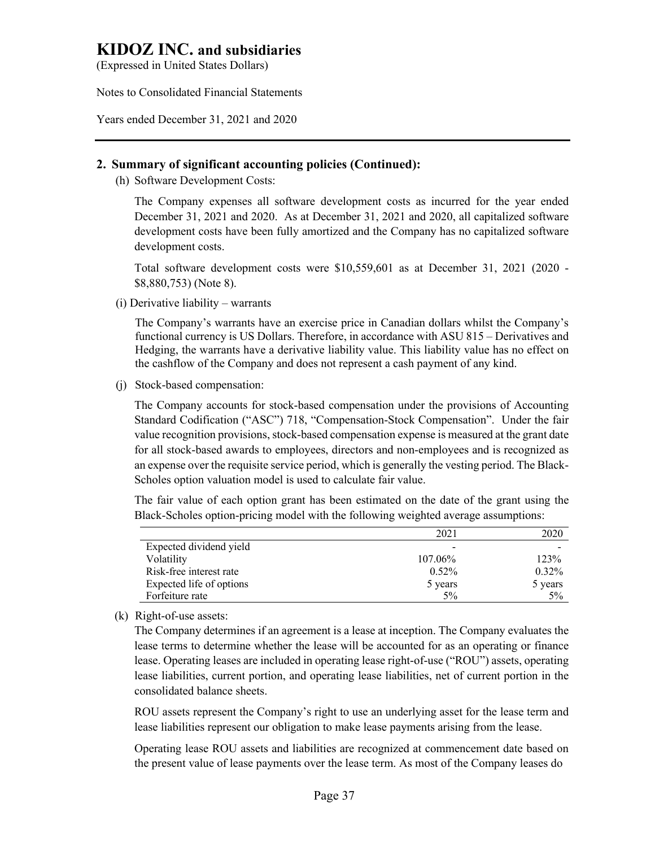(Expressed in United States Dollars)

Notes to Consolidated Financial Statements

Years ended December 31, 2021 and 2020

## **2. Summary of significant accounting policies (Continued):**

(h) Software Development Costs:

The Company expenses all software development costs as incurred for the year ended December 31, 2021 and 2020. As at December 31, 2021 and 2020, all capitalized software development costs have been fully amortized and the Company has no capitalized software development costs.

Total software development costs were \$10,559,601 as at December 31, 2021 (2020 - \$8,880,753) (Note 8).

(i) Derivative liability – warrants

The Company's warrants have an exercise price in Canadian dollars whilst the Company's functional currency is US Dollars. Therefore, in accordance with ASU 815 – Derivatives and Hedging, the warrants have a derivative liability value. This liability value has no effect on the cashflow of the Company and does not represent a cash payment of any kind.

(j) Stock-based compensation:

The Company accounts for stock-based compensation under the provisions of Accounting Standard Codification ("ASC") 718, "Compensation-Stock Compensation". Under the fair value recognition provisions, stock-based compensation expense is measured at the grant date for all stock-based awards to employees, directors and non-employees and is recognized as an expense over the requisite service period, which is generally the vesting period. The Black-Scholes option valuation model is used to calculate fair value.

The fair value of each option grant has been estimated on the date of the grant using the Black-Scholes option-pricing model with the following weighted average assumptions:

|                          | 2021     | 2020     |
|--------------------------|----------|----------|
| Expected dividend yield  |          |          |
| Volatility               | 107.06%  | 123%     |
| Risk-free interest rate  | $0.52\%$ | $0.32\%$ |
| Expected life of options | 5 years  | 5 years  |
| Forfeiture rate          | $5\%$    | $5\%$    |

(k) Right-of-use assets:

The Company determines if an agreement is a lease at inception. The Company evaluates the lease terms to determine whether the lease will be accounted for as an operating or finance lease. Operating leases are included in operating lease right-of-use ("ROU") assets, operating lease liabilities, current portion, and operating lease liabilities, net of current portion in the consolidated balance sheets.

ROU assets represent the Company's right to use an underlying asset for the lease term and lease liabilities represent our obligation to make lease payments arising from the lease.

Operating lease ROU assets and liabilities are recognized at commencement date based on the present value of lease payments over the lease term. As most of the Company leases do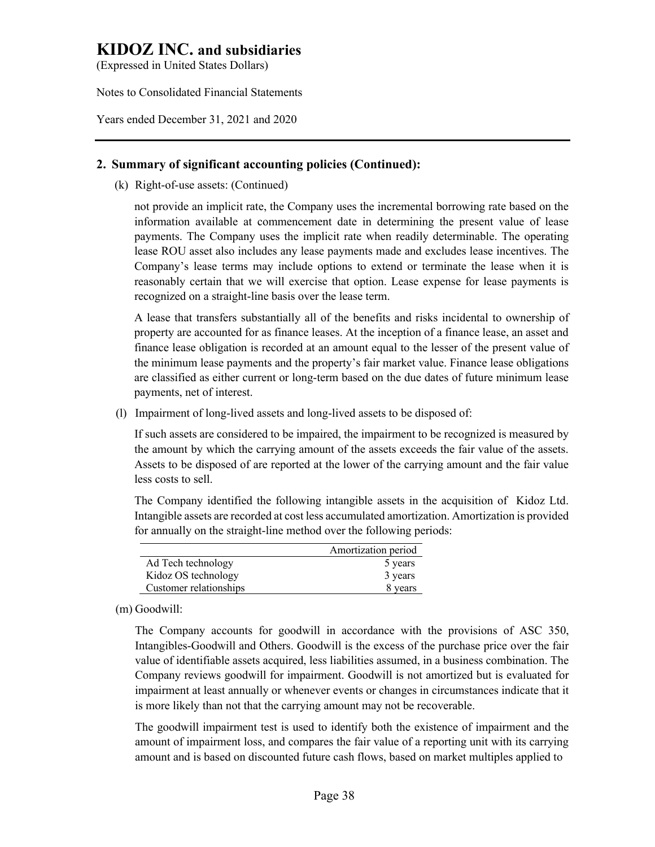(Expressed in United States Dollars)

Notes to Consolidated Financial Statements

Years ended December 31, 2021 and 2020

## **2. Summary of significant accounting policies (Continued):**

(k) Right-of-use assets: (Continued)

not provide an implicit rate, the Company uses the incremental borrowing rate based on the information available at commencement date in determining the present value of lease payments. The Company uses the implicit rate when readily determinable. The operating lease ROU asset also includes any lease payments made and excludes lease incentives. The Company's lease terms may include options to extend or terminate the lease when it is reasonably certain that we will exercise that option. Lease expense for lease payments is recognized on a straight-line basis over the lease term.

A lease that transfers substantially all of the benefits and risks incidental to ownership of property are accounted for as finance leases. At the inception of a finance lease, an asset and finance lease obligation is recorded at an amount equal to the lesser of the present value of the minimum lease payments and the property's fair market value. Finance lease obligations are classified as either current or long-term based on the due dates of future minimum lease payments, net of interest.

(l) Impairment of long-lived assets and long-lived assets to be disposed of:

If such assets are considered to be impaired, the impairment to be recognized is measured by the amount by which the carrying amount of the assets exceeds the fair value of the assets. Assets to be disposed of are reported at the lower of the carrying amount and the fair value less costs to sell.

The Company identified the following intangible assets in the acquisition of Kidoz Ltd. Intangible assets are recorded at cost less accumulated amortization. Amortization is provided for annually on the straight-line method over the following periods:

|                        | Amortization period |
|------------------------|---------------------|
| Ad Tech technology     | 5 years             |
| Kidoz OS technology    | 3 years             |
| Customer relationships | 8 years             |

(m) Goodwill:

The Company accounts for goodwill in accordance with the provisions of ASC 350, Intangibles-Goodwill and Others. Goodwill is the excess of the purchase price over the fair value of identifiable assets acquired, less liabilities assumed, in a business combination. The Company reviews goodwill for impairment. Goodwill is not amortized but is evaluated for impairment at least annually or whenever events or changes in circumstances indicate that it is more likely than not that the carrying amount may not be recoverable.

The goodwill impairment test is used to identify both the existence of impairment and the amount of impairment loss, and compares the fair value of a reporting unit with its carrying amount and is based on discounted future cash flows, based on market multiples applied to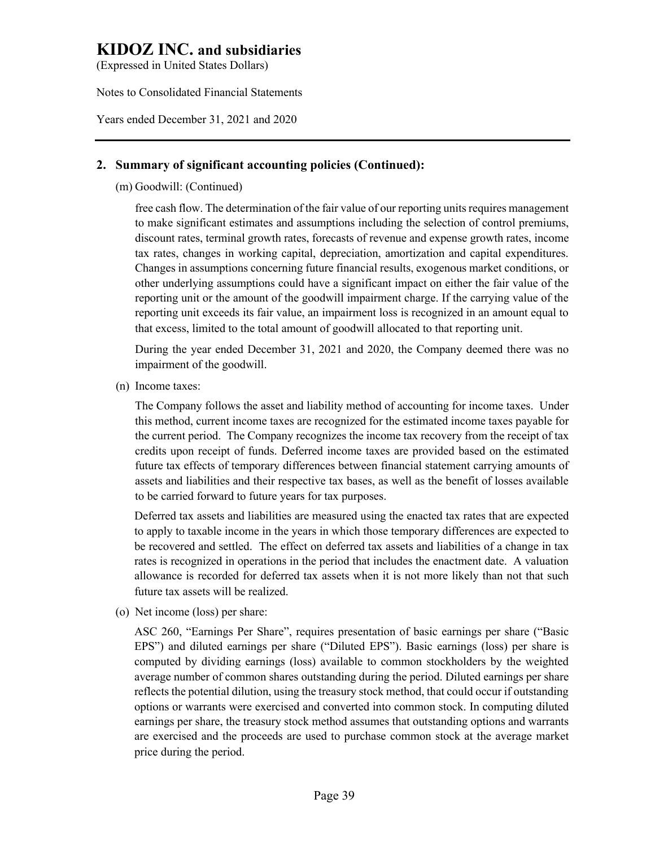(Expressed in United States Dollars)

Notes to Consolidated Financial Statements

Years ended December 31, 2021 and 2020

## **2. Summary of significant accounting policies (Continued):**

(m) Goodwill: (Continued)

free cash flow. The determination of the fair value of our reporting units requires management to make significant estimates and assumptions including the selection of control premiums, discount rates, terminal growth rates, forecasts of revenue and expense growth rates, income tax rates, changes in working capital, depreciation, amortization and capital expenditures. Changes in assumptions concerning future financial results, exogenous market conditions, or other underlying assumptions could have a significant impact on either the fair value of the reporting unit or the amount of the goodwill impairment charge. If the carrying value of the reporting unit exceeds its fair value, an impairment loss is recognized in an amount equal to that excess, limited to the total amount of goodwill allocated to that reporting unit.

During the year ended December 31, 2021 and 2020, the Company deemed there was no impairment of the goodwill.

(n) Income taxes:

The Company follows the asset and liability method of accounting for income taxes. Under this method, current income taxes are recognized for the estimated income taxes payable for the current period. The Company recognizes the income tax recovery from the receipt of tax credits upon receipt of funds. Deferred income taxes are provided based on the estimated future tax effects of temporary differences between financial statement carrying amounts of assets and liabilities and their respective tax bases, as well as the benefit of losses available to be carried forward to future years for tax purposes.

Deferred tax assets and liabilities are measured using the enacted tax rates that are expected to apply to taxable income in the years in which those temporary differences are expected to be recovered and settled. The effect on deferred tax assets and liabilities of a change in tax rates is recognized in operations in the period that includes the enactment date. A valuation allowance is recorded for deferred tax assets when it is not more likely than not that such future tax assets will be realized.

(o) Net income (loss) per share:

ASC 260, "Earnings Per Share", requires presentation of basic earnings per share ("Basic EPS") and diluted earnings per share ("Diluted EPS"). Basic earnings (loss) per share is computed by dividing earnings (loss) available to common stockholders by the weighted average number of common shares outstanding during the period. Diluted earnings per share reflects the potential dilution, using the treasury stock method, that could occur if outstanding options or warrants were exercised and converted into common stock. In computing diluted earnings per share, the treasury stock method assumes that outstanding options and warrants are exercised and the proceeds are used to purchase common stock at the average market price during the period.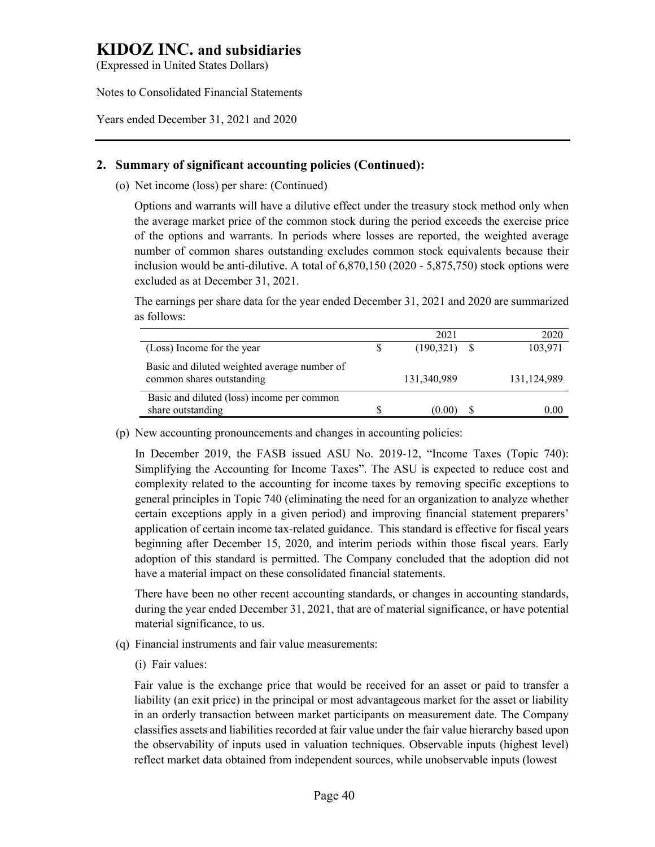(Expressed in United States Dollars)

Notes to Consolidated Financial Statements

Years ended December 31, 2021 and 2020

## **2. Summary of significant accounting policies (Continued):**

(o) Net income (loss) per share: (Continued)

Options and warrants will have a dilutive effect under the treasury stock method only when the average market price of the common stock during the period exceeds the exercise price of the options and warrants. In periods where losses are reported, the weighted average number of common shares outstanding excludes common stock equivalents because their inclusion would be anti-dilutive. A total of 6,870,150 (2020 - 5,875,750) stock options were excluded as at December 31, 2021.

The earnings per share data for the year ended December 31, 2021 and 2020 are summarized as follows:

|                                                                           | 2021           | 2020        |
|---------------------------------------------------------------------------|----------------|-------------|
| (Loss) Income for the year                                                | $(190,321)$ \$ | 103,971     |
| Basic and diluted weighted average number of<br>common shares outstanding | 131,340,989    | 131,124,989 |
| Basic and diluted (loss) income per common                                |                |             |
| share outstanding                                                         | (0.00)         | $0.00\,$    |

(p) New accounting pronouncements and changes in accounting policies:

In December 2019, the FASB issued ASU No. 2019-12, "Income Taxes (Topic 740): Simplifying the Accounting for Income Taxes". The ASU is expected to reduce cost and complexity related to the accounting for income taxes by removing specific exceptions to general principles in Topic 740 (eliminating the need for an organization to analyze whether certain exceptions apply in a given period) and improving financial statement preparers' application of certain income tax-related guidance. This standard is effective for fiscal years beginning after December 15, 2020, and interim periods within those fiscal years. Early adoption of this standard is permitted. The Company concluded that the adoption did not have a material impact on these consolidated financial statements.

There have been no other recent accounting standards, or changes in accounting standards, during the year ended December 31, 2021, that are of material significance, or have potential material significance, to us.

- (q) Financial instruments and fair value measurements:
	- (i) Fair values:

Fair value is the exchange price that would be received for an asset or paid to transfer a liability (an exit price) in the principal or most advantageous market for the asset or liability in an orderly transaction between market participants on measurement date. The Company classifies assets and liabilities recorded at fair value under the fair value hierarchy based upon the observability of inputs used in valuation techniques. Observable inputs (highest level) reflect market data obtained from independent sources, while unobservable inputs (lowest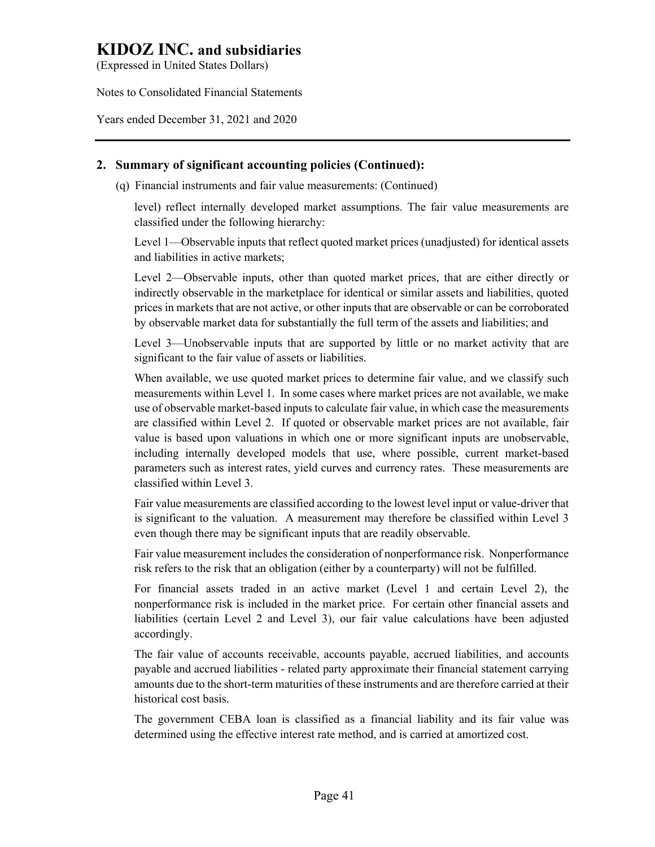(Expressed in United States Dollars)

Notes to Consolidated Financial Statements

Years ended December 31, 2021 and 2020

# **2. Summary of significant accounting policies (Continued):**

(q) Financial instruments and fair value measurements: (Continued)

level) reflect internally developed market assumptions. The fair value measurements are classified under the following hierarchy:

Level 1—Observable inputs that reflect quoted market prices (unadjusted) for identical assets and liabilities in active markets;

Level 2—Observable inputs, other than quoted market prices, that are either directly or indirectly observable in the marketplace for identical or similar assets and liabilities, quoted prices in markets that are not active, or other inputs that are observable or can be corroborated by observable market data for substantially the full term of the assets and liabilities; and

Level 3—Unobservable inputs that are supported by little or no market activity that are significant to the fair value of assets or liabilities.

When available, we use quoted market prices to determine fair value, and we classify such measurements within Level 1. In some cases where market prices are not available, we make use of observable market-based inputs to calculate fair value, in which case the measurements are classified within Level 2. If quoted or observable market prices are not available, fair value is based upon valuations in which one or more significant inputs are unobservable, including internally developed models that use, where possible, current market-based parameters such as interest rates, yield curves and currency rates. These measurements are classified within Level 3.

Fair value measurements are classified according to the lowest level input or value-driver that is significant to the valuation. A measurement may therefore be classified within Level 3 even though there may be significant inputs that are readily observable.

Fair value measurement includes the consideration of nonperformance risk. Nonperformance risk refers to the risk that an obligation (either by a counterparty) will not be fulfilled.

For financial assets traded in an active market (Level 1 and certain Level 2), the nonperformance risk is included in the market price. For certain other financial assets and liabilities (certain Level 2 and Level 3), our fair value calculations have been adjusted accordingly.

The fair value of accounts receivable, accounts payable, accrued liabilities, and accounts payable and accrued liabilities - related party approximate their financial statement carrying amounts due to the short-term maturities of these instruments and are therefore carried at their historical cost basis.

The government CEBA loan is classified as a financial liability and its fair value was determined using the effective interest rate method, and is carried at amortized cost.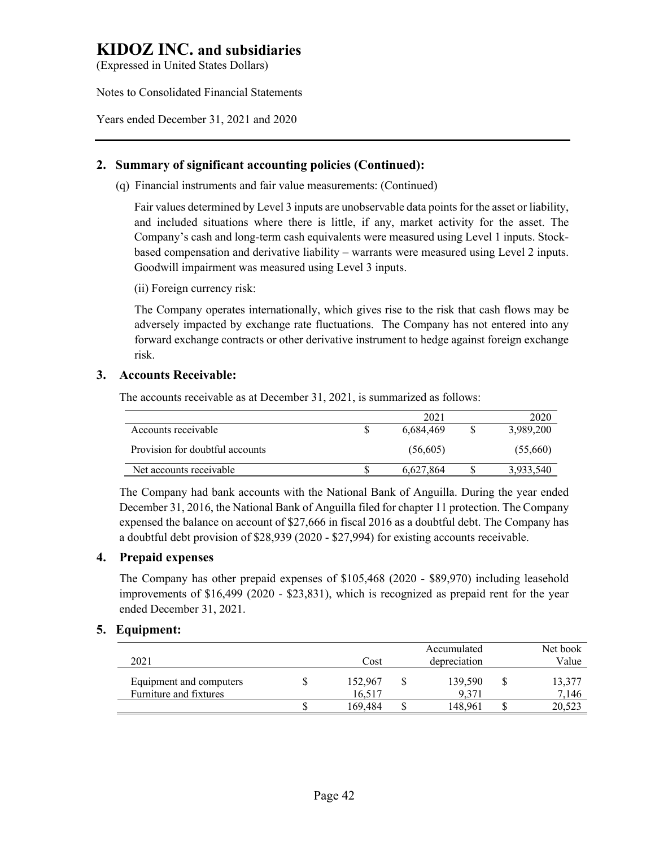(Expressed in United States Dollars)

Notes to Consolidated Financial Statements

Years ended December 31, 2021 and 2020

## **2. Summary of significant accounting policies (Continued):**

(q) Financial instruments and fair value measurements: (Continued)

Fair values determined by Level 3 inputs are unobservable data points for the asset or liability, and included situations where there is little, if any, market activity for the asset. The Company's cash and long-term cash equivalents were measured using Level 1 inputs. Stockbased compensation and derivative liability – warrants were measured using Level 2 inputs. Goodwill impairment was measured using Level 3 inputs.

(ii) Foreign currency risk:

The Company operates internationally, which gives rise to the risk that cash flows may be adversely impacted by exchange rate fluctuations. The Company has not entered into any forward exchange contracts or other derivative instrument to hedge against foreign exchange risk.

## **3. Accounts Receivable:**

The accounts receivable as at December 31, 2021, is summarized as follows:

|                                 | 2021      | 2020      |
|---------------------------------|-----------|-----------|
| Accounts receivable             | 6.684.469 | 3,989,200 |
| Provision for doubtful accounts | (56,605)  | (55,660)  |
| Net accounts receivable         | 6.627.864 | 3,933,540 |

The Company had bank accounts with the National Bank of Anguilla. During the year ended December 31, 2016, the National Bank of Anguilla filed for chapter 11 protection. The Company expensed the balance on account of \$27,666 in fiscal 2016 as a doubtful debt. The Company has a doubtful debt provision of \$28,939 (2020 - \$27,994) for existing accounts receivable.

## **4. Prepaid expenses**

The Company has other prepaid expenses of \$105,468 (2020 - \$89,970) including leasehold improvements of \$16,499 (2020 - \$23,831), which is recognized as prepaid rent for the year ended December 31, 2021.

## **5. Equipment:**

| 2021                                              | Cost              | Accumulated<br>depreciation | Net book<br>Value |
|---------------------------------------------------|-------------------|-----------------------------|-------------------|
| Equipment and computers<br>Furniture and fixtures | 152,967<br>16.517 | 139,590<br>9.371            | 13,377<br>7,146   |
|                                                   | 169.484           | 148.961                     | 20,523            |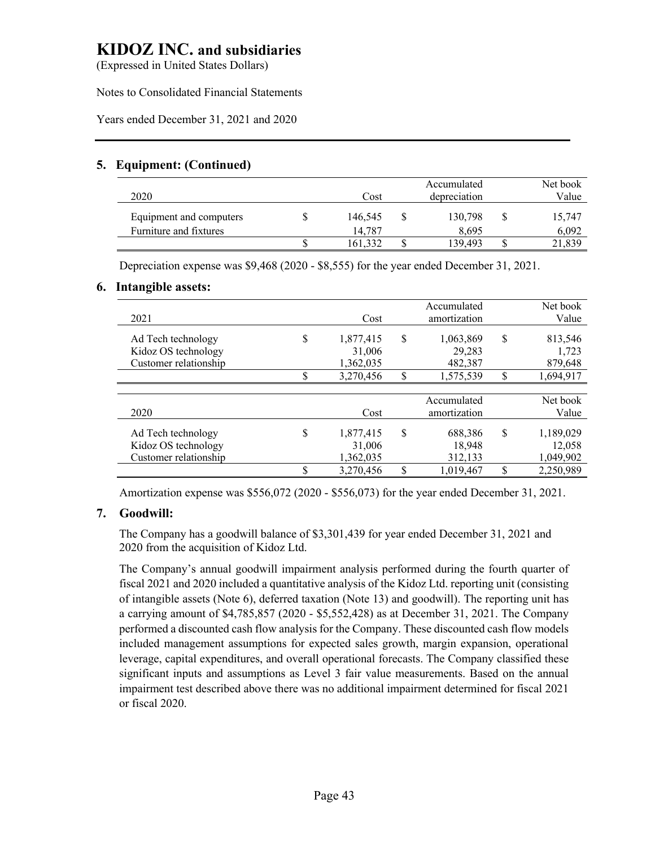(Expressed in United States Dollars)

Notes to Consolidated Financial Statements

Years ended December 31, 2021 and 2020

# **5. Equipment: (Continued)**

| 2020                    | Cost    | Accumulated<br>depreciation | Net book<br>Value |
|-------------------------|---------|-----------------------------|-------------------|
| Equipment and computers | 146.545 | 130,798                     | 15,747            |
| Furniture and fixtures  | 14.787  | 8.695                       | 6,092             |
|                         | 161.332 | 139.493                     | 21,839            |

Depreciation expense was \$9,468 (2020 - \$8,555) for the year ended December 31, 2021.

## **6. Intangible assets:**

| 2021                                                               |          | Cost                                          |          | Accumulated<br>amortization                 |          | Net book<br>Value                        |
|--------------------------------------------------------------------|----------|-----------------------------------------------|----------|---------------------------------------------|----------|------------------------------------------|
| Ad Tech technology<br>Kidoz OS technology<br>Customer relationship | \$<br>\$ | 1,877,415<br>31,006<br>1,362,035<br>3,270,456 | \$<br>\$ | 1,063,869<br>29,283<br>482,387<br>1,575,539 | \$<br>\$ | 813,546<br>1,723<br>879,648<br>1,694,917 |
|                                                                    |          |                                               |          |                                             |          |                                          |
| 2020                                                               |          | Cost                                          |          | Accumulated<br>amortization                 |          | Net book<br>Value                        |
| Ad Tech technology<br>Kidoz OS technology<br>Customer relationship | \$       | 1,877,415<br>31,006<br>1,362,035              | \$       | 688.386<br>18,948<br>312,133                | S        | 1,189,029<br>12,058<br>1,049,902         |
|                                                                    | Φ        | 3,270,456                                     | \$       | 1,019,467                                   | \$       | 2,250,989                                |

Amortization expense was \$556,072 (2020 - \$556,073) for the year ended December 31, 2021.

## **7. Goodwill:**

The Company has a goodwill balance of \$3,301,439 for year ended December 31, 2021 and 2020 from the acquisition of Kidoz Ltd.

The Company's annual goodwill impairment analysis performed during the fourth quarter of fiscal 2021 and 2020 included a quantitative analysis of the Kidoz Ltd. reporting unit (consisting of intangible assets (Note 6), deferred taxation (Note 13) and goodwill). The reporting unit has a carrying amount of \$4,785,857 (2020 - \$5,552,428) as at December 31, 2021. The Company performed a discounted cash flow analysis for the Company. These discounted cash flow models included management assumptions for expected sales growth, margin expansion, operational leverage, capital expenditures, and overall operational forecasts. The Company classified these significant inputs and assumptions as Level 3 fair value measurements. Based on the annual impairment test described above there was no additional impairment determined for fiscal 2021 or fiscal 2020.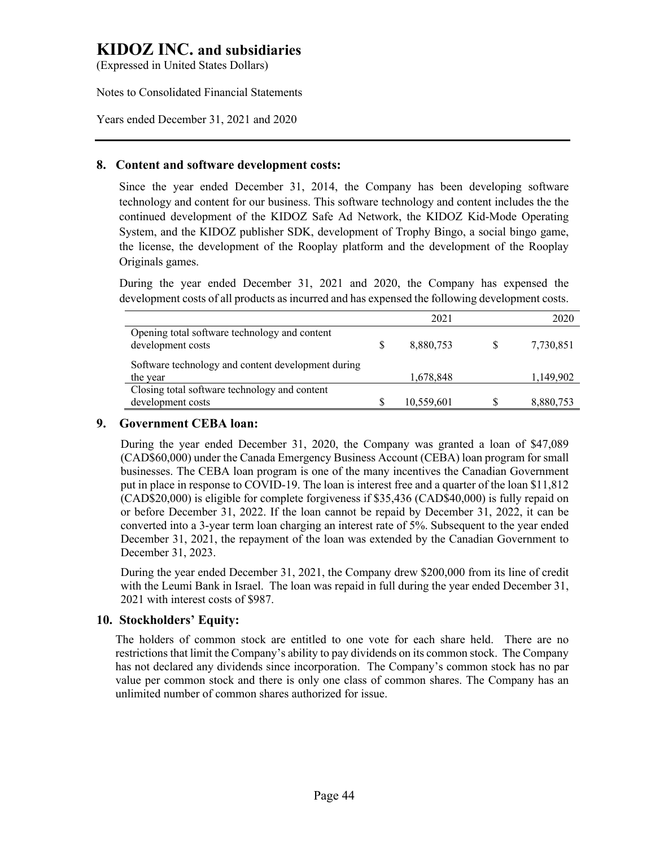(Expressed in United States Dollars)

Notes to Consolidated Financial Statements

Years ended December 31, 2021 and 2020

## **8. Content and software development costs:**

Since the year ended December 31, 2014, the Company has been developing software technology and content for our business. This software technology and content includes the the continued development of the KIDOZ Safe Ad Network, the KIDOZ Kid-Mode Operating System, and the KIDOZ publisher SDK, development of Trophy Bingo, a social bingo game, the license, the development of the Rooplay platform and the development of the Rooplay Originals games.

During the year ended December 31, 2021 and 2020, the Company has expensed the development costs of all products as incurred and has expensed the following development costs.

|                                                                    |   | 2021       | 2020      |
|--------------------------------------------------------------------|---|------------|-----------|
| Opening total software technology and content<br>development costs | S | 8,880,753  | 7,730,851 |
| Software technology and content development during<br>the year     |   | 1,678,848  | 1,149,902 |
| Closing total software technology and content                      |   |            |           |
| development costs                                                  |   | 10,559,601 | 8,880,753 |

### **9. Government CEBA loan:**

During the year ended December 31, 2020, the Company was granted a loan of \$47,089 (CAD\$60,000) under the Canada Emergency Business Account (CEBA) loan program for small businesses. The CEBA loan program is one of the many incentives the Canadian Government put in place in response to COVID-19. The loan is interest free and a quarter of the loan \$11,812 (CAD\$20,000) is eligible for complete forgiveness if \$35,436 (CAD\$40,000) is fully repaid on or before December 31, 2022. If the loan cannot be repaid by December 31, 2022, it can be converted into a 3-year term loan charging an interest rate of 5%. Subsequent to the year ended December 31, 2021, the repayment of the loan was extended by the Canadian Government to December 31, 2023.

During the year ended December 31, 2021, the Company drew \$200,000 from its line of credit with the Leumi Bank in Israel. The loan was repaid in full during the year ended December 31, 2021 with interest costs of \$987.

## **10. Stockholders' Equity:**

The holders of common stock are entitled to one vote for each share held. There are no restrictions that limit the Company's ability to pay dividends on its common stock. The Company has not declared any dividends since incorporation. The Company's common stock has no par value per common stock and there is only one class of common shares. The Company has an unlimited number of common shares authorized for issue.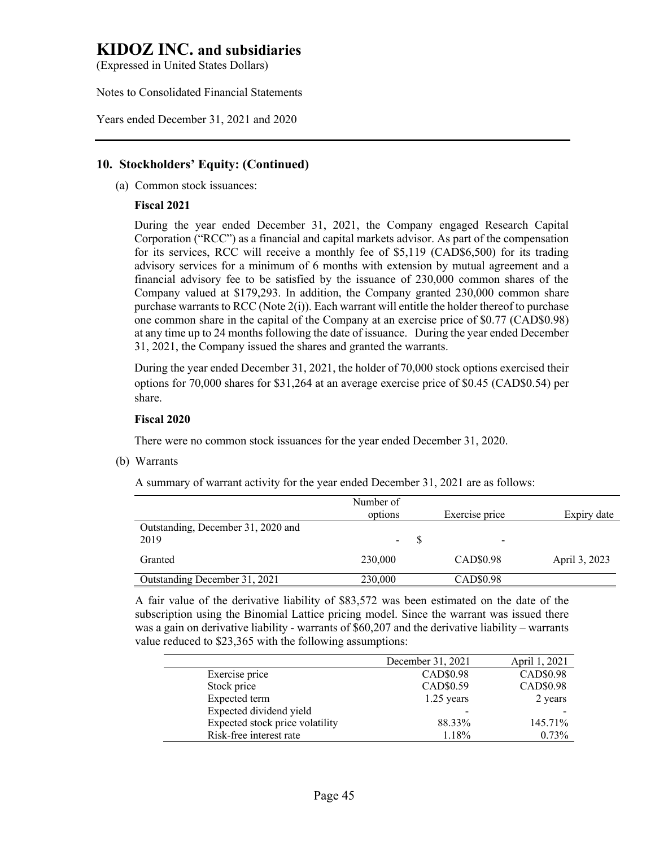(Expressed in United States Dollars)

Notes to Consolidated Financial Statements

Years ended December 31, 2021 and 2020

## **10. Stockholders' Equity: (Continued)**

(a) Common stock issuances:

#### **Fiscal 2021**

During the year ended December 31, 2021, the Company engaged Research Capital Corporation ("RCC") as a financial and capital markets advisor. As part of the compensation for its services, RCC will receive a monthly fee of \$5,119 (CAD\$6,500) for its trading advisory services for a minimum of 6 months with extension by mutual agreement and a financial advisory fee to be satisfied by the issuance of 230,000 common shares of the Company valued at \$179,293. In addition, the Company granted 230,000 common share purchase warrants to RCC (Note 2(i)). Each warrant will entitle the holder thereof to purchase one common share in the capital of the Company at an exercise price of \$0.77 (CAD\$0.98) at any time up to 24 months following the date of issuance. During the year ended December 31, 2021, the Company issued the shares and granted the warrants.

During the year ended December 31, 2021, the holder of 70,000 stock options exercised their options for 70,000 shares for \$31,264 at an average exercise price of \$0.45 (CAD\$0.54) per share.

#### **Fiscal 2020**

There were no common stock issuances for the year ended December 31, 2020.

(b) Warrants

A summary of warrant activity for the year ended December 31, 2021 are as follows:

|                                            | Number of<br>options | Exercise price | Expiry date   |
|--------------------------------------------|----------------------|----------------|---------------|
| Outstanding, December 31, 2020 and<br>2019 | $\blacksquare$       |                |               |
| Granted                                    | 230,000              | CAD\$0.98      | April 3, 2023 |
| Outstanding December 31, 2021              | 230,000              | CAD\$0.98      |               |

A fair value of the derivative liability of \$83,572 was been estimated on the date of the subscription using the Binomial Lattice pricing model. Since the warrant was issued there was a gain on derivative liability - warrants of \$60,207 and the derivative liability – warrants value reduced to \$23,365 with the following assumptions:

|                                 | December 31, 2021 | April 1, 2021 |
|---------------------------------|-------------------|---------------|
| Exercise price                  | CAD\$0.98         | CAD\$0.98     |
| Stock price                     | CAD\$0.59         | CAD\$0.98     |
| Expected term                   | $1.25$ years      | 2 years       |
| Expected dividend yield         |                   |               |
| Expected stock price volatility | 88.33%            | 145.71%       |
| Risk-free interest rate         | 1.18%             | 0.73%         |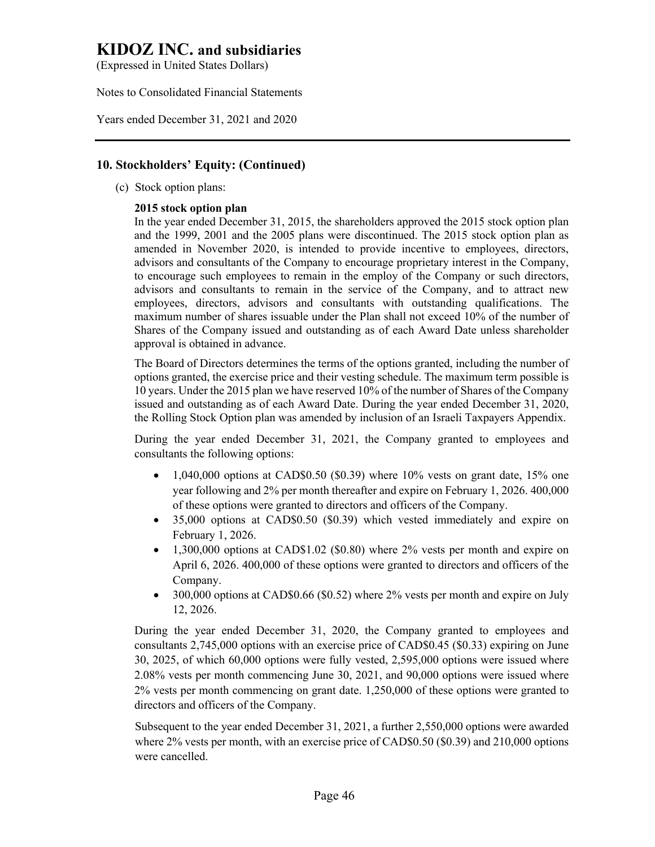(Expressed in United States Dollars)

Notes to Consolidated Financial Statements

Years ended December 31, 2021 and 2020

## **10. Stockholders' Equity: (Continued)**

(c) Stock option plans:

### **2015 stock option plan**

In the year ended December 31, 2015, the shareholders approved the 2015 stock option plan and the 1999, 2001 and the 2005 plans were discontinued. The 2015 stock option plan as amended in November 2020, is intended to provide incentive to employees, directors, advisors and consultants of the Company to encourage proprietary interest in the Company, to encourage such employees to remain in the employ of the Company or such directors, advisors and consultants to remain in the service of the Company, and to attract new employees, directors, advisors and consultants with outstanding qualifications. The maximum number of shares issuable under the Plan shall not exceed 10% of the number of Shares of the Company issued and outstanding as of each Award Date unless shareholder approval is obtained in advance.

The Board of Directors determines the terms of the options granted, including the number of options granted, the exercise price and their vesting schedule. The maximum term possible is 10 years. Under the 2015 plan we have reserved 10% of the number of Shares of the Company issued and outstanding as of each Award Date. During the year ended December 31, 2020, the Rolling Stock Option plan was amended by inclusion of an Israeli Taxpayers Appendix.

During the year ended December 31, 2021, the Company granted to employees and consultants the following options:

- 1,040,000 options at CAD\$0.50 (\$0.39) where  $10\%$  vests on grant date, 15% one year following and 2% per month thereafter and expire on February 1, 2026. 400,000 of these options were granted to directors and officers of the Company.
- 35,000 options at CAD\$0.50 (\$0.39) which vested immediately and expire on February 1, 2026.
- 1,300,000 options at CAD\$1.02 (\$0.80) where 2% vests per month and expire on April 6, 2026. 400,000 of these options were granted to directors and officers of the Company.
- 300,000 options at CAD\$0.66 (\$0.52) where 2% vests per month and expire on July 12, 2026.

During the year ended December 31, 2020, the Company granted to employees and consultants 2,745,000 options with an exercise price of CAD\$0.45 (\$0.33) expiring on June 30, 2025, of which 60,000 options were fully vested, 2,595,000 options were issued where 2.08% vests per month commencing June 30, 2021, and 90,000 options were issued where 2% vests per month commencing on grant date. 1,250,000 of these options were granted to directors and officers of the Company.

Subsequent to the year ended December 31, 2021, a further 2,550,000 options were awarded where 2% vests per month, with an exercise price of CAD\$0.50 (\$0.39) and 210,000 options were cancelled.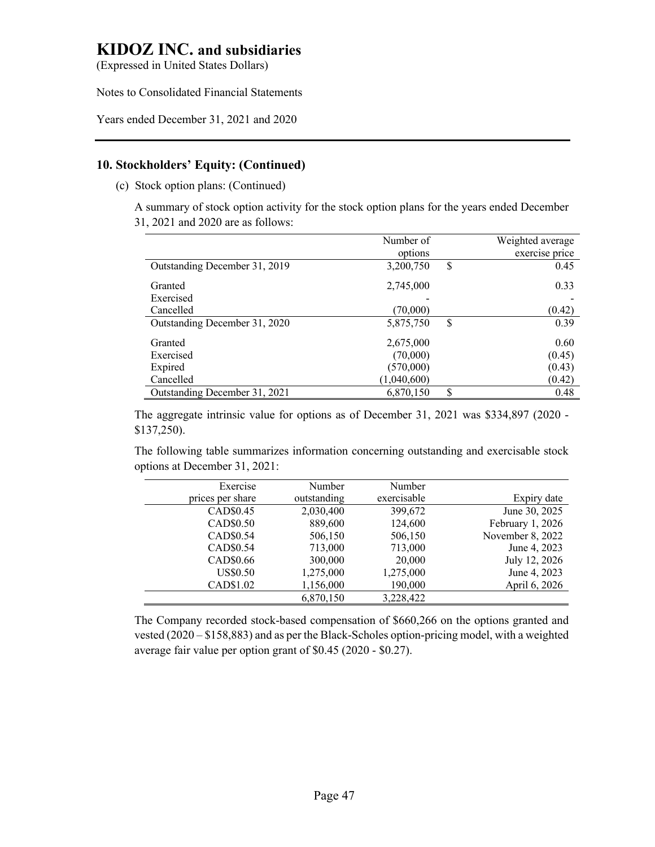(Expressed in United States Dollars)

Notes to Consolidated Financial Statements

Years ended December 31, 2021 and 2020

# **10. Stockholders' Equity: (Continued)**

(c) Stock option plans: (Continued)

A summary of stock option activity for the stock option plans for the years ended December 31, 2021 and 2020 are as follows:

|                               | Number of   |    | Weighted average |
|-------------------------------|-------------|----|------------------|
|                               | options     |    | exercise price   |
| Outstanding December 31, 2019 | 3,200,750   | \$ | 0.45             |
| Granted                       | 2,745,000   |    | 0.33             |
| Exercised                     |             |    |                  |
| Cancelled                     | (70,000)    |    | (0.42)           |
| Outstanding December 31, 2020 | 5,875,750   | S  | 0.39             |
| Granted                       | 2,675,000   |    | 0.60             |
| Exercised                     | (70,000)    |    | (0.45)           |
| Expired                       | (570,000)   |    | (0.43)           |
| Cancelled                     | (1,040,600) |    | (0.42)           |
| Outstanding December 31, 2021 | 6,870,150   | \$ | 0.48             |

The aggregate intrinsic value for options as of December 31, 2021 was \$334,897 (2020 - \$137,250).

The following table summarizes information concerning outstanding and exercisable stock options at December 31, 2021:

|                  | Number      | Number      | Exercise              |
|------------------|-------------|-------------|-----------------------|
| Expiry date      | exercisable | outstanding | prices per share      |
| June 30, 2025    | 399,672     | 2,030,400   | CAD\$0.45             |
| February 1, 2026 | 124,600     | 889,600     | CAD\$0.50             |
| November 8, 2022 | 506,150     | 506,150     | CAD\$0.54             |
| June 4, 2023     | 713,000     | 713,000     | CAD <sub>\$0.54</sub> |
| July 12, 2026    | 20,000      | 300,000     | CAD\$0.66             |
| June 4, 2023     | 1,275,000   | 1,275,000   | <b>US\$0.50</b>       |
| April 6, 2026    | 190,000     | 1,156,000   | CAD\$1.02             |
|                  | 3,228,422   | 6.870.150   |                       |

The Company recorded stock-based compensation of \$660,266 on the options granted and vested (2020 – \$158,883) and as per the Black-Scholes option-pricing model, with a weighted average fair value per option grant of \$0.45 (2020 - \$0.27).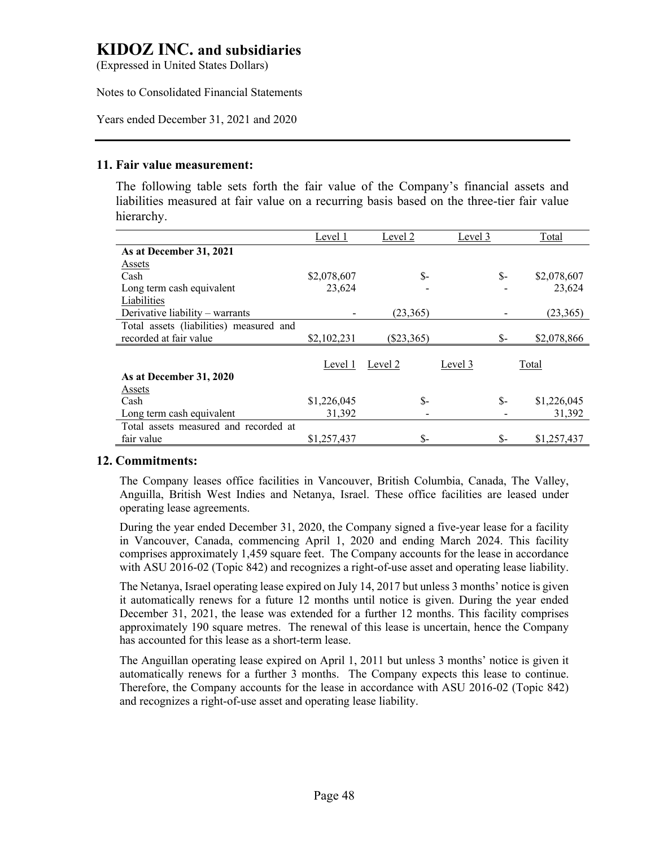(Expressed in United States Dollars)

Notes to Consolidated Financial Statements

Years ended December 31, 2021 and 2020

### **11. Fair value measurement:**

The following table sets forth the fair value of the Company's financial assets and liabilities measured at fair value on a recurring basis based on the three-tier fair value hierarchy.

|                                         | Level 1     | Level 2      | Level 3 | Total       |
|-----------------------------------------|-------------|--------------|---------|-------------|
| As at December 31, 2021                 |             |              |         |             |
| Assets                                  |             |              |         |             |
| Cash                                    | \$2,078,607 | $S-$         | \$-     | \$2,078,607 |
| Long term cash equivalent               | 23,624      |              |         | 23,624      |
| Liabilities                             |             |              |         |             |
| Derivative liability – warrants         |             | (23,365)     |         | (23,365)    |
| Total assets (liabilities) measured and |             |              |         |             |
| recorded at fair value                  | \$2,102,231 | $(\$23,365)$ | \$-     | \$2,078,866 |
|                                         |             |              |         |             |
|                                         | Level 1     | Level 2      | Level 3 | Total       |
| As at December 31, 2020                 |             |              |         |             |
| Assets                                  |             |              |         |             |
| Cash                                    | \$1,226,045 | $S-$         | \$-     | \$1,226,045 |
| Long term cash equivalent               | 31,392      |              |         | 31,392      |
| Total assets measured and recorded at   |             |              |         |             |
| fair value                              | \$1,257,437 | \$-          | \$-     | \$1,257,437 |

## **12. Commitments:**

The Company leases office facilities in Vancouver, British Columbia, Canada, The Valley, Anguilla, British West Indies and Netanya, Israel. These office facilities are leased under operating lease agreements.

During the year ended December 31, 2020, the Company signed a five-year lease for a facility in Vancouver, Canada, commencing April 1, 2020 and ending March 2024. This facility comprises approximately 1,459 square feet. The Company accounts for the lease in accordance with ASU 2016-02 (Topic 842) and recognizes a right-of-use asset and operating lease liability.

The Netanya, Israel operating lease expired on July 14, 2017 but unless 3 months' notice is given it automatically renews for a future 12 months until notice is given. During the year ended December 31, 2021, the lease was extended for a further 12 months. This facility comprises approximately 190 square metres. The renewal of this lease is uncertain, hence the Company has accounted for this lease as a short-term lease.

The Anguillan operating lease expired on April 1, 2011 but unless 3 months' notice is given it automatically renews for a further 3 months. The Company expects this lease to continue. Therefore, the Company accounts for the lease in accordance with ASU 2016-02 (Topic 842) and recognizes a right-of-use asset and operating lease liability.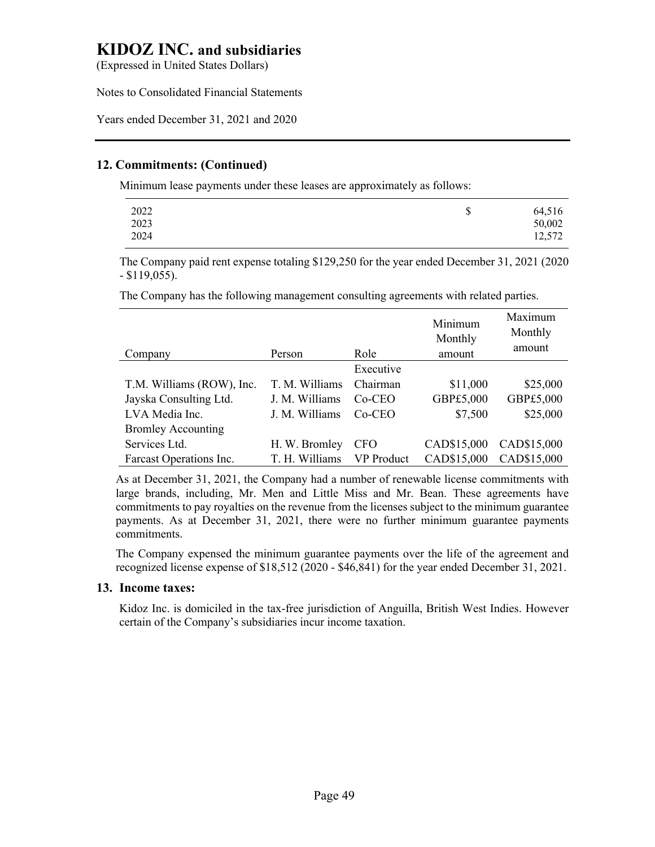(Expressed in United States Dollars)

Notes to Consolidated Financial Statements

Years ended December 31, 2021 and 2020

# **12. Commitments: (Continued)**

Minimum lease payments under these leases are approximately as follows:

| \$<br>64,516<br>50,002<br>12,572 |
|----------------------------------|
|                                  |

The Company paid rent expense totaling \$129,250 for the year ended December 31, 2021 (2020 - \$119,055).

The Company has the following management consulting agreements with related parties.

| Company                   | Person         | Role              | Minimum<br>Monthly<br>amount | Maximum<br>Monthly<br>amount |
|---------------------------|----------------|-------------------|------------------------------|------------------------------|
|                           |                | Executive         |                              |                              |
| T.M. Williams (ROW), Inc. | T. M. Williams | Chairman          | \$11,000                     | \$25,000                     |
| Jayska Consulting Ltd.    | J. M. Williams | $Co-CEO$          | GBP£5,000                    | GBP£5,000                    |
| LVA Media Inc.            | J. M. Williams | $Co-CEO$          | \$7,500                      | \$25,000                     |
| <b>Bromley Accounting</b> |                |                   |                              |                              |
| Services Ltd.             | H. W. Bromley  | <b>CFO</b>        | CAD\$15,000                  | CAD\$15,000                  |
| Farcast Operations Inc.   | T. H. Williams | <b>VP</b> Product | CAD\$15,000                  | CAD\$15,000                  |

As at December 31, 2021, the Company had a number of renewable license commitments with large brands, including, Mr. Men and Little Miss and Mr. Bean. These agreements have commitments to pay royalties on the revenue from the licenses subject to the minimum guarantee payments. As at December 31, 2021, there were no further minimum guarantee payments commitments.

The Company expensed the minimum guarantee payments over the life of the agreement and recognized license expense of \$18,512 (2020 - \$46,841) for the year ended December 31, 2021.

#### **13. Income taxes:**

Kidoz Inc. is domiciled in the tax-free jurisdiction of Anguilla, British West Indies. However certain of the Company's subsidiaries incur income taxation.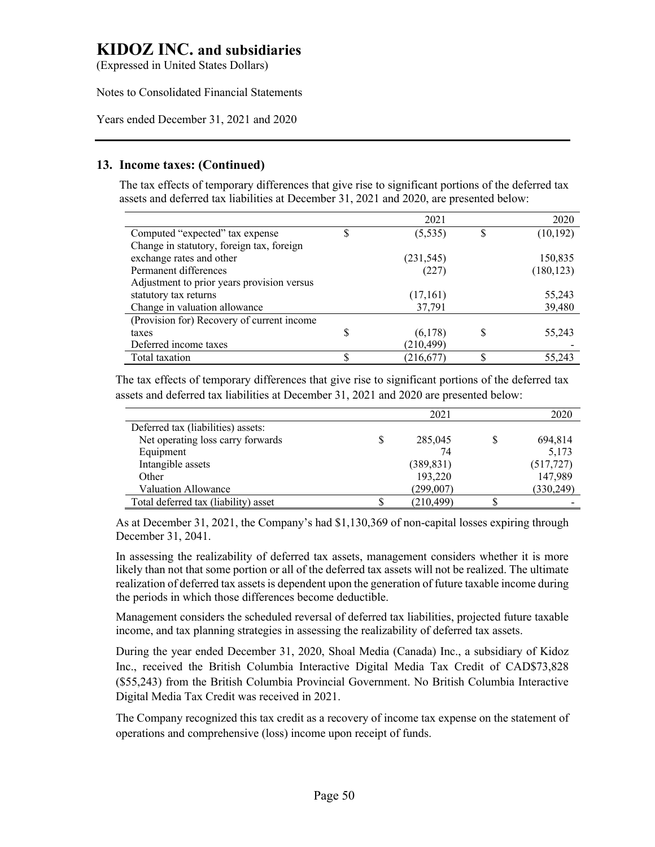(Expressed in United States Dollars)

Notes to Consolidated Financial Statements

Years ended December 31, 2021 and 2020

## **13. Income taxes: (Continued)**

The tax effects of temporary differences that give rise to significant portions of the deferred tax assets and deferred tax liabilities at December 31, 2021 and 2020, are presented below:

|                                            |   | 2021       |   | 2020       |
|--------------------------------------------|---|------------|---|------------|
| Computed "expected" tax expense            | S | (5, 535)   |   | (10, 192)  |
| Change in statutory, foreign tax, foreign  |   |            |   |            |
| exchange rates and other                   |   | (231, 545) |   | 150,835    |
| Permanent differences                      |   | (227)      |   | (180, 123) |
| Adjustment to prior years provision versus |   |            |   |            |
| statutory tax returns                      |   | (17,161)   |   | 55,243     |
| Change in valuation allowance              |   | 37,791     |   | 39,480     |
| (Provision for) Recovery of current income |   |            |   |            |
| taxes                                      | S | (6,178)    | S | 55,243     |
| Deferred income taxes                      |   | (210, 499) |   |            |
| Total taxation                             |   | (216, 677) |   | 55,243     |

The tax effects of temporary differences that give rise to significant portions of the deferred tax assets and deferred tax liabilities at December 31, 2021 and 2020 are presented below:

|                                      |   | 2021       | 2020       |
|--------------------------------------|---|------------|------------|
| Deferred tax (liabilities) assets:   |   |            |            |
| Net operating loss carry forwards    | S | 285,045    | 694,814    |
| Equipment                            |   | 74         | 5,173      |
| Intangible assets                    |   | (389, 831) | (517, 727) |
| Other                                |   | 193,220    | 147,989    |
| <b>Valuation Allowance</b>           |   | (299,007)  | (330, 249) |
| Total deferred tax (liability) asset |   | (210, 499) |            |

As at December 31, 2021, the Company's had \$1,130,369 of non-capital losses expiring through December 31, 2041.

In assessing the realizability of deferred tax assets, management considers whether it is more likely than not that some portion or all of the deferred tax assets will not be realized. The ultimate realization of deferred tax assets is dependent upon the generation of future taxable income during the periods in which those differences become deductible.

Management considers the scheduled reversal of deferred tax liabilities, projected future taxable income, and tax planning strategies in assessing the realizability of deferred tax assets.

During the year ended December 31, 2020, Shoal Media (Canada) Inc., a subsidiary of Kidoz Inc., received the British Columbia Interactive Digital Media Tax Credit of CAD\$73,828 (\$55,243) from the British Columbia Provincial Government. No British Columbia Interactive Digital Media Tax Credit was received in 2021.

The Company recognized this tax credit as a recovery of income tax expense on the statement of operations and comprehensive (loss) income upon receipt of funds.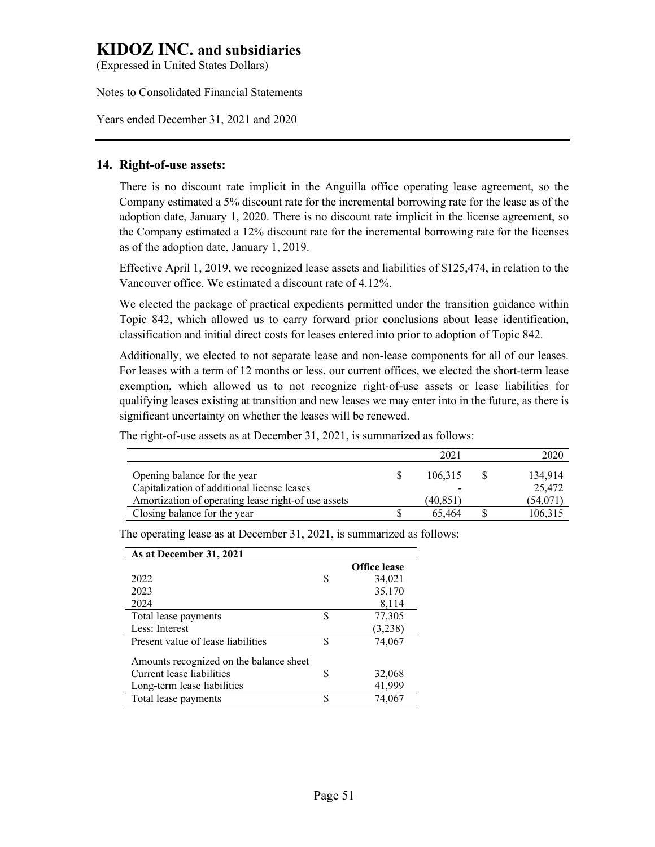(Expressed in United States Dollars)

Notes to Consolidated Financial Statements

Years ended December 31, 2021 and 2020

### **14. Right-of-use assets:**

There is no discount rate implicit in the Anguilla office operating lease agreement, so the Company estimated a 5% discount rate for the incremental borrowing rate for the lease as of the adoption date, January 1, 2020. There is no discount rate implicit in the license agreement, so the Company estimated a 12% discount rate for the incremental borrowing rate for the licenses as of the adoption date, January 1, 2019.

Effective April 1, 2019, we recognized lease assets and liabilities of \$125,474, in relation to the Vancouver office. We estimated a discount rate of 4.12%.

We elected the package of practical expedients permitted under the transition guidance within Topic 842, which allowed us to carry forward prior conclusions about lease identification, classification and initial direct costs for leases entered into prior to adoption of Topic 842.

Additionally, we elected to not separate lease and non-lease components for all of our leases. For leases with a term of 12 months or less, our current offices, we elected the short-term lease exemption, which allowed us to not recognize right-of-use assets or lease liabilities for qualifying leases existing at transition and new leases we may enter into in the future, as there is significant uncertainty on whether the leases will be renewed.

The right-of-use assets as at December 31, 2021, is summarized as follows:

|                                                     | 2021     | 2020     |
|-----------------------------------------------------|----------|----------|
| Opening balance for the year                        | 106.315  | 134,914  |
| Capitalization of additional license leases         | -        | 25,472   |
| Amortization of operating lease right-of use assets | (40,851) | (54,071) |
| Closing balance for the year                        | 65.464   | 106,315  |

**As at December 31, 2021 Office lease** 2022 \$ 34,021 2023 35,170 2024 8,114 Total lease payments  $$ 77,305$ Less: Interest (3,238) Present value of lease liabilities  $$ 74,067$ Amounts recognized on the balance sheet Current lease liabilities \$ 32,068 Long-term lease liabilities 41,999 Total lease payments  $$ 74,067$ 

The operating lease as at December 31, 2021, is summarized as follows: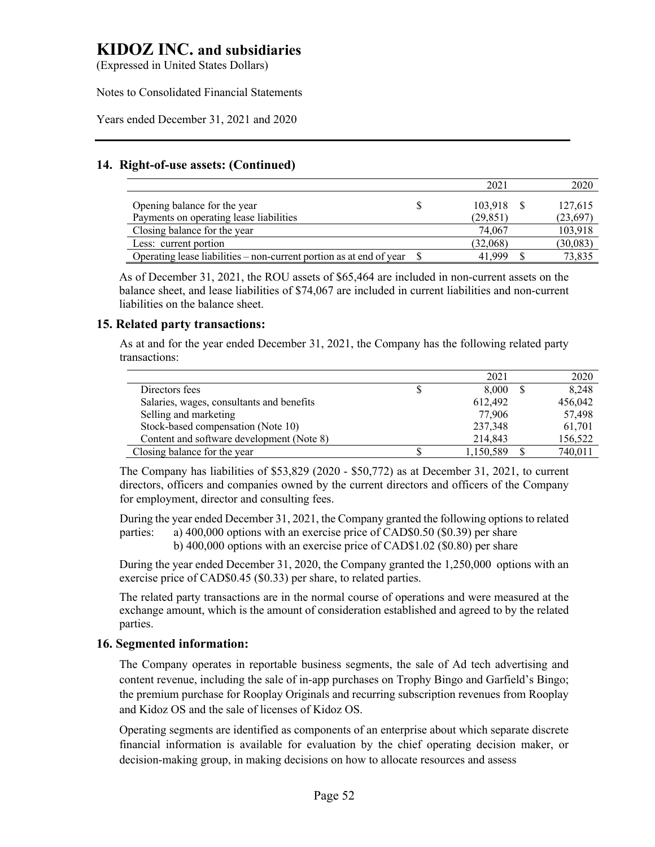(Expressed in United States Dollars)

Notes to Consolidated Financial Statements

Years ended December 31, 2021 and 2020

## **14. Right-of-use assets: (Continued)**

|                                                                          | 2021      | 2020      |
|--------------------------------------------------------------------------|-----------|-----------|
| Opening balance for the year                                             | 103.918   | 127,615   |
| Payments on operating lease liabilities                                  | (29, 851) | (23, 697) |
| Closing balance for the year                                             | 74,067    | 103,918   |
| Less: current portion                                                    | (32,068)  | (30,083)  |
| Operating lease liabilities – non-current portion as at end of year $\$$ | 41,999    | 73,835    |

As of December 31, 2021, the ROU assets of \$65,464 are included in non-current assets on the balance sheet, and lease liabilities of \$74,067 are included in current liabilities and non-current liabilities on the balance sheet.

## **15. Related party transactions:**

As at and for the year ended December 31, 2021, the Company has the following related party transactions:

|                                           | 2021      | 2020    |
|-------------------------------------------|-----------|---------|
| Directors fees                            | 8.000     | 8,248   |
| Salaries, wages, consultants and benefits | 612,492   | 456,042 |
| Selling and marketing                     | 77,906    | 57,498  |
| Stock-based compensation (Note 10)        | 237,348   | 61,701  |
| Content and software development (Note 8) | 214,843   | 156,522 |
| Closing balance for the year              | 1,150,589 | 740,011 |

The Company has liabilities of \$53,829 (2020 - \$50,772) as at December 31, 2021, to current directors, officers and companies owned by the current directors and officers of the Company for employment, director and consulting fees.

During the year ended December 31, 2021, the Company granted the following options to related parties: a) 400,000 options with an exercise price of CAD\$0.50 (\$0.39) per share

b) 400,000 options with an exercise price of CAD\$1.02 (\$0.80) per share

During the year ended December 31, 2020, the Company granted the 1,250,000 options with an exercise price of CAD\$0.45 (\$0.33) per share, to related parties.

The related party transactions are in the normal course of operations and were measured at the exchange amount, which is the amount of consideration established and agreed to by the related parties.

## **16. Segmented information:**

The Company operates in reportable business segments, the sale of Ad tech advertising and content revenue, including the sale of in-app purchases on Trophy Bingo and Garfield's Bingo; the premium purchase for Rooplay Originals and recurring subscription revenues from Rooplay and Kidoz OS and the sale of licenses of Kidoz OS.

Operating segments are identified as components of an enterprise about which separate discrete financial information is available for evaluation by the chief operating decision maker, or decision-making group, in making decisions on how to allocate resources and assess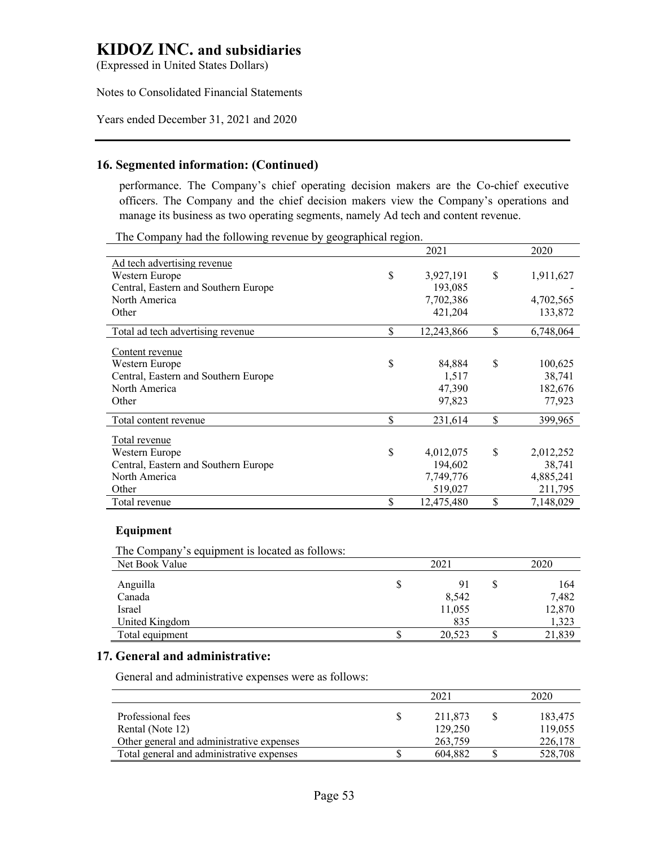(Expressed in United States Dollars)

#### Notes to Consolidated Financial Statements

#### Years ended December 31, 2021 and 2020

### **16. Segmented information: (Continued)**

performance. The Company's chief operating decision makers are the Co-chief executive officers. The Company and the chief decision makers view the Company's operations and manage its business as two operating segments, namely Ad tech and content revenue.

The Company had the following revenue by geographical region.

| -ט -                                 | . ב- | 2021       | 2020            |
|--------------------------------------|------|------------|-----------------|
| <u>Ad tech advertising revenue</u>   |      |            |                 |
| Western Europe                       | \$   | 3,927,191  | \$<br>1,911,627 |
| Central, Eastern and Southern Europe |      | 193,085    |                 |
| North America                        |      | 7,702,386  | 4,702,565       |
| Other                                |      | 421,204    | 133,872         |
| Total ad tech advertising revenue    | \$   | 12,243,866 | \$<br>6,748,064 |
| Content revenue                      |      |            |                 |
| Western Europe                       | \$   | 84,884     | \$<br>100,625   |
| Central, Eastern and Southern Europe |      | 1,517      | 38,741          |
| North America                        |      | 47,390     | 182,676         |
| Other                                |      | 97,823     | 77,923          |
| Total content revenue                | \$   | 231,614    | \$<br>399,965   |
| Total revenue                        |      |            |                 |
| Western Europe                       | \$   | 4,012,075  | \$<br>2,012,252 |
| Central, Eastern and Southern Europe |      | 194,602    | 38,741          |
| North America                        |      | 7,749,776  | 4,885,241       |
| Other                                |      | 519,027    | 211,795         |
| Total revenue                        | \$   | 12,475,480 | \$<br>7,148,029 |
|                                      |      |            |                 |

#### **Equipment**

The Company's equipment is located as follows: Net Book Value 2021 2020

| 1.00020011.70100 |   | ----   |  |        |
|------------------|---|--------|--|--------|
| Anguilla         | Φ | 91     |  | 164    |
| Canada           |   | 8,542  |  | 7,482  |
| Israel           |   | 11,055 |  | 12,870 |
| United Kingdom   |   | 835    |  | 1,323  |
| Total equipment  |   | 20,523 |  |        |
|                  |   |        |  |        |

#### **17. General and administrative:**

General and administrative expenses were as follows:

|                                           | 2021    | 2020    |
|-------------------------------------------|---------|---------|
| Professional fees                         | 211.873 | 183,475 |
| Rental (Note 12)                          | 129,250 | 119,055 |
| Other general and administrative expenses | 263,759 | 226,178 |
| Total general and administrative expenses | 604.882 | 528,708 |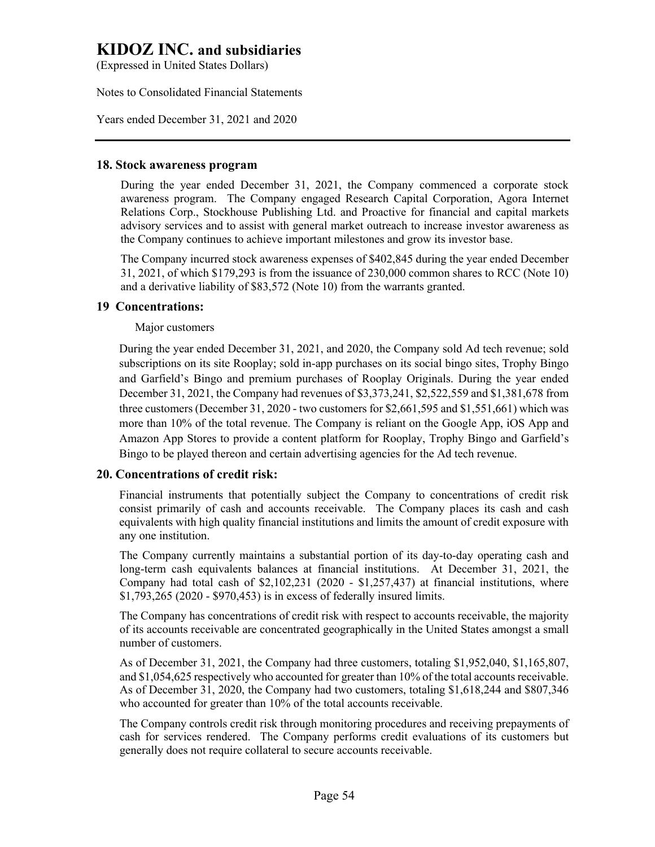(Expressed in United States Dollars)

Notes to Consolidated Financial Statements

Years ended December 31, 2021 and 2020

### **18. Stock awareness program**

During the year ended December 31, 2021, the Company commenced a corporate stock awareness program. The Company engaged Research Capital Corporation, Agora Internet Relations Corp., Stockhouse Publishing Ltd. and Proactive for financial and capital markets advisory services and to assist with general market outreach to increase investor awareness as the Company continues to achieve important milestones and grow its investor base.

The Company incurred stock awareness expenses of \$402,845 during the year ended December 31, 2021, of which \$179,293 is from the issuance of 230,000 common shares to RCC (Note 10) and a derivative liability of \$83,572 (Note 10) from the warrants granted.

## **19 Concentrations:**

Major customers

During the year ended December 31, 2021, and 2020, the Company sold Ad tech revenue; sold subscriptions on its site Rooplay; sold in-app purchases on its social bingo sites, Trophy Bingo and Garfield's Bingo and premium purchases of Rooplay Originals. During the year ended December 31, 2021, the Company had revenues of \$3,373,241, \$2,522,559 and \$1,381,678 from three customers (December 31, 2020 - two customers for \$2,661,595 and \$1,551,661) which was more than 10% of the total revenue. The Company is reliant on the Google App, iOS App and Amazon App Stores to provide a content platform for Rooplay, Trophy Bingo and Garfield's Bingo to be played thereon and certain advertising agencies for the Ad tech revenue.

## **20. Concentrations of credit risk:**

Financial instruments that potentially subject the Company to concentrations of credit risk consist primarily of cash and accounts receivable. The Company places its cash and cash equivalents with high quality financial institutions and limits the amount of credit exposure with any one institution.

The Company currently maintains a substantial portion of its day-to-day operating cash and long-term cash equivalents balances at financial institutions. At December 31, 2021, the Company had total cash of \$2,102,231 (2020 - \$1,257,437) at financial institutions, where \$1,793,265 (2020 - \$970,453) is in excess of federally insured limits.

The Company has concentrations of credit risk with respect to accounts receivable, the majority of its accounts receivable are concentrated geographically in the United States amongst a small number of customers.

As of December 31, 2021, the Company had three customers, totaling \$1,952,040, \$1,165,807, and \$1,054,625 respectively who accounted for greater than 10% of the total accounts receivable. As of December 31, 2020, the Company had two customers, totaling \$1,618,244 and \$807,346 who accounted for greater than 10% of the total accounts receivable.

The Company controls credit risk through monitoring procedures and receiving prepayments of cash for services rendered. The Company performs credit evaluations of its customers but generally does not require collateral to secure accounts receivable.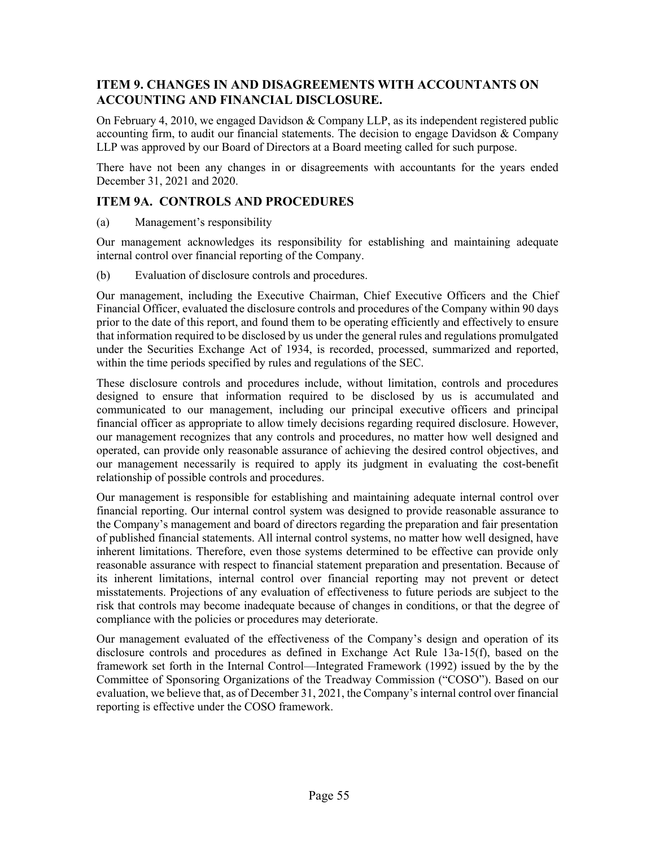# **ITEM 9. CHANGES IN AND DISAGREEMENTS WITH ACCOUNTANTS ON ACCOUNTING AND FINANCIAL DISCLOSURE.**

On February 4, 2010, we engaged Davidson & Company LLP, as its independent registered public accounting firm, to audit our financial statements. The decision to engage Davidson  $& Company$ LLP was approved by our Board of Directors at a Board meeting called for such purpose.

There have not been any changes in or disagreements with accountants for the years ended December 31, 2021 and 2020.

# **ITEM 9A. CONTROLS AND PROCEDURES**

(a) Management's responsibility

Our management acknowledges its responsibility for establishing and maintaining adequate internal control over financial reporting of the Company.

(b) Evaluation of disclosure controls and procedures.

Our management, including the Executive Chairman, Chief Executive Officers and the Chief Financial Officer, evaluated the disclosure controls and procedures of the Company within 90 days prior to the date of this report, and found them to be operating efficiently and effectively to ensure that information required to be disclosed by us under the general rules and regulations promulgated under the Securities Exchange Act of 1934, is recorded, processed, summarized and reported, within the time periods specified by rules and regulations of the SEC.

These disclosure controls and procedures include, without limitation, controls and procedures designed to ensure that information required to be disclosed by us is accumulated and communicated to our management, including our principal executive officers and principal financial officer as appropriate to allow timely decisions regarding required disclosure. However, our management recognizes that any controls and procedures, no matter how well designed and operated, can provide only reasonable assurance of achieving the desired control objectives, and our management necessarily is required to apply its judgment in evaluating the cost-benefit relationship of possible controls and procedures.

Our management is responsible for establishing and maintaining adequate internal control over financial reporting. Our internal control system was designed to provide reasonable assurance to the Company's management and board of directors regarding the preparation and fair presentation of published financial statements. All internal control systems, no matter how well designed, have inherent limitations. Therefore, even those systems determined to be effective can provide only reasonable assurance with respect to financial statement preparation and presentation. Because of its inherent limitations, internal control over financial reporting may not prevent or detect misstatements. Projections of any evaluation of effectiveness to future periods are subject to the risk that controls may become inadequate because of changes in conditions, or that the degree of compliance with the policies or procedures may deteriorate.

Our management evaluated of the effectiveness of the Company's design and operation of its disclosure controls and procedures as defined in Exchange Act Rule 13a-15(f), based on the framework set forth in the Internal Control—Integrated Framework (1992) issued by the by the Committee of Sponsoring Organizations of the Treadway Commission ("COSO"). Based on our evaluation, we believe that, as of December 31, 2021, the Company's internal control over financial reporting is effective under the COSO framework.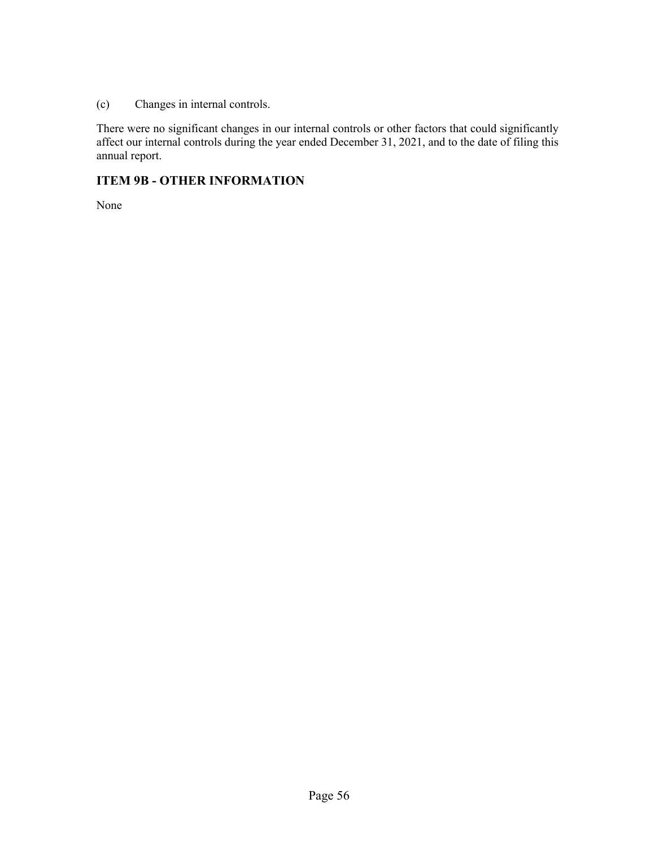(c) Changes in internal controls.

There were no significant changes in our internal controls or other factors that could significantly affect our internal controls during the year ended December 31, 2021, and to the date of filing this annual report.

# **ITEM 9B - OTHER INFORMATION**

None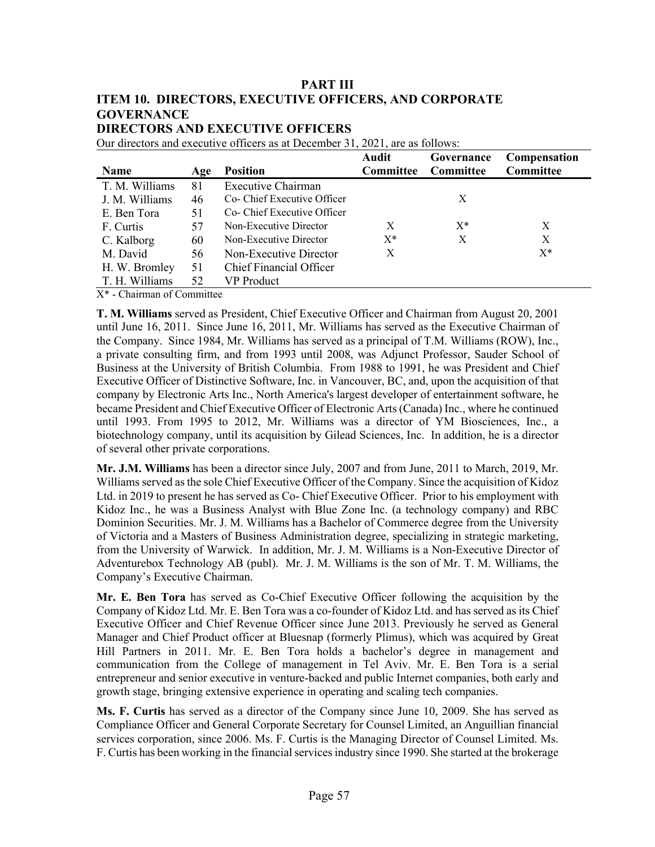# **PART III ITEM 10. DIRECTORS, EXECUTIVE OFFICERS, AND CORPORATE GOVERNANCE DIRECTORS AND EXECUTIVE OFFICERS**

| Our directors and executive officers as at December 31, 2021, are as follows: |  |
|-------------------------------------------------------------------------------|--|
|-------------------------------------------------------------------------------|--|

|                             |     |                             | Audit            | Governance       | Compensation     |
|-----------------------------|-----|-----------------------------|------------------|------------------|------------------|
| Name                        | Age | <b>Position</b>             | <b>Committee</b> | <b>Committee</b> | <b>Committee</b> |
| T. M. Williams              | 81  | Executive Chairman          |                  |                  |                  |
| J. M. Williams              | 46  | Co- Chief Executive Officer |                  | X                |                  |
| E. Ben Tora                 | 51  | Co- Chief Executive Officer |                  |                  |                  |
| F. Curtis                   | 57  | Non-Executive Director      | X                | $X^*$            | X                |
| C. Kalborg                  | 60  | Non-Executive Director      | $X^*$            | X                | X                |
| M. David                    | 56  | Non-Executive Director      | X                |                  | $X^*$            |
| H. W. Bromley               | 51  | Chief Financial Officer     |                  |                  |                  |
| T. H. Williams              | 52  | VP Product                  |                  |                  |                  |
| $\nabla^*$ $\alpha$ $\beta$ |     |                             |                  |                  |                  |

X\* - Chairman of Committee

**T. M. Williams** served as President, Chief Executive Officer and Chairman from August 20, 2001 until June 16, 2011. Since June 16, 2011, Mr. Williams has served as the Executive Chairman of the Company. Since 1984, Mr. Williams has served as a principal of T.M. Williams (ROW), Inc., a private consulting firm, and from 1993 until 2008, was Adjunct Professor, Sauder School of Business at the University of British Columbia. From 1988 to 1991, he was President and Chief Executive Officer of Distinctive Software, Inc. in Vancouver, BC, and, upon the acquisition of that company by Electronic Arts Inc., North America's largest developer of entertainment software, he became President and Chief Executive Officer of Electronic Arts (Canada) Inc., where he continued until 1993. From 1995 to 2012, Mr. Williams was a director of YM Biosciences, Inc., a biotechnology company, until its acquisition by Gilead Sciences, Inc. In addition, he is a director of several other private corporations.

**Mr. J.M. Williams** has been a director since July, 2007 and from June, 2011 to March, 2019, Mr. Williams served as the sole Chief Executive Officer of the Company. Since the acquisition of Kidoz Ltd. in 2019 to present he has served as Co- Chief Executive Officer. Prior to his employment with Kidoz Inc., he was a Business Analyst with Blue Zone Inc. (a technology company) and RBC Dominion Securities. Mr. J. M. Williams has a Bachelor of Commerce degree from the University of Victoria and a Masters of Business Administration degree, specializing in strategic marketing, from the University of Warwick. In addition, Mr. J. M. Williams is a Non-Executive Director of Adventurebox Technology AB (publ). Mr. J. M. Williams is the son of Mr. T. M. Williams, the Company's Executive Chairman.

**Mr. E. Ben Tora** has served as Co-Chief Executive Officer following the acquisition by the Company of Kidoz Ltd. Mr. E. Ben Tora was a co-founder of Kidoz Ltd. and has served as its Chief Executive Officer and Chief Revenue Officer since June 2013. Previously he served as General Manager and Chief Product officer at Bluesnap (formerly Plimus), which was acquired by Great Hill Partners in 2011. Mr. E. Ben Tora holds a bachelor's degree in management and communication from the College of management in Tel Aviv. Mr. E. Ben Tora is a serial entrepreneur and senior executive in venture-backed and public Internet companies, both early and growth stage, bringing extensive experience in operating and scaling tech companies.

**Ms. F. Curtis** has served as a director of the Company since June 10, 2009. She has served as Compliance Officer and General Corporate Secretary for Counsel Limited, an Anguillian financial services corporation, since 2006. Ms. F. Curtis is the Managing Director of Counsel Limited. Ms. F. Curtis has been working in the financial services industry since 1990. She started at the brokerage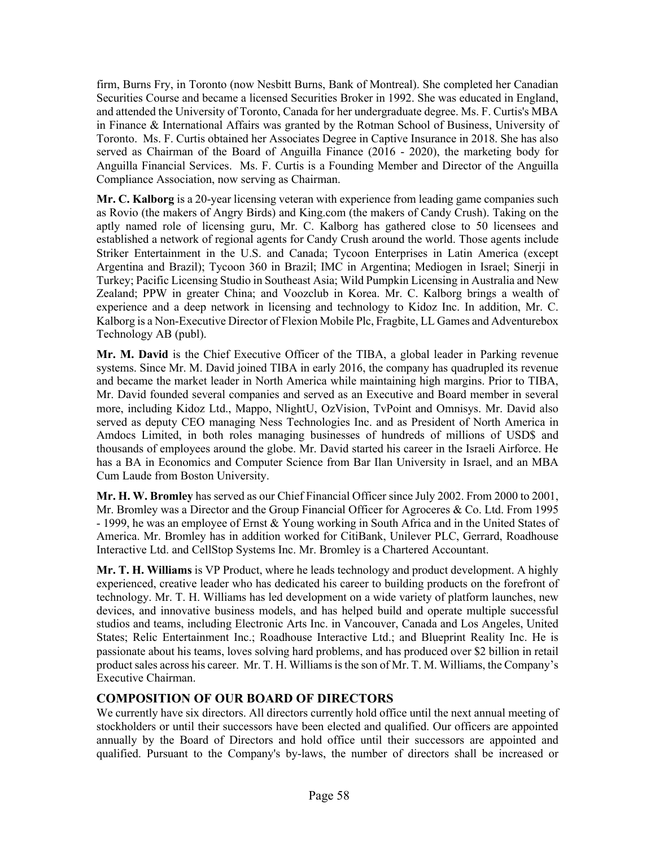firm, Burns Fry, in Toronto (now Nesbitt Burns, Bank of Montreal). She completed her Canadian Securities Course and became a licensed Securities Broker in 1992. She was educated in England, and attended the University of Toronto, Canada for her undergraduate degree. Ms. F. Curtis's MBA in Finance & International Affairs was granted by the Rotman School of Business, University of Toronto. Ms. F. Curtis obtained her Associates Degree in Captive Insurance in 2018. She has also served as Chairman of the Board of Anguilla Finance (2016 - 2020), the marketing body for Anguilla Financial Services. Ms. F. Curtis is a Founding Member and Director of the Anguilla Compliance Association, now serving as Chairman.

**Mr. C. Kalborg** is a 20-year licensing veteran with experience from leading game companies such as Rovio (the makers of Angry Birds) and King.com (the makers of Candy Crush). Taking on the aptly named role of licensing guru, Mr. C. Kalborg has gathered close to 50 licensees and established a network of regional agents for Candy Crush around the world. Those agents include Striker Entertainment in the U.S. and Canada; Tycoon Enterprises in Latin America (except Argentina and Brazil); Tycoon 360 in Brazil; IMC in Argentina; Mediogen in Israel; Sinerji in Turkey; Pacific Licensing Studio in Southeast Asia; Wild Pumpkin Licensing in Australia and New Zealand; PPW in greater China; and Voozclub in Korea. Mr. C. Kalborg brings a wealth of experience and a deep network in licensing and technology to Kidoz Inc. In addition, Mr. C. Kalborg is a Non-Executive Director of Flexion Mobile Plc, Fragbite, LL Games and Adventurebox Technology AB (publ).

**Mr. M. David** is the Chief Executive Officer of the TIBA, a global leader in Parking revenue systems. Since Mr. M. David joined TIBA in early 2016, the company has quadrupled its revenue and became the market leader in North America while maintaining high margins. Prior to TIBA, Mr. David founded several companies and served as an Executive and Board member in several more, including Kidoz Ltd., Mappo, NlightU, OzVision, TvPoint and Omnisys. Mr. David also served as deputy CEO managing Ness Technologies Inc. and as President of North America in Amdocs Limited, in both roles managing businesses of hundreds of millions of USD\$ and thousands of employees around the globe. Mr. David started his career in the Israeli Airforce. He has a BA in Economics and Computer Science from Bar Ilan University in Israel, and an MBA Cum Laude from Boston University.

**Mr. H. W. Bromley** has served as our Chief Financial Officer since July 2002. From 2000 to 2001, Mr. Bromley was a Director and the Group Financial Officer for Agroceres & Co. Ltd. From 1995 - 1999, he was an employee of Ernst & Young working in South Africa and in the United States of America. Mr. Bromley has in addition worked for CitiBank, Unilever PLC, Gerrard, Roadhouse Interactive Ltd. and CellStop Systems Inc. Mr. Bromley is a Chartered Accountant.

**Mr. T. H. Williams** is VP Product, where he leads technology and product development. A highly experienced, creative leader who has dedicated his career to building products on the forefront of technology. Mr. T. H. Williams has led development on a wide variety of platform launches, new devices, and innovative business models, and has helped build and operate multiple successful studios and teams, including Electronic Arts Inc. in Vancouver, Canada and Los Angeles, United States; Relic Entertainment Inc.; Roadhouse Interactive Ltd.; and Blueprint Reality Inc. He is passionate about his teams, loves solving hard problems, and has produced over \$2 billion in retail product sales across his career. Mr. T. H. Williams is the son of Mr. T. M. Williams, the Company's Executive Chairman.

# **COMPOSITION OF OUR BOARD OF DIRECTORS**

We currently have six directors. All directors currently hold office until the next annual meeting of stockholders or until their successors have been elected and qualified. Our officers are appointed annually by the Board of Directors and hold office until their successors are appointed and qualified. Pursuant to the Company's by-laws, the number of directors shall be increased or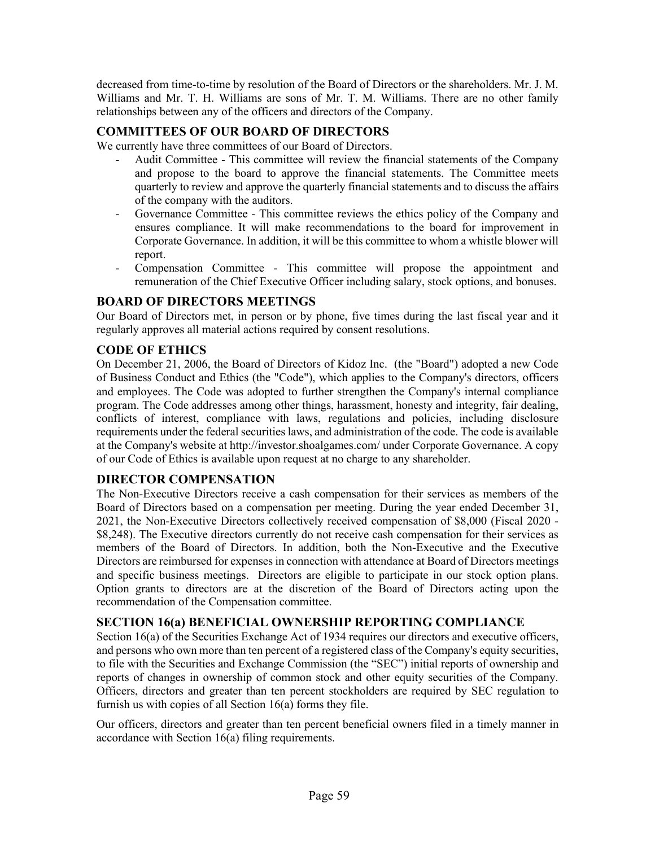decreased from time-to-time by resolution of the Board of Directors or the shareholders. Mr. J. M. Williams and Mr. T. H. Williams are sons of Mr. T. M. Williams. There are no other family relationships between any of the officers and directors of the Company.

# **COMMITTEES OF OUR BOARD OF DIRECTORS**

We currently have three committees of our Board of Directors.

- Audit Committee This committee will review the financial statements of the Company and propose to the board to approve the financial statements. The Committee meets quarterly to review and approve the quarterly financial statements and to discuss the affairs of the company with the auditors.
- Governance Committee This committee reviews the ethics policy of the Company and ensures compliance. It will make recommendations to the board for improvement in Corporate Governance. In addition, it will be this committee to whom a whistle blower will report.
- Compensation Committee This committee will propose the appointment and remuneration of the Chief Executive Officer including salary, stock options, and bonuses.

## **BOARD OF DIRECTORS MEETINGS**

Our Board of Directors met, in person or by phone, five times during the last fiscal year and it regularly approves all material actions required by consent resolutions.

## **CODE OF ETHICS**

On December 21, 2006, the Board of Directors of Kidoz Inc. (the "Board") adopted a new Code of Business Conduct and Ethics (the "Code"), which applies to the Company's directors, officers and employees. The Code was adopted to further strengthen the Company's internal compliance program. The Code addresses among other things, harassment, honesty and integrity, fair dealing, conflicts of interest, compliance with laws, regulations and policies, including disclosure requirements under the federal securities laws, and administration of the code. The code is available at the Company's website at http://investor.shoalgames.com/ under Corporate Governance. A copy of our Code of Ethics is available upon request at no charge to any shareholder.

## **DIRECTOR COMPENSATION**

The Non-Executive Directors receive a cash compensation for their services as members of the Board of Directors based on a compensation per meeting. During the year ended December 31, 2021, the Non-Executive Directors collectively received compensation of \$8,000 (Fiscal 2020 - \$8,248). The Executive directors currently do not receive cash compensation for their services as members of the Board of Directors. In addition, both the Non-Executive and the Executive Directors are reimbursed for expenses in connection with attendance at Board of Directors meetings and specific business meetings. Directors are eligible to participate in our stock option plans. Option grants to directors are at the discretion of the Board of Directors acting upon the recommendation of the Compensation committee.

## **SECTION 16(a) BENEFICIAL OWNERSHIP REPORTING COMPLIANCE**

Section 16(a) of the Securities Exchange Act of 1934 requires our directors and executive officers, and persons who own more than ten percent of a registered class of the Company's equity securities, to file with the Securities and Exchange Commission (the "SEC") initial reports of ownership and reports of changes in ownership of common stock and other equity securities of the Company. Officers, directors and greater than ten percent stockholders are required by SEC regulation to furnish us with copies of all Section 16(a) forms they file.

Our officers, directors and greater than ten percent beneficial owners filed in a timely manner in accordance with Section 16(a) filing requirements.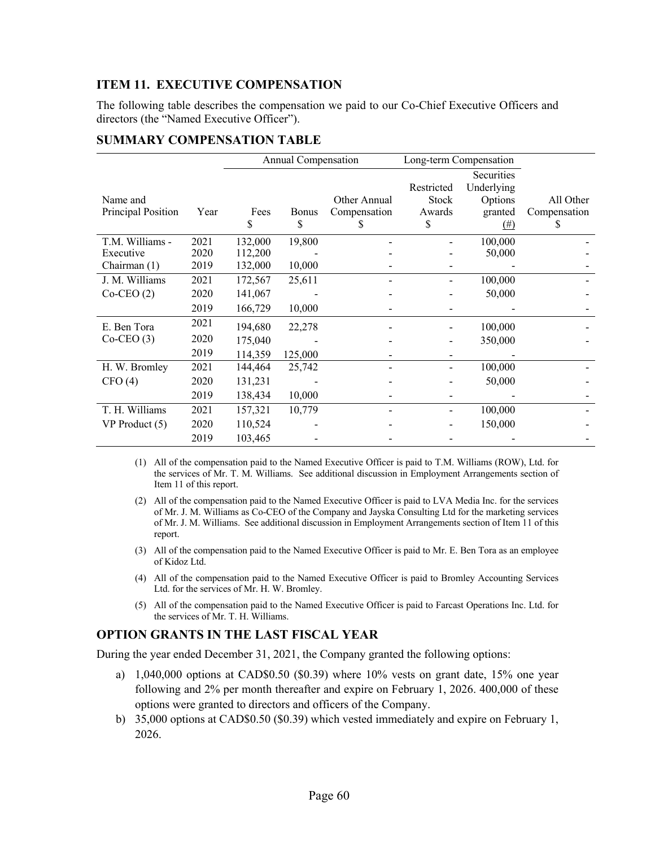# **ITEM 11. EXECUTIVE COMPENSATION**

The following table describes the compensation we paid to our Co-Chief Executive Officers and directors (the "Named Executive Officer").

|                    |      | Annual Compensation |              | Long-term Compensation |              |                          |              |
|--------------------|------|---------------------|--------------|------------------------|--------------|--------------------------|--------------|
|                    |      |                     |              |                        | Restricted   | Securities<br>Underlying |              |
| Name and           |      |                     |              | Other Annual           | <b>Stock</b> | Options                  | All Other    |
| Principal Position | Year | Fees                | <b>Bonus</b> | Compensation           | Awards       | granted                  | Compensation |
|                    |      | \$                  | \$           | S                      | S            | $(\#)$                   | S            |
| T.M. Williams -    | 2021 | 132,000             | 19,800       |                        |              | 100,000                  |              |
| Executive          | 2020 | 112,200             |              |                        |              | 50,000                   |              |
| Chairman (1)       | 2019 | 132,000             | 10,000       |                        |              |                          |              |
| J. M. Williams     | 2021 | 172,567             | 25,611       |                        |              | 100,000                  |              |
| $Co-CEO(2)$        | 2020 | 141,067             |              |                        |              | 50,000                   |              |
|                    | 2019 | 166,729             | 10,000       |                        |              |                          |              |
| E. Ben Tora        | 2021 | 194,680             | 22,278       |                        |              | 100,000                  |              |
| $Co-CEO(3)$        | 2020 | 175,040             |              |                        |              | 350,000                  |              |
|                    | 2019 | 114,359             | 125,000      |                        |              |                          |              |
| H. W. Bromley      | 2021 | 144,464             | 25,742       |                        |              | 100,000                  |              |
| CFO(4)             | 2020 | 131,231             |              |                        |              | 50,000                   |              |
|                    | 2019 | 138,434             | 10,000       |                        |              |                          |              |
| T. H. Williams     | 2021 | 157,321             | 10,779       |                        |              | 100,000                  |              |
| VP Product (5)     | 2020 | 110,524             |              |                        |              | 150,000                  |              |
|                    | 2019 | 103,465             |              |                        |              |                          |              |

#### **SUMMARY COMPENSATION TABLE**

(1) All of the compensation paid to the Named Executive Officer is paid to T.M. Williams (ROW), Ltd. for the services of Mr. T. M. Williams. See additional discussion in Employment Arrangements section of Item 11 of this report.

- (2) All of the compensation paid to the Named Executive Officer is paid to LVA Media Inc. for the services of Mr. J. M. Williams as Co-CEO of the Company and Jayska Consulting Ltd for the marketing services of Mr. J. M. Williams. See additional discussion in Employment Arrangements section of Item 11 of this report.
- (3) All of the compensation paid to the Named Executive Officer is paid to Mr. E. Ben Tora as an employee of Kidoz Ltd.
- (4) All of the compensation paid to the Named Executive Officer is paid to Bromley Accounting Services Ltd. for the services of Mr. H. W. Bromley.
- (5) All of the compensation paid to the Named Executive Officer is paid to Farcast Operations Inc. Ltd. for the services of Mr. T. H. Williams.

# **OPTION GRANTS IN THE LAST FISCAL YEAR**

During the year ended December 31, 2021, the Company granted the following options:

- a) 1,040,000 options at CAD\$0.50 (\$0.39) where 10% vests on grant date, 15% one year following and 2% per month thereafter and expire on February 1, 2026. 400,000 of these options were granted to directors and officers of the Company.
- b) 35,000 options at CAD\$0.50 (\$0.39) which vested immediately and expire on February 1, 2026.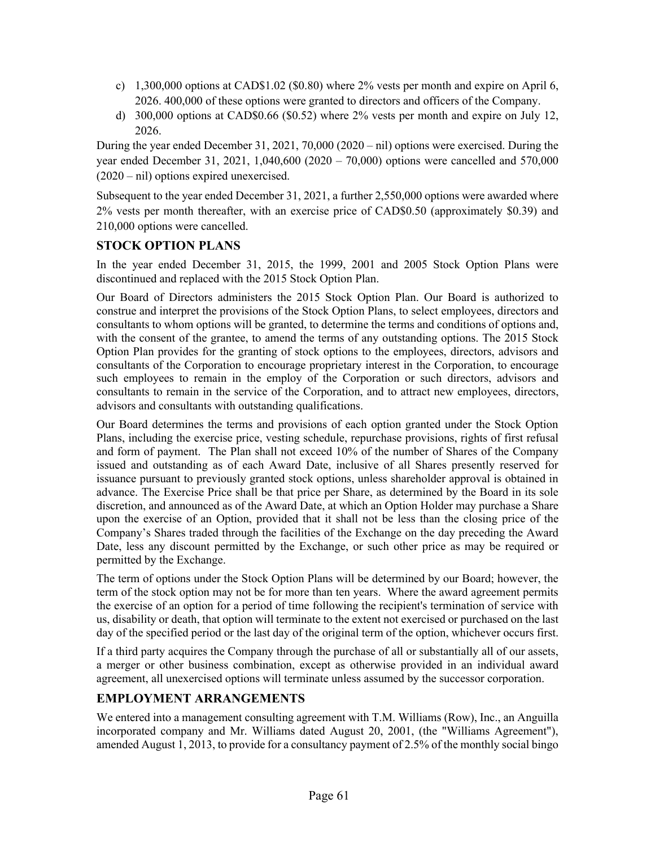- c) 1,300,000 options at CAD\$1.02 (\$0.80) where 2% vests per month and expire on April 6, 2026. 400,000 of these options were granted to directors and officers of the Company.
- d) 300,000 options at CAD\$0.66 (\$0.52) where 2% vests per month and expire on July 12, 2026.

During the year ended December 31, 2021, 70,000 (2020 – nil) options were exercised. During the year ended December 31, 2021, 1,040,600 (2020 – 70,000) options were cancelled and 570,000 (2020 – nil) options expired unexercised.

Subsequent to the year ended December 31, 2021, a further 2,550,000 options were awarded where 2% vests per month thereafter, with an exercise price of CAD\$0.50 (approximately \$0.39) and 210,000 options were cancelled.

# **STOCK OPTION PLANS**

In the year ended December 31, 2015, the 1999, 2001 and 2005 Stock Option Plans were discontinued and replaced with the 2015 Stock Option Plan.

Our Board of Directors administers the 2015 Stock Option Plan. Our Board is authorized to construe and interpret the provisions of the Stock Option Plans, to select employees, directors and consultants to whom options will be granted, to determine the terms and conditions of options and, with the consent of the grantee, to amend the terms of any outstanding options. The 2015 Stock Option Plan provides for the granting of stock options to the employees, directors, advisors and consultants of the Corporation to encourage proprietary interest in the Corporation, to encourage such employees to remain in the employ of the Corporation or such directors, advisors and consultants to remain in the service of the Corporation, and to attract new employees, directors, advisors and consultants with outstanding qualifications.

Our Board determines the terms and provisions of each option granted under the Stock Option Plans, including the exercise price, vesting schedule, repurchase provisions, rights of first refusal and form of payment. The Plan shall not exceed 10% of the number of Shares of the Company issued and outstanding as of each Award Date, inclusive of all Shares presently reserved for issuance pursuant to previously granted stock options, unless shareholder approval is obtained in advance. The Exercise Price shall be that price per Share, as determined by the Board in its sole discretion, and announced as of the Award Date, at which an Option Holder may purchase a Share upon the exercise of an Option, provided that it shall not be less than the closing price of the Company's Shares traded through the facilities of the Exchange on the day preceding the Award Date, less any discount permitted by the Exchange, or such other price as may be required or permitted by the Exchange.

The term of options under the Stock Option Plans will be determined by our Board; however, the term of the stock option may not be for more than ten years. Where the award agreement permits the exercise of an option for a period of time following the recipient's termination of service with us, disability or death, that option will terminate to the extent not exercised or purchased on the last day of the specified period or the last day of the original term of the option, whichever occurs first.

If a third party acquires the Company through the purchase of all or substantially all of our assets, a merger or other business combination, except as otherwise provided in an individual award agreement, all unexercised options will terminate unless assumed by the successor corporation.

# **EMPLOYMENT ARRANGEMENTS**

We entered into a management consulting agreement with T.M. Williams (Row), Inc., an Anguilla incorporated company and Mr. Williams dated August 20, 2001, (the "Williams Agreement"), amended August 1, 2013, to provide for a consultancy payment of 2.5% of the monthly social bingo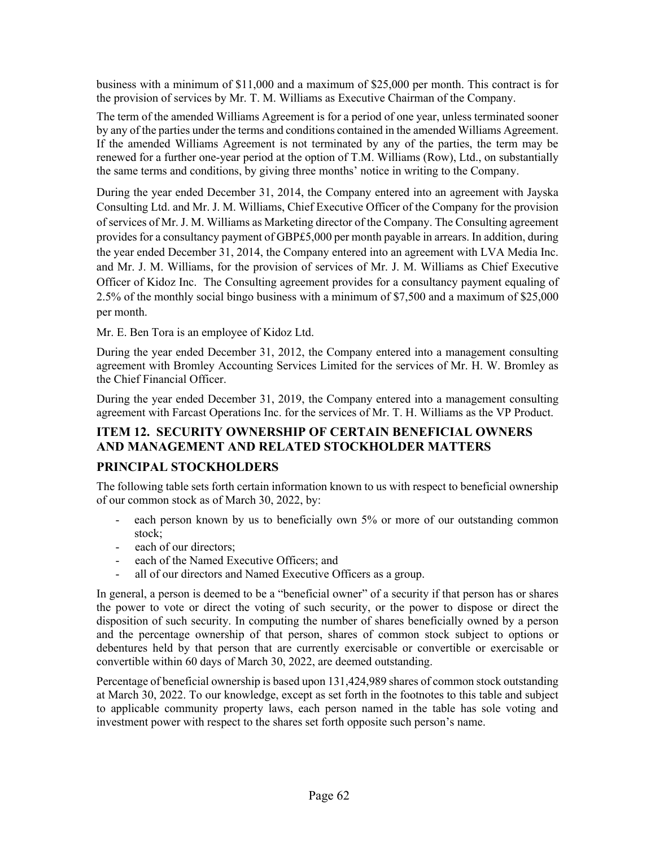business with a minimum of \$11,000 and a maximum of \$25,000 per month. This contract is for the provision of services by Mr. T. M. Williams as Executive Chairman of the Company.

The term of the amended Williams Agreement is for a period of one year, unless terminated sooner by any of the parties under the terms and conditions contained in the amended Williams Agreement. If the amended Williams Agreement is not terminated by any of the parties, the term may be renewed for a further one-year period at the option of T.M. Williams (Row), Ltd., on substantially the same terms and conditions, by giving three months' notice in writing to the Company.

During the year ended December 31, 2014, the Company entered into an agreement with Jayska Consulting Ltd. and Mr. J. M. Williams, Chief Executive Officer of the Company for the provision of services of Mr. J. M. Williams as Marketing director of the Company. The Consulting agreement provides for a consultancy payment of GBP£5,000 per month payable in arrears. In addition, during the year ended December 31, 2014, the Company entered into an agreement with LVA Media Inc. and Mr. J. M. Williams, for the provision of services of Mr. J. M. Williams as Chief Executive Officer of Kidoz Inc. The Consulting agreement provides for a consultancy payment equaling of 2.5% of the monthly social bingo business with a minimum of \$7,500 and a maximum of \$25,000 per month.

Mr. E. Ben Tora is an employee of Kidoz Ltd.

During the year ended December 31, 2012, the Company entered into a management consulting agreement with Bromley Accounting Services Limited for the services of Mr. H. W. Bromley as the Chief Financial Officer.

During the year ended December 31, 2019, the Company entered into a management consulting agreement with Farcast Operations Inc. for the services of Mr. T. H. Williams as the VP Product.

# **ITEM 12. SECURITY OWNERSHIP OF CERTAIN BENEFICIAL OWNERS AND MANAGEMENT AND RELATED STOCKHOLDER MATTERS**

# **PRINCIPAL STOCKHOLDERS**

The following table sets forth certain information known to us with respect to beneficial ownership of our common stock as of March 30, 2022, by:

- each person known by us to beneficially own 5% or more of our outstanding common stock;
- each of our directors;
- each of the Named Executive Officers; and
- all of our directors and Named Executive Officers as a group.

In general, a person is deemed to be a "beneficial owner" of a security if that person has or shares the power to vote or direct the voting of such security, or the power to dispose or direct the disposition of such security. In computing the number of shares beneficially owned by a person and the percentage ownership of that person, shares of common stock subject to options or debentures held by that person that are currently exercisable or convertible or exercisable or convertible within 60 days of March 30, 2022, are deemed outstanding.

Percentage of beneficial ownership is based upon 131,424,989 shares of common stock outstanding at March 30, 2022. To our knowledge, except as set forth in the footnotes to this table and subject to applicable community property laws, each person named in the table has sole voting and investment power with respect to the shares set forth opposite such person's name.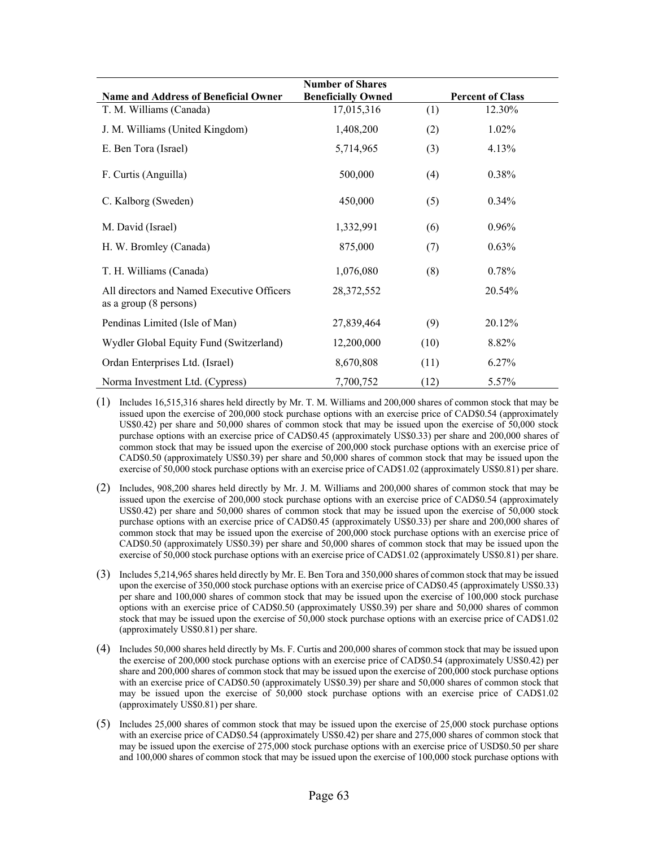| <b>Number of Shares</b>                                                        |                           |      |                         |  |  |  |  |
|--------------------------------------------------------------------------------|---------------------------|------|-------------------------|--|--|--|--|
| <b>Name and Address of Beneficial Owner</b>                                    | <b>Beneficially Owned</b> |      | <b>Percent of Class</b> |  |  |  |  |
| T. M. Williams (Canada)                                                        | 17,015,316                | (1)  | 12.30%                  |  |  |  |  |
| J. M. Williams (United Kingdom)                                                | 1,408,200                 | (2)  | 1.02%                   |  |  |  |  |
| E. Ben Tora (Israel)                                                           | 5,714,965                 | (3)  | 4.13%                   |  |  |  |  |
| F. Curtis (Anguilla)                                                           | 500,000                   | (4)  | 0.38%                   |  |  |  |  |
| C. Kalborg (Sweden)                                                            | 450,000                   | (5)  | $0.34\%$                |  |  |  |  |
| M. David (Israel)                                                              | 1,332,991                 | (6)  | 0.96%                   |  |  |  |  |
| H. W. Bromley (Canada)                                                         | 875,000                   | (7)  | 0.63%                   |  |  |  |  |
| T. H. Williams (Canada)                                                        | 1,076,080                 | (8)  | 0.78%                   |  |  |  |  |
| All directors and Named Executive Officers<br>as a group $(8 \text{ persons})$ | 28, 372, 552              |      | 20.54%                  |  |  |  |  |
| Pendinas Limited (Isle of Man)                                                 | 27,839,464                | (9)  | 20.12%                  |  |  |  |  |
| Wydler Global Equity Fund (Switzerland)                                        | 12,200,000                | (10) | 8.82%                   |  |  |  |  |
| Ordan Enterprises Ltd. (Israel)                                                | 8,670,808                 | (11) | 6.27%                   |  |  |  |  |
| Norma Investment Ltd. (Cypress)                                                | 7,700,752                 | (12) | 5.57%                   |  |  |  |  |

- (1) Includes 16,515,316 shares held directly by Mr. T. M. Williams and 200,000 shares of common stock that may be issued upon the exercise of 200,000 stock purchase options with an exercise price of CAD\$0.54 (approximately US\$0.42) per share and 50,000 shares of common stock that may be issued upon the exercise of 50,000 stock purchase options with an exercise price of CAD\$0.45 (approximately US\$0.33) per share and 200,000 shares of common stock that may be issued upon the exercise of 200,000 stock purchase options with an exercise price of CAD\$0.50 (approximately US\$0.39) per share and 50,000 shares of common stock that may be issued upon the exercise of 50,000 stock purchase options with an exercise price of CAD\$1.02 (approximately US\$0.81) per share.
- (2) Includes, 908,200 shares held directly by Mr. J. M. Williams and 200,000 shares of common stock that may be issued upon the exercise of 200,000 stock purchase options with an exercise price of CAD\$0.54 (approximately US\$0.42) per share and 50,000 shares of common stock that may be issued upon the exercise of 50,000 stock purchase options with an exercise price of CAD\$0.45 (approximately US\$0.33) per share and 200,000 shares of common stock that may be issued upon the exercise of 200,000 stock purchase options with an exercise price of CAD\$0.50 (approximately US\$0.39) per share and 50,000 shares of common stock that may be issued upon the exercise of 50,000 stock purchase options with an exercise price of CAD\$1.02 (approximately US\$0.81) per share.
- (3) Includes 5,214,965 shares held directly by Mr. E. Ben Tora and 350,000 shares of common stock that may be issued upon the exercise of 350,000 stock purchase options with an exercise price of CAD\$0.45 (approximately US\$0.33) per share and 100,000 shares of common stock that may be issued upon the exercise of 100,000 stock purchase options with an exercise price of CAD\$0.50 (approximately US\$0.39) per share and 50,000 shares of common stock that may be issued upon the exercise of 50,000 stock purchase options with an exercise price of CAD\$1.02 (approximately US\$0.81) per share.
- (4) Includes 50,000 shares held directly by Ms. F. Curtis and 200,000 shares of common stock that may be issued upon the exercise of 200,000 stock purchase options with an exercise price of CAD\$0.54 (approximately US\$0.42) per share and 200,000 shares of common stock that may be issued upon the exercise of 200,000 stock purchase options with an exercise price of CAD\$0.50 (approximately US\$0.39) per share and 50,000 shares of common stock that may be issued upon the exercise of 50,000 stock purchase options with an exercise price of CAD\$1.02 (approximately US\$0.81) per share.
- (5) Includes 25,000 shares of common stock that may be issued upon the exercise of 25,000 stock purchase options with an exercise price of CAD\$0.54 (approximately US\$0.42) per share and 275,000 shares of common stock that may be issued upon the exercise of 275,000 stock purchase options with an exercise price of USD\$0.50 per share and 100,000 shares of common stock that may be issued upon the exercise of 100,000 stock purchase options with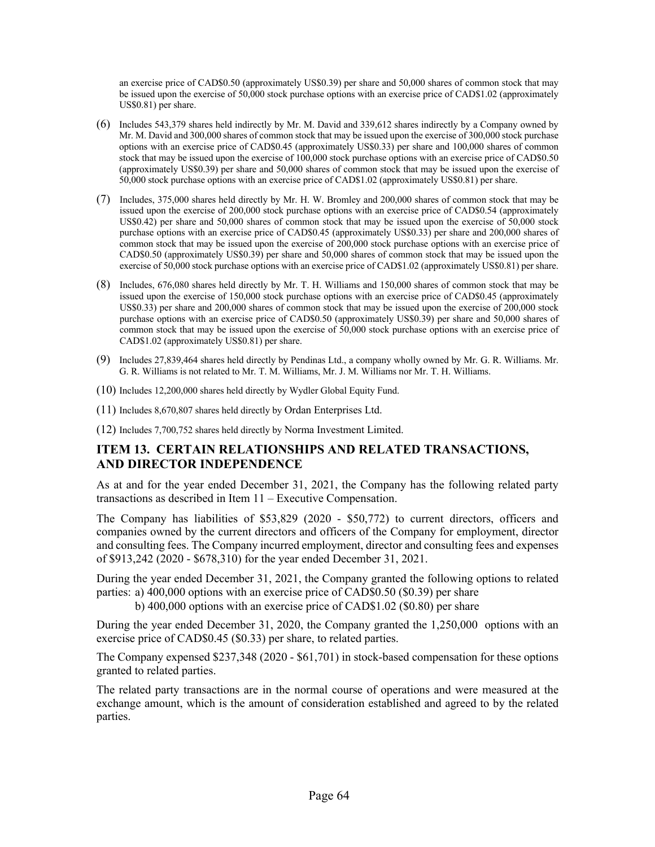an exercise price of CAD\$0.50 (approximately US\$0.39) per share and 50,000 shares of common stock that may be issued upon the exercise of 50,000 stock purchase options with an exercise price of CAD\$1.02 (approximately US\$0.81) per share.

- (6) Includes 543,379 shares held indirectly by Mr. M. David and 339,612 shares indirectly by a Company owned by Mr. M. David and 300,000 shares of common stock that may be issued upon the exercise of 300,000 stock purchase options with an exercise price of CAD\$0.45 (approximately US\$0.33) per share and 100,000 shares of common stock that may be issued upon the exercise of 100,000 stock purchase options with an exercise price of CAD\$0.50 (approximately US\$0.39) per share and 50,000 shares of common stock that may be issued upon the exercise of 50,000 stock purchase options with an exercise price of CAD\$1.02 (approximately US\$0.81) per share.
- (7) Includes, 375,000 shares held directly by Mr. H. W. Bromley and 200,000 shares of common stock that may be issued upon the exercise of 200,000 stock purchase options with an exercise price of CAD\$0.54 (approximately US\$0.42) per share and 50,000 shares of common stock that may be issued upon the exercise of 50,000 stock purchase options with an exercise price of CAD\$0.45 (approximately US\$0.33) per share and 200,000 shares of common stock that may be issued upon the exercise of 200,000 stock purchase options with an exercise price of CAD\$0.50 (approximately US\$0.39) per share and 50,000 shares of common stock that may be issued upon the exercise of 50,000 stock purchase options with an exercise price of CAD\$1.02 (approximately US\$0.81) per share.
- (8) Includes, 676,080 shares held directly by Mr. T. H. Williams and 150,000 shares of common stock that may be issued upon the exercise of 150,000 stock purchase options with an exercise price of CAD\$0.45 (approximately US\$0.33) per share and 200,000 shares of common stock that may be issued upon the exercise of 200,000 stock purchase options with an exercise price of CAD\$0.50 (approximately US\$0.39) per share and 50,000 shares of common stock that may be issued upon the exercise of 50,000 stock purchase options with an exercise price of CAD\$1.02 (approximately US\$0.81) per share.
- (9) Includes 27,839,464 shares held directly by Pendinas Ltd., a company wholly owned by Mr. G. R. Williams. Mr. G. R. Williams is not related to Mr. T. M. Williams, Mr. J. M. Williams nor Mr. T. H. Williams.
- (10) Includes 12,200,000 shares held directly by Wydler Global Equity Fund.
- (11) Includes 8,670,807 shares held directly by Ordan Enterprises Ltd.
- (12) Includes 7,700,752 shares held directly by Norma Investment Limited.

## **ITEM 13. CERTAIN RELATIONSHIPS AND RELATED TRANSACTIONS, AND DIRECTOR INDEPENDENCE**

As at and for the year ended December 31, 2021, the Company has the following related party transactions as described in Item 11 – Executive Compensation.

The Company has liabilities of \$53,829 (2020 - \$50,772) to current directors, officers and companies owned by the current directors and officers of the Company for employment, director and consulting fees. The Company incurred employment, director and consulting fees and expenses of \$913,242 (2020 - \$678,310) for the year ended December 31, 2021.

During the year ended December 31, 2021, the Company granted the following options to related parties: a) 400,000 options with an exercise price of CAD\$0.50 (\$0.39) per share

b) 400,000 options with an exercise price of CAD\$1.02 (\$0.80) per share

During the year ended December 31, 2020, the Company granted the 1,250,000 options with an exercise price of CAD\$0.45 (\$0.33) per share, to related parties.

The Company expensed \$237,348 (2020 - \$61,701) in stock-based compensation for these options granted to related parties.

The related party transactions are in the normal course of operations and were measured at the exchange amount, which is the amount of consideration established and agreed to by the related parties.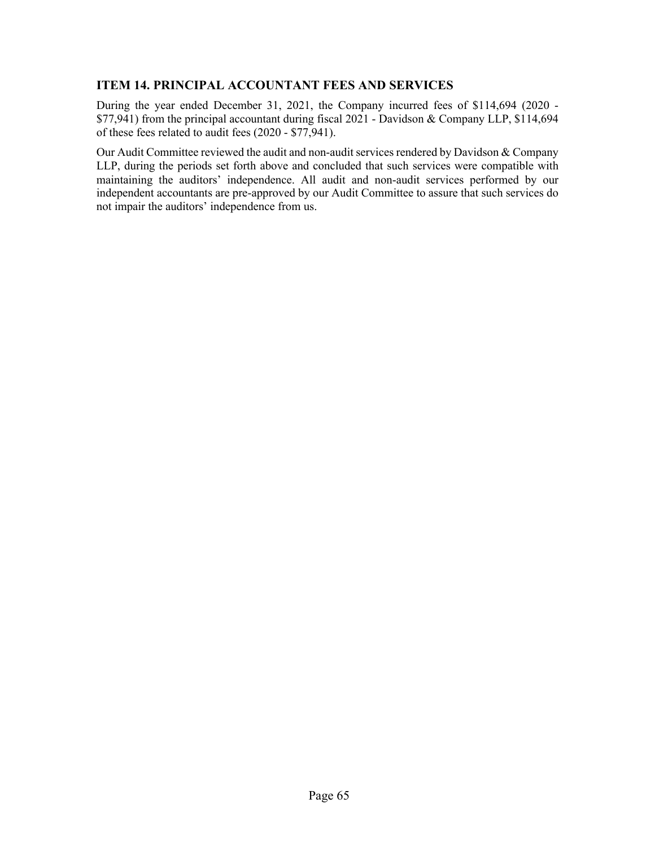## **ITEM 14. PRINCIPAL ACCOUNTANT FEES AND SERVICES**

During the year ended December 31, 2021, the Company incurred fees of \$114,694 (2020 - \$77,941) from the principal accountant during fiscal 2021 - Davidson & Company LLP, \$114,694 of these fees related to audit fees (2020 - \$77,941).

Our Audit Committee reviewed the audit and non-audit services rendered by Davidson & Company LLP, during the periods set forth above and concluded that such services were compatible with maintaining the auditors' independence. All audit and non-audit services performed by our independent accountants are pre-approved by our Audit Committee to assure that such services do not impair the auditors' independence from us.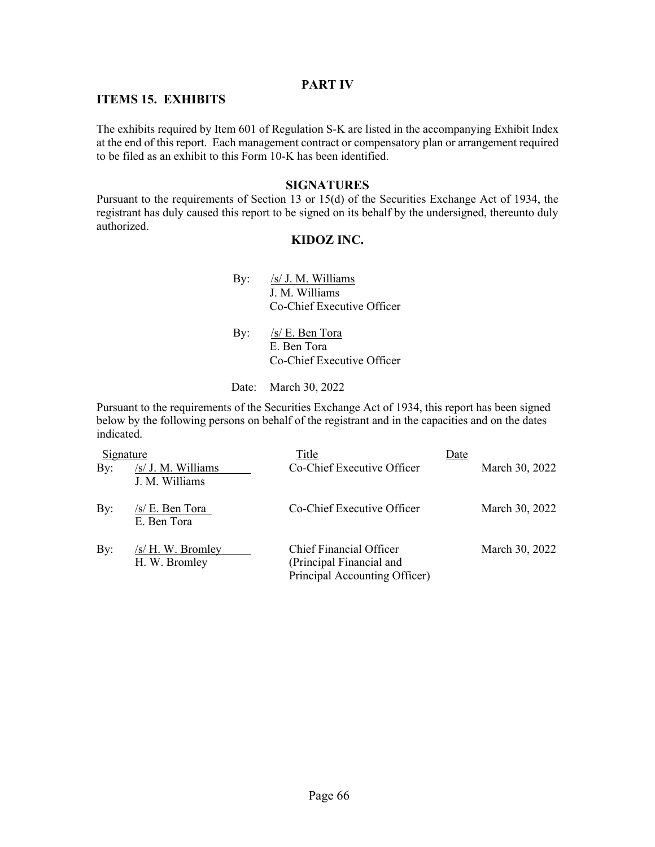### **PART IV**

### **ITEMS 15. EXHIBITS**

The exhibits required by Item 601 of Regulation S-K are listed in the accompanying Exhibit Index at the end of this report. Each management contract or compensatory plan or arrangement required to be filed as an exhibit to this Form 10-K has been identified.

### **SIGNATURES**

Pursuant to the requirements of Section 13 or 15(d) of the Securities Exchange Act of 1934, the registrant has duly caused this report to be signed on its behalf by the undersigned, thereunto duly authorized.

### **KIDOZ INC.**

- By: /s/ J. M. Williams J. M. Williams Co-Chief Executive Officer
- By:  $/s/E$ . Ben Tora E. Ben Tora Co-Chief Executive Officer
- Date: March 30, 2022

Pursuant to the requirements of the Securities Exchange Act of 1934, this report has been signed below by the following persons on behalf of the registrant and in the capacities and on the dates indicated.

| Signature  |                                      | Title                                                                                       | Date |                |
|------------|--------------------------------------|---------------------------------------------------------------------------------------------|------|----------------|
| $\gamma$ : | /s/ J. M. Williams<br>J. M. Williams | Co-Chief Executive Officer                                                                  |      | March 30, 2022 |
| By:        | /s/ E. Ben Tora<br>E. Ben Tora       | Co-Chief Executive Officer                                                                  |      | March 30, 2022 |
| By:        | $/s/H.$ W. Bromley<br>H. W. Bromley  | <b>Chief Financial Officer</b><br>(Principal Financial and<br>Principal Accounting Officer) |      | March 30, 2022 |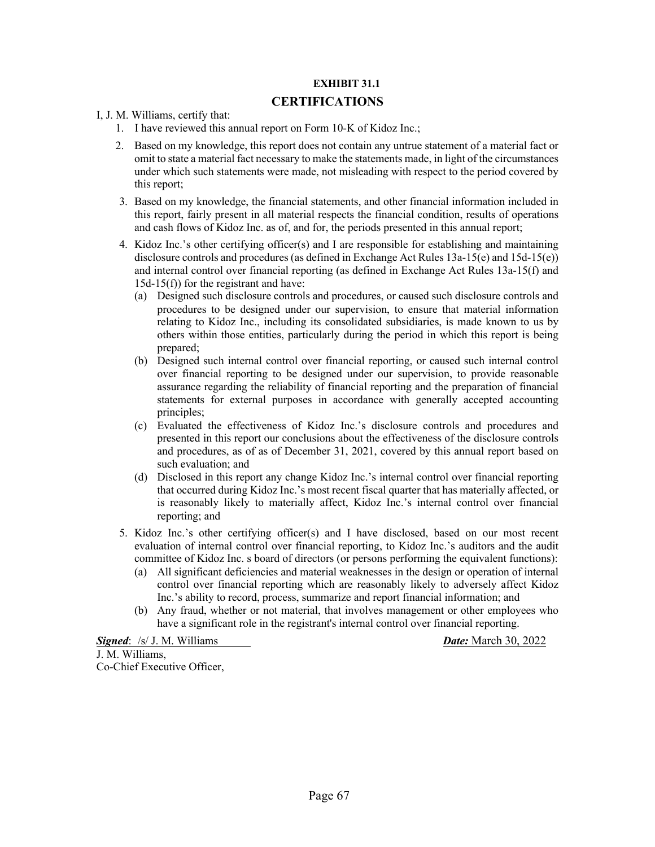#### **EXHIBIT 31.1**

#### **CERTIFICATIONS**

I, J. M. Williams, certify that:

- 1. I have reviewed this annual report on Form 10-K of Kidoz Inc.;
- 2. Based on my knowledge, this report does not contain any untrue statement of a material fact or omit to state a material fact necessary to make the statements made, in light of the circumstances under which such statements were made, not misleading with respect to the period covered by this report;
- 3. Based on my knowledge, the financial statements, and other financial information included in this report, fairly present in all material respects the financial condition, results of operations and cash flows of Kidoz Inc. as of, and for, the periods presented in this annual report;
- 4. Kidoz Inc.'s other certifying officer(s) and I are responsible for establishing and maintaining disclosure controls and procedures (as defined in Exchange Act Rules 13a-15(e) and 15d-15(e)) and internal control over financial reporting (as defined in Exchange Act Rules 13a-15(f) and 15d-15(f)) for the registrant and have:
	- (a) Designed such disclosure controls and procedures, or caused such disclosure controls and procedures to be designed under our supervision, to ensure that material information relating to Kidoz Inc., including its consolidated subsidiaries, is made known to us by others within those entities, particularly during the period in which this report is being prepared;
	- (b) Designed such internal control over financial reporting, or caused such internal control over financial reporting to be designed under our supervision, to provide reasonable assurance regarding the reliability of financial reporting and the preparation of financial statements for external purposes in accordance with generally accepted accounting principles;
	- (c) Evaluated the effectiveness of Kidoz Inc.'s disclosure controls and procedures and presented in this report our conclusions about the effectiveness of the disclosure controls and procedures, as of as of December 31, 2021, covered by this annual report based on such evaluation; and
	- (d) Disclosed in this report any change Kidoz Inc.'s internal control over financial reporting that occurred during Kidoz Inc.'s most recent fiscal quarter that has materially affected, or is reasonably likely to materially affect, Kidoz Inc.'s internal control over financial reporting; and
- 5. Kidoz Inc.'s other certifying officer(s) and I have disclosed, based on our most recent evaluation of internal control over financial reporting, to Kidoz Inc.'s auditors and the audit committee of Kidoz Inc. s board of directors (or persons performing the equivalent functions):
	- (a) All significant deficiencies and material weaknesses in the design or operation of internal control over financial reporting which are reasonably likely to adversely affect Kidoz Inc.'s ability to record, process, summarize and report financial information; and
	- (b) Any fraud, whether or not material, that involves management or other employees who have a significant role in the registrant's internal control over financial reporting.

*Signed*: /s/ J. M. Williams *Date:* March 30, 2022 J. M. Williams, Co-Chief Executive Officer,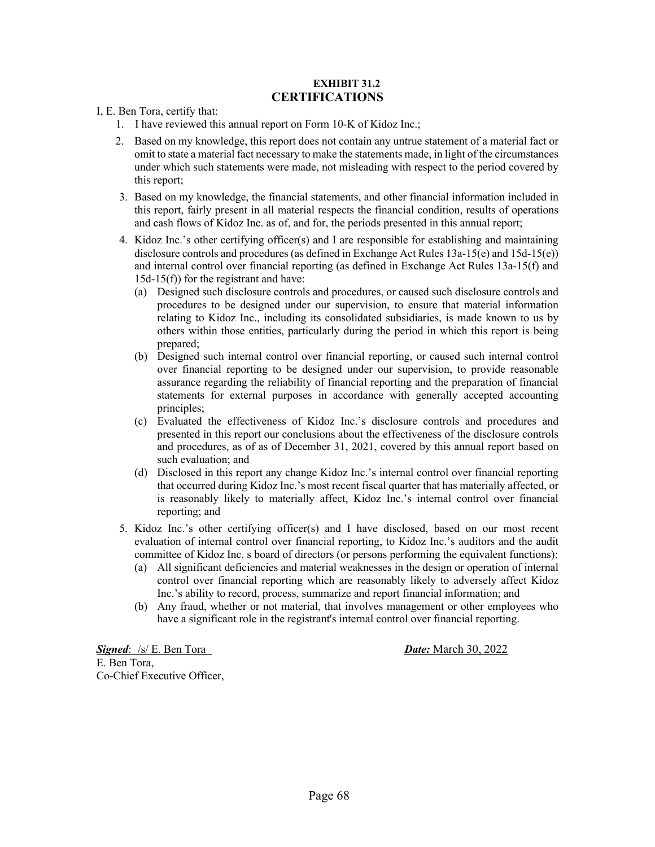#### **EXHIBIT 31.2 CERTIFICATIONS**

I, E. Ben Tora, certify that:

- 1. I have reviewed this annual report on Form 10-K of Kidoz Inc.;
- 2. Based on my knowledge, this report does not contain any untrue statement of a material fact or omit to state a material fact necessary to make the statements made, in light of the circumstances under which such statements were made, not misleading with respect to the period covered by this report;
- 3. Based on my knowledge, the financial statements, and other financial information included in this report, fairly present in all material respects the financial condition, results of operations and cash flows of Kidoz Inc. as of, and for, the periods presented in this annual report;
- 4. Kidoz Inc.'s other certifying officer(s) and I are responsible for establishing and maintaining disclosure controls and procedures (as defined in Exchange Act Rules 13a-15(e) and 15d-15(e)) and internal control over financial reporting (as defined in Exchange Act Rules 13a-15(f) and 15d-15(f)) for the registrant and have:
	- (a) Designed such disclosure controls and procedures, or caused such disclosure controls and procedures to be designed under our supervision, to ensure that material information relating to Kidoz Inc., including its consolidated subsidiaries, is made known to us by others within those entities, particularly during the period in which this report is being prepared;
	- (b) Designed such internal control over financial reporting, or caused such internal control over financial reporting to be designed under our supervision, to provide reasonable assurance regarding the reliability of financial reporting and the preparation of financial statements for external purposes in accordance with generally accepted accounting principles;
	- (c) Evaluated the effectiveness of Kidoz Inc.'s disclosure controls and procedures and presented in this report our conclusions about the effectiveness of the disclosure controls and procedures, as of as of December 31, 2021, covered by this annual report based on such evaluation; and
	- (d) Disclosed in this report any change Kidoz Inc.'s internal control over financial reporting that occurred during Kidoz Inc.'s most recent fiscal quarter that has materially affected, or is reasonably likely to materially affect, Kidoz Inc.'s internal control over financial reporting; and
- 5. Kidoz Inc.'s other certifying officer(s) and I have disclosed, based on our most recent evaluation of internal control over financial reporting, to Kidoz Inc.'s auditors and the audit committee of Kidoz Inc. s board of directors (or persons performing the equivalent functions):
	- (a) All significant deficiencies and material weaknesses in the design or operation of internal control over financial reporting which are reasonably likely to adversely affect Kidoz Inc.'s ability to record, process, summarize and report financial information; and
	- (b) Any fraud, whether or not material, that involves management or other employees who have a significant role in the registrant's internal control over financial reporting.

*Signed*: /s/ E. Ben Tora *Date:* March 30, 2022 E. Ben Tora, Co-Chief Executive Officer,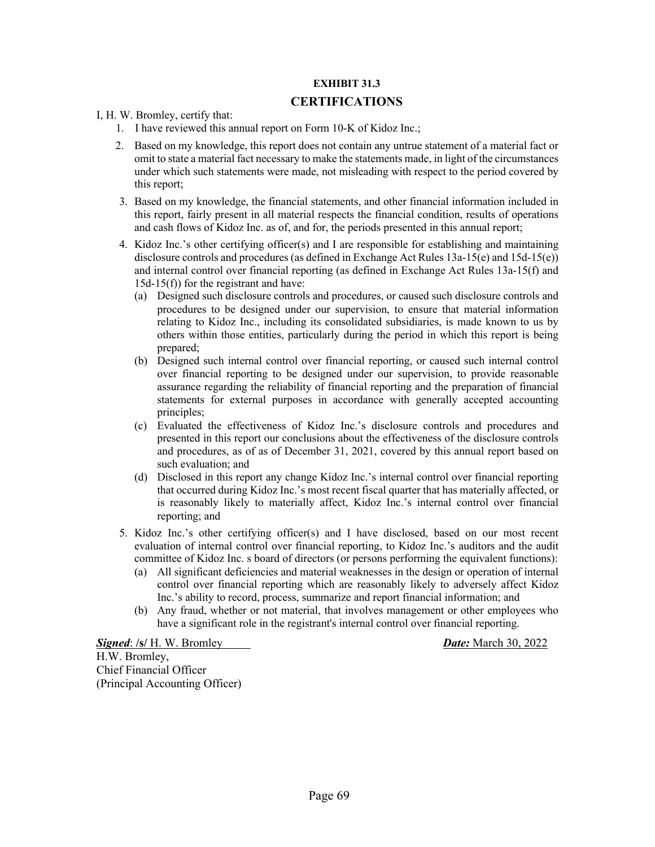### **EXHIBIT 31.3**

### **CERTIFICATIONS**

I, H. W. Bromley, certify that:

- 1. I have reviewed this annual report on Form 10-K of Kidoz Inc.;
- 2. Based on my knowledge, this report does not contain any untrue statement of a material fact or omit to state a material fact necessary to make the statements made, in light of the circumstances under which such statements were made, not misleading with respect to the period covered by this report;
- 3. Based on my knowledge, the financial statements, and other financial information included in this report, fairly present in all material respects the financial condition, results of operations and cash flows of Kidoz Inc. as of, and for, the periods presented in this annual report;
- 4. Kidoz Inc.'s other certifying officer(s) and I are responsible for establishing and maintaining disclosure controls and procedures (as defined in Exchange Act Rules 13a-15(e) and 15d-15(e)) and internal control over financial reporting (as defined in Exchange Act Rules 13a-15(f) and 15d-15(f)) for the registrant and have:
	- (a) Designed such disclosure controls and procedures, or caused such disclosure controls and procedures to be designed under our supervision, to ensure that material information relating to Kidoz Inc., including its consolidated subsidiaries, is made known to us by others within those entities, particularly during the period in which this report is being prepared;
	- (b) Designed such internal control over financial reporting, or caused such internal control over financial reporting to be designed under our supervision, to provide reasonable assurance regarding the reliability of financial reporting and the preparation of financial statements for external purposes in accordance with generally accepted accounting principles;
	- (c) Evaluated the effectiveness of Kidoz Inc.'s disclosure controls and procedures and presented in this report our conclusions about the effectiveness of the disclosure controls and procedures, as of as of December 31, 2021, covered by this annual report based on such evaluation; and
	- (d) Disclosed in this report any change Kidoz Inc.'s internal control over financial reporting that occurred during Kidoz Inc.'s most recent fiscal quarter that has materially affected, or is reasonably likely to materially affect, Kidoz Inc.'s internal control over financial reporting; and
- 5. Kidoz Inc.'s other certifying officer(s) and I have disclosed, based on our most recent evaluation of internal control over financial reporting, to Kidoz Inc.'s auditors and the audit committee of Kidoz Inc. s board of directors (or persons performing the equivalent functions):
	- (a) All significant deficiencies and material weaknesses in the design or operation of internal control over financial reporting which are reasonably likely to adversely affect Kidoz Inc.'s ability to record, process, summarize and report financial information; and
	- (b) Any fraud, whether or not material, that involves management or other employees who have a significant role in the registrant's internal control over financial reporting.

*Signed*: **/s/** H. W. Bromley *Date:* March 30, 2022 H.W. Bromley, Chief Financial Officer (Principal Accounting Officer)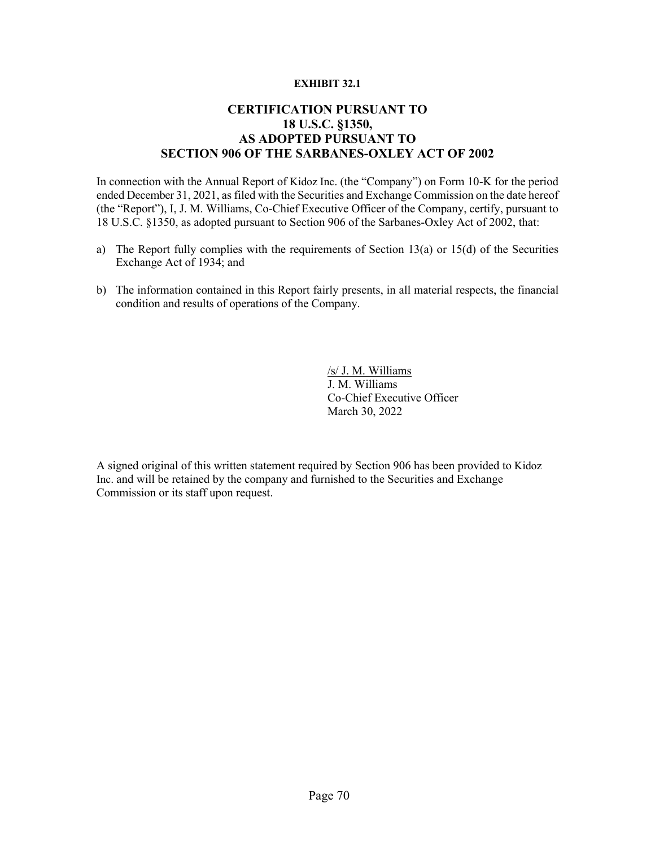#### **EXHIBIT 32.1**

## **CERTIFICATION PURSUANT TO 18 U.S.C. §1350, AS ADOPTED PURSUANT TO SECTION 906 OF THE SARBANES-OXLEY ACT OF 2002**

In connection with the Annual Report of Kidoz Inc. (the "Company") on Form 10-K for the period ended December 31, 2021, as filed with the Securities and Exchange Commission on the date hereof (the "Report"), I, J. M. Williams, Co-Chief Executive Officer of the Company, certify, pursuant to 18 U.S.C. §1350, as adopted pursuant to Section 906 of the Sarbanes-Oxley Act of 2002, that:

- a) The Report fully complies with the requirements of Section 13(a) or 15(d) of the Securities Exchange Act of 1934; and
- b) The information contained in this Report fairly presents, in all material respects, the financial condition and results of operations of the Company.

/s/ J. M. Williams J. M. Williams Co-Chief Executive Officer March 30, 2022

A signed original of this written statement required by Section 906 has been provided to Kidoz Inc. and will be retained by the company and furnished to the Securities and Exchange Commission or its staff upon request.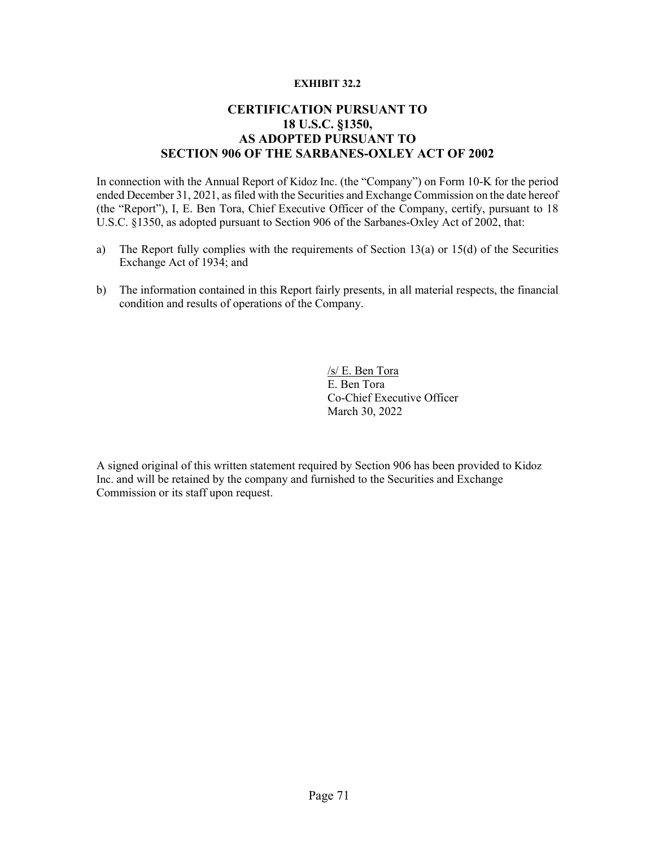#### **EXHIBIT 32.2**

## **CERTIFICATION PURSUANT TO 18 U.S.C. §1350, AS ADOPTED PURSUANT TO SECTION 906 OF THE SARBANES-OXLEY ACT OF 2002**

In connection with the Annual Report of Kidoz Inc. (the "Company") on Form 10-K for the period ended December 31, 2021, as filed with the Securities and Exchange Commission on the date hereof (the "Report"), I, E. Ben Tora, Chief Executive Officer of the Company, certify, pursuant to 18 U.S.C. §1350, as adopted pursuant to Section 906 of the Sarbanes-Oxley Act of 2002, that:

- a) The Report fully complies with the requirements of Section 13(a) or 15(d) of the Securities Exchange Act of 1934; and
- b) The information contained in this Report fairly presents, in all material respects, the financial condition and results of operations of the Company.

/s/ E. Ben Tora E. Ben Tora Co-Chief Executive Officer March 30, 2022

A signed original of this written statement required by Section 906 has been provided to Kidoz Inc. and will be retained by the company and furnished to the Securities and Exchange Commission or its staff upon request.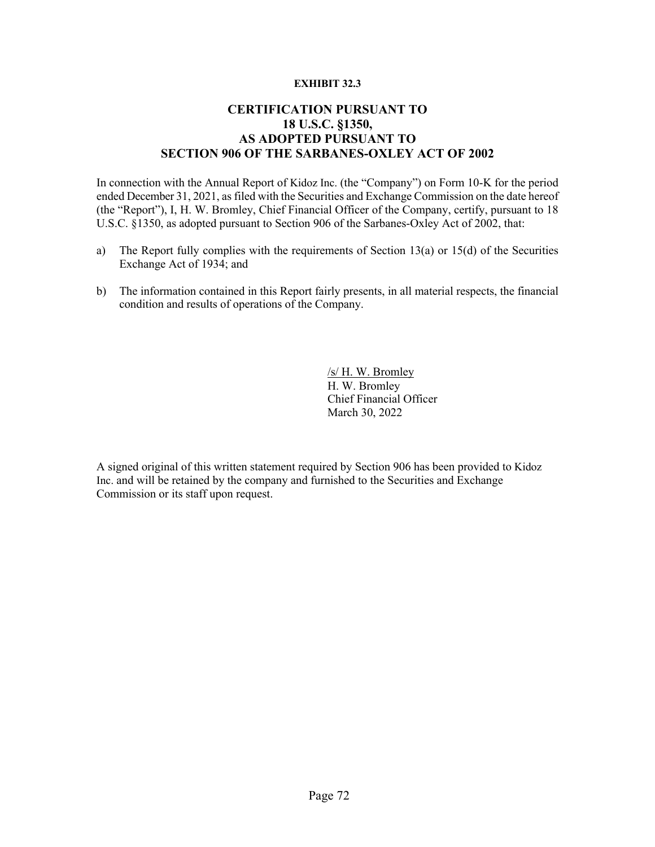## **EXHIBIT 32.3**

## **CERTIFICATION PURSUANT TO 18 U.S.C. §1350, AS ADOPTED PURSUANT TO SECTION 906 OF THE SARBANES-OXLEY ACT OF 2002**

In connection with the Annual Report of Kidoz Inc. (the "Company") on Form 10-K for the period ended December 31, 2021, as filed with the Securities and Exchange Commission on the date hereof (the "Report"), I, H. W. Bromley, Chief Financial Officer of the Company, certify, pursuant to 18 U.S.C. §1350, as adopted pursuant to Section 906 of the Sarbanes-Oxley Act of 2002, that:

- a) The Report fully complies with the requirements of Section 13(a) or 15(d) of the Securities Exchange Act of 1934; and
- b) The information contained in this Report fairly presents, in all material respects, the financial condition and results of operations of the Company.

/s/ H. W. Bromley H. W. Bromley Chief Financial Officer March 30, 2022

A signed original of this written statement required by Section 906 has been provided to Kidoz Inc. and will be retained by the company and furnished to the Securities and Exchange Commission or its staff upon request.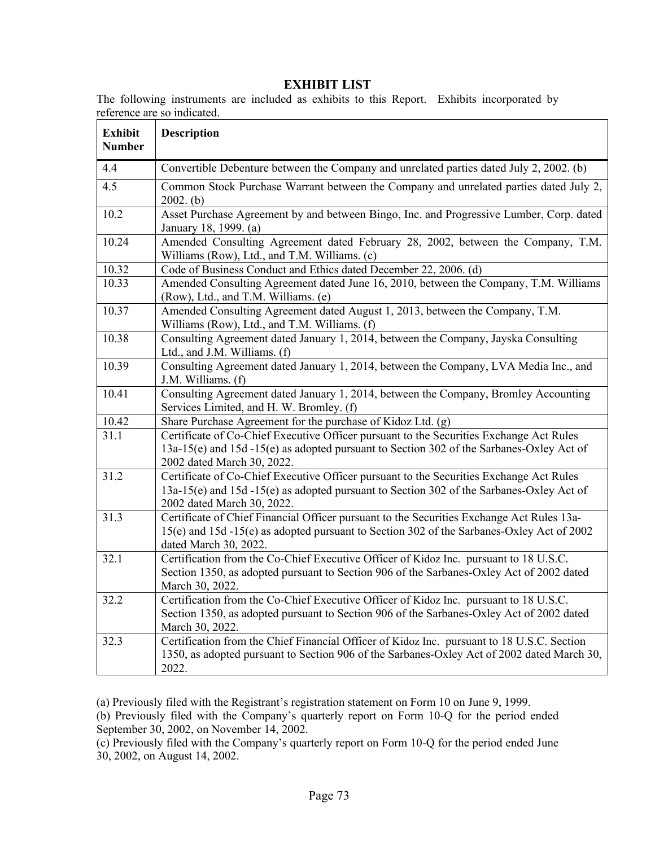| <b>Exhibit</b><br><b>Number</b> | <b>Description</b>                                                                                                                                                                                                |
|---------------------------------|-------------------------------------------------------------------------------------------------------------------------------------------------------------------------------------------------------------------|
| 4.4                             | Convertible Debenture between the Company and unrelated parties dated July 2, 2002. (b)                                                                                                                           |
| 4.5                             | Common Stock Purchase Warrant between the Company and unrelated parties dated July 2,<br>$2002.$ (b)                                                                                                              |
| 10.2                            | Asset Purchase Agreement by and between Bingo, Inc. and Progressive Lumber, Corp. dated<br>January 18, 1999. (a)                                                                                                  |
| 10.24                           | Amended Consulting Agreement dated February 28, 2002, between the Company, T.M.<br>Williams (Row), Ltd., and T.M. Williams. (c)                                                                                   |
| 10.32                           | Code of Business Conduct and Ethics dated December 22, 2006. (d)                                                                                                                                                  |
| 10.33                           | Amended Consulting Agreement dated June 16, 2010, between the Company, T.M. Williams<br>(Row), Ltd., and T.M. Williams. (e)                                                                                       |
| 10.37                           | Amended Consulting Agreement dated August 1, 2013, between the Company, T.M.<br>Williams (Row), Ltd., and T.M. Williams. (f)                                                                                      |
| 10.38                           | Consulting Agreement dated January 1, 2014, between the Company, Jayska Consulting<br>Ltd., and J.M. Williams. (f)                                                                                                |
| 10.39                           | Consulting Agreement dated January 1, 2014, between the Company, LVA Media Inc., and<br>J.M. Williams. (f)                                                                                                        |
| 10.41                           | Consulting Agreement dated January 1, 2014, between the Company, Bromley Accounting<br>Services Limited, and H. W. Bromley. (f)                                                                                   |
| 10.42                           | Share Purchase Agreement for the purchase of Kidoz Ltd. (g)                                                                                                                                                       |
| 31.1                            | Certificate of Co-Chief Executive Officer pursuant to the Securities Exchange Act Rules<br>13a-15(e) and 15d -15(e) as adopted pursuant to Section 302 of the Sarbanes-Oxley Act of<br>2002 dated March 30, 2022. |
| 31.2                            | Certificate of Co-Chief Executive Officer pursuant to the Securities Exchange Act Rules<br>13a-15(e) and 15d -15(e) as adopted pursuant to Section 302 of the Sarbanes-Oxley Act of<br>2002 dated March 30, 2022. |
| 31.3                            | Certificate of Chief Financial Officer pursuant to the Securities Exchange Act Rules 13a-<br>15(e) and 15d -15(e) as adopted pursuant to Section 302 of the Sarbanes-Oxley Act of 2002<br>dated March 30, 2022.   |
| 32.1                            | Certification from the Co-Chief Executive Officer of Kidoz Inc. pursuant to 18 U.S.C.<br>Section 1350, as adopted pursuant to Section 906 of the Sarbanes-Oxley Act of 2002 dated<br>March 30, 2022.              |
| 32.2                            | Certification from the Co-Chief Executive Officer of Kidoz Inc. pursuant to 18 U.S.C.<br>Section 1350, as adopted pursuant to Section 906 of the Sarbanes-Oxley Act of 2002 dated<br>March 30, 2022.              |
| 32.3                            | Certification from the Chief Financial Officer of Kidoz Inc. pursuant to 18 U.S.C. Section<br>1350, as adopted pursuant to Section 906 of the Sarbanes-Oxley Act of 2002 dated March 30,<br>2022.                 |

## **EXHIBIT LIST**

The following instruments are included as exhibits to this Report. Exhibits incorporated by reference are so indicated.

(a) Previously filed with the Registrant's registration statement on Form 10 on June 9, 1999.

(b) Previously filed with the Company's quarterly report on Form 10-Q for the period ended September 30, 2002, on November 14, 2002.

(c) Previously filed with the Company's quarterly report on Form 10-Q for the period ended June 30, 2002, on August 14, 2002.